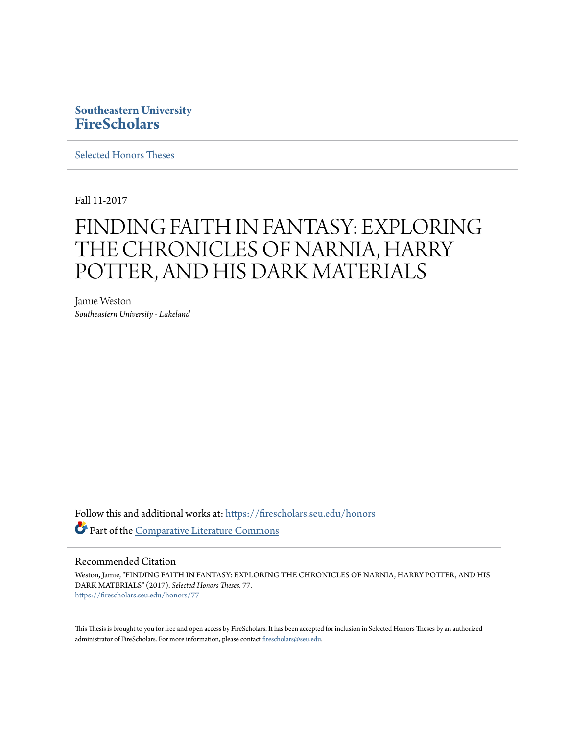# **Southeastern University [FireScholars](https://firescholars.seu.edu?utm_source=firescholars.seu.edu%2Fhonors%2F77&utm_medium=PDF&utm_campaign=PDFCoverPages)**

[Selected Honors Theses](https://firescholars.seu.edu/honors?utm_source=firescholars.seu.edu%2Fhonors%2F77&utm_medium=PDF&utm_campaign=PDFCoverPages)

Fall 11-2017

# FINDING FAITH IN FANTASY: EXPLORING THE CHRONICLES OF NARNIA, HARRY POTTER, AND HIS DARK MATERIALS

Jamie Weston *Southeastern University - Lakeland*

Follow this and additional works at: [https://firescholars.seu.edu/honors](https://firescholars.seu.edu/honors?utm_source=firescholars.seu.edu%2Fhonors%2F77&utm_medium=PDF&utm_campaign=PDFCoverPages) Part of the [Comparative Literature Commons](http://network.bepress.com/hgg/discipline/454?utm_source=firescholars.seu.edu%2Fhonors%2F77&utm_medium=PDF&utm_campaign=PDFCoverPages)

### Recommended Citation

Weston, Jamie, "FINDING FAITH IN FANTASY: EXPLORING THE CHRONICLES OF NARNIA, HARRY POTTER, AND HIS DARK MATERIALS" (2017). *Selected Honors Theses*. 77. [https://firescholars.seu.edu/honors/77](https://firescholars.seu.edu/honors/77?utm_source=firescholars.seu.edu%2Fhonors%2F77&utm_medium=PDF&utm_campaign=PDFCoverPages)

This Thesis is brought to you for free and open access by FireScholars. It has been accepted for inclusion in Selected Honors Theses by an authorized administrator of FireScholars. For more information, please contact [firescholars@seu.edu](mailto:firescholars@seu.edu).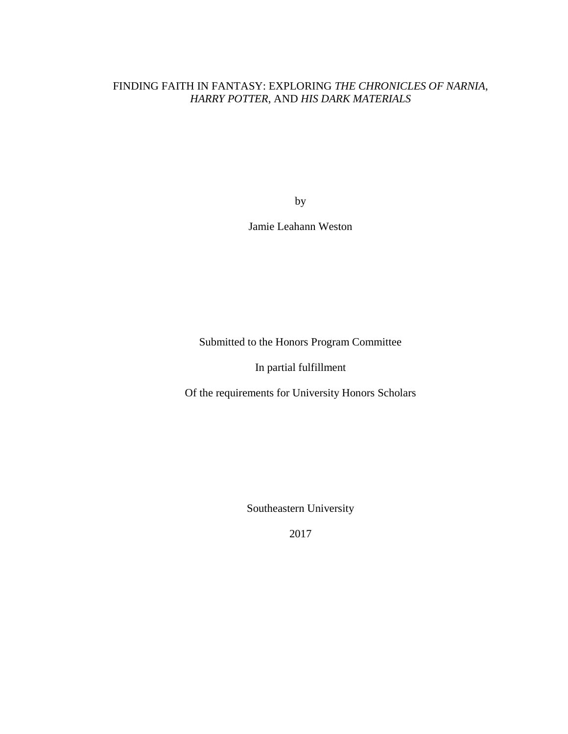# FINDING FAITH IN FANTASY: EXPLORING *THE CHRONICLES OF NARNIA*, *HARRY POTTER*, AND *HIS DARK MATERIALS*

by

Jamie Leahann Weston

Submitted to the Honors Program Committee

In partial fulfillment

Of the requirements for University Honors Scholars

Southeastern University

2017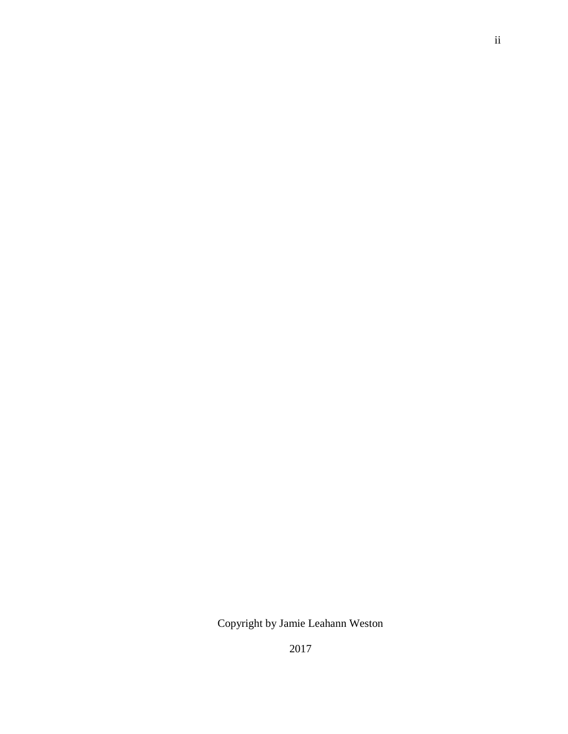Copyright by Jamie Leahann Weston

2017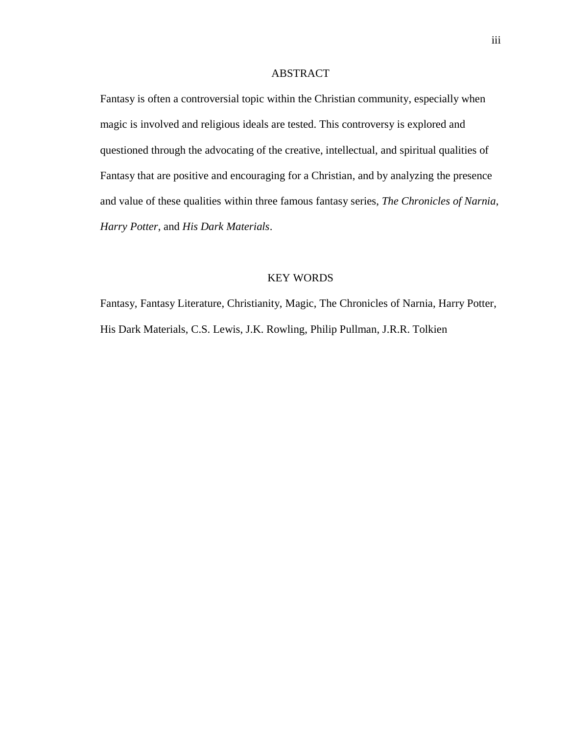# ABSTRACT

Fantasy is often a controversial topic within the Christian community, especially when magic is involved and religious ideals are tested. This controversy is explored and questioned through the advocating of the creative, intellectual, and spiritual qualities of Fantasy that are positive and encouraging for a Christian, and by analyzing the presence and value of these qualities within three famous fantasy series, *The Chronicles of Narnia*, *Harry Potter*, and *His Dark Materials*.

# KEY WORDS

Fantasy, Fantasy Literature, Christianity, Magic, The Chronicles of Narnia, Harry Potter, His Dark Materials, C.S. Lewis, J.K. Rowling, Philip Pullman, J.R.R. Tolkien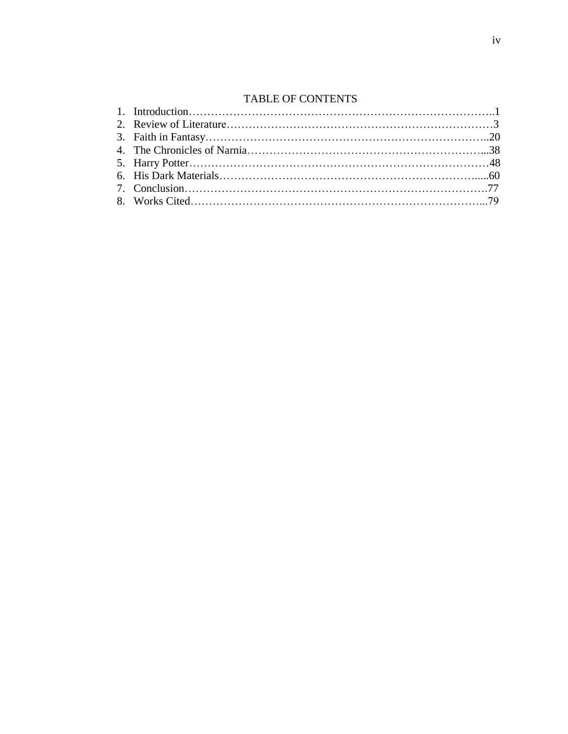# TABLE OF CONTENTS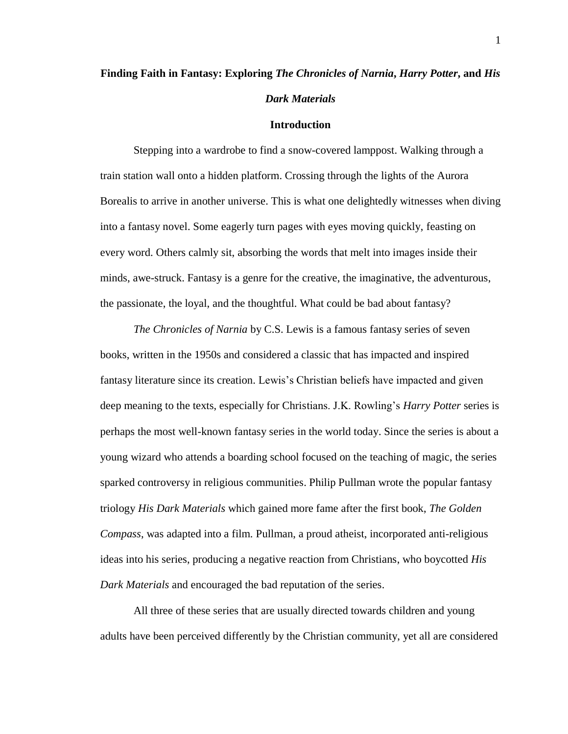# **Finding Faith in Fantasy: Exploring** *The Chronicles of Narnia***,** *Harry Potter***, and** *His Dark Materials*

#### **Introduction**

Stepping into a wardrobe to find a snow-covered lamppost. Walking through a train station wall onto a hidden platform. Crossing through the lights of the Aurora Borealis to arrive in another universe. This is what one delightedly witnesses when diving into a fantasy novel. Some eagerly turn pages with eyes moving quickly, feasting on every word. Others calmly sit, absorbing the words that melt into images inside their minds, awe-struck. Fantasy is a genre for the creative, the imaginative, the adventurous, the passionate, the loyal, and the thoughtful. What could be bad about fantasy?

*The Chronicles of Narnia* by C.S. Lewis is a famous fantasy series of seven books, written in the 1950s and considered a classic that has impacted and inspired fantasy literature since its creation. Lewis's Christian beliefs have impacted and given deep meaning to the texts, especially for Christians. J.K. Rowling's *Harry Potter* series is perhaps the most well-known fantasy series in the world today. Since the series is about a young wizard who attends a boarding school focused on the teaching of magic, the series sparked controversy in religious communities. Philip Pullman wrote the popular fantasy triology *His Dark Materials* which gained more fame after the first book, *The Golden Compass*, was adapted into a film. Pullman, a proud atheist, incorporated anti-religious ideas into his series, producing a negative reaction from Christians, who boycotted *His Dark Materials* and encouraged the bad reputation of the series.

All three of these series that are usually directed towards children and young adults have been perceived differently by the Christian community, yet all are considered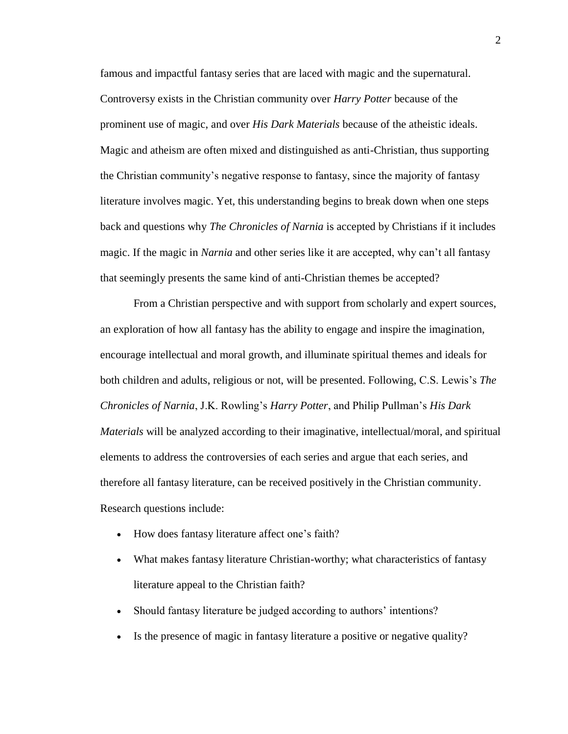famous and impactful fantasy series that are laced with magic and the supernatural. Controversy exists in the Christian community over *Harry Potter* because of the prominent use of magic, and over *His Dark Materials* because of the atheistic ideals. Magic and atheism are often mixed and distinguished as anti-Christian, thus supporting the Christian community's negative response to fantasy, since the majority of fantasy literature involves magic. Yet, this understanding begins to break down when one steps back and questions why *The Chronicles of Narnia* is accepted by Christians if it includes magic. If the magic in *Narnia* and other series like it are accepted, why can't all fantasy that seemingly presents the same kind of anti-Christian themes be accepted?

From a Christian perspective and with support from scholarly and expert sources, an exploration of how all fantasy has the ability to engage and inspire the imagination, encourage intellectual and moral growth, and illuminate spiritual themes and ideals for both children and adults, religious or not, will be presented. Following, C.S. Lewis's *The Chronicles of Narnia*, J.K. Rowling's *Harry Potter*, and Philip Pullman's *His Dark Materials* will be analyzed according to their imaginative, intellectual/moral, and spiritual elements to address the controversies of each series and argue that each series, and therefore all fantasy literature, can be received positively in the Christian community. Research questions include:

- How does fantasy literature affect one's faith?
- What makes fantasy literature Christian-worthy; what characteristics of fantasy literature appeal to the Christian faith?
- Should fantasy literature be judged according to authors' intentions?
- Is the presence of magic in fantasy literature a positive or negative quality?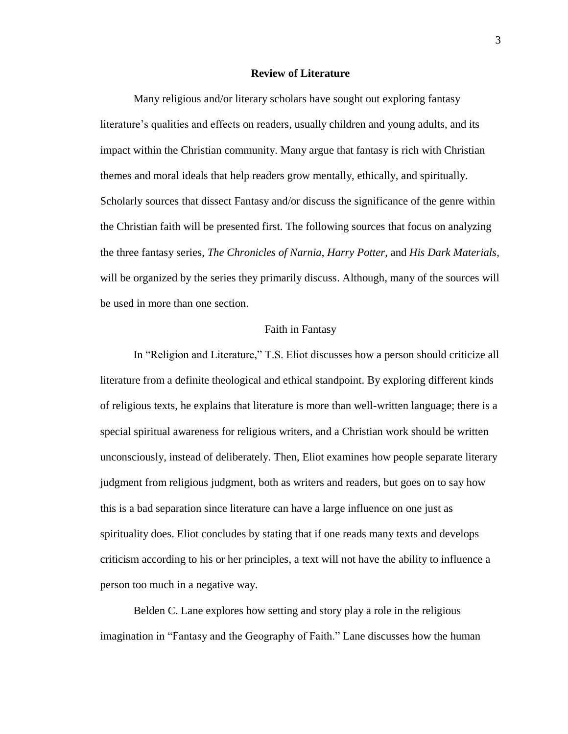### **Review of Literature**

Many religious and/or literary scholars have sought out exploring fantasy literature's qualities and effects on readers, usually children and young adults, and its impact within the Christian community. Many argue that fantasy is rich with Christian themes and moral ideals that help readers grow mentally, ethically, and spiritually. Scholarly sources that dissect Fantasy and/or discuss the significance of the genre within the Christian faith will be presented first. The following sources that focus on analyzing the three fantasy series, *The Chronicles of Narnia*, *Harry Potter*, and *His Dark Materials*, will be organized by the series they primarily discuss. Although, many of the sources will be used in more than one section.

#### Faith in Fantasy

In "Religion and Literature," T.S. Eliot discusses how a person should criticize all literature from a definite theological and ethical standpoint. By exploring different kinds of religious texts, he explains that literature is more than well-written language; there is a special spiritual awareness for religious writers, and a Christian work should be written unconsciously, instead of deliberately. Then, Eliot examines how people separate literary judgment from religious judgment, both as writers and readers, but goes on to say how this is a bad separation since literature can have a large influence on one just as spirituality does. Eliot concludes by stating that if one reads many texts and develops criticism according to his or her principles, a text will not have the ability to influence a person too much in a negative way.

Belden C. Lane explores how setting and story play a role in the religious imagination in "Fantasy and the Geography of Faith." Lane discusses how the human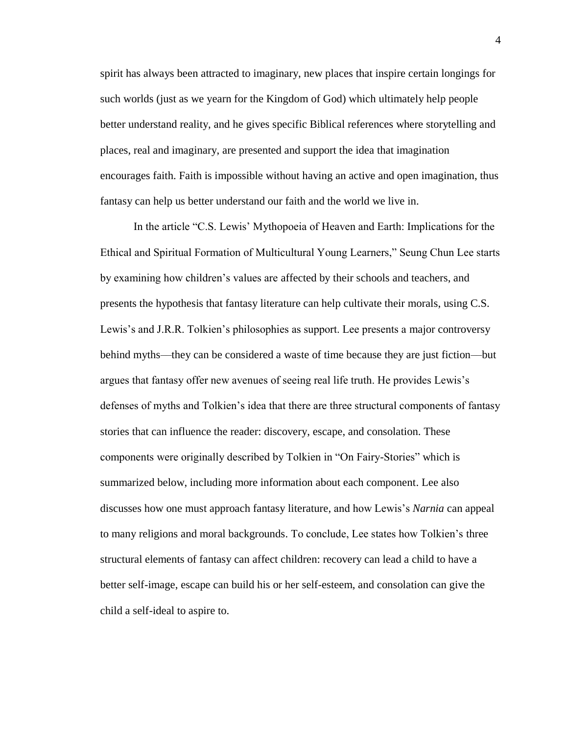spirit has always been attracted to imaginary, new places that inspire certain longings for such worlds (just as we yearn for the Kingdom of God) which ultimately help people better understand reality, and he gives specific Biblical references where storytelling and places, real and imaginary, are presented and support the idea that imagination encourages faith. Faith is impossible without having an active and open imagination, thus fantasy can help us better understand our faith and the world we live in.

In the article "C.S. Lewis' Mythopoeia of Heaven and Earth: Implications for the Ethical and Spiritual Formation of Multicultural Young Learners," Seung Chun Lee starts by examining how children's values are affected by their schools and teachers, and presents the hypothesis that fantasy literature can help cultivate their morals, using C.S. Lewis's and J.R.R. Tolkien's philosophies as support. Lee presents a major controversy behind myths––they can be considered a waste of time because they are just fiction––but argues that fantasy offer new avenues of seeing real life truth. He provides Lewis's defenses of myths and Tolkien's idea that there are three structural components of fantasy stories that can influence the reader: discovery, escape, and consolation. These components were originally described by Tolkien in "On Fairy-Stories" which is summarized below, including more information about each component. Lee also discusses how one must approach fantasy literature, and how Lewis's *Narnia* can appeal to many religions and moral backgrounds. To conclude, Lee states how Tolkien's three structural elements of fantasy can affect children: recovery can lead a child to have a better self-image, escape can build his or her self-esteem, and consolation can give the child a self-ideal to aspire to.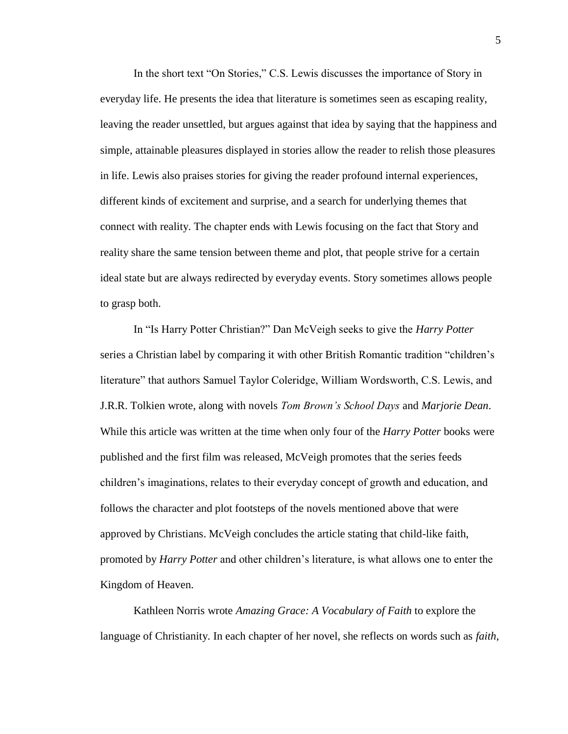In the short text "On Stories," C.S. Lewis discusses the importance of Story in everyday life. He presents the idea that literature is sometimes seen as escaping reality, leaving the reader unsettled, but argues against that idea by saying that the happiness and simple, attainable pleasures displayed in stories allow the reader to relish those pleasures in life. Lewis also praises stories for giving the reader profound internal experiences, different kinds of excitement and surprise, and a search for underlying themes that connect with reality. The chapter ends with Lewis focusing on the fact that Story and reality share the same tension between theme and plot, that people strive for a certain ideal state but are always redirected by everyday events. Story sometimes allows people to grasp both.

In "Is Harry Potter Christian?" Dan McVeigh seeks to give the *Harry Potter* series a Christian label by comparing it with other British Romantic tradition "children's literature" that authors Samuel Taylor Coleridge, William Wordsworth, C.S. Lewis, and J.R.R. Tolkien wrote, along with novels *Tom Brown's School Days* and *Marjorie Dean*. While this article was written at the time when only four of the *Harry Potter* books were published and the first film was released, McVeigh promotes that the series feeds children's imaginations, relates to their everyday concept of growth and education, and follows the character and plot footsteps of the novels mentioned above that were approved by Christians. McVeigh concludes the article stating that child-like faith, promoted by *Harry Potter* and other children's literature, is what allows one to enter the Kingdom of Heaven.

Kathleen Norris wrote *Amazing Grace: A Vocabulary of Faith* to explore the language of Christianity. In each chapter of her novel, she reflects on words such as *faith*,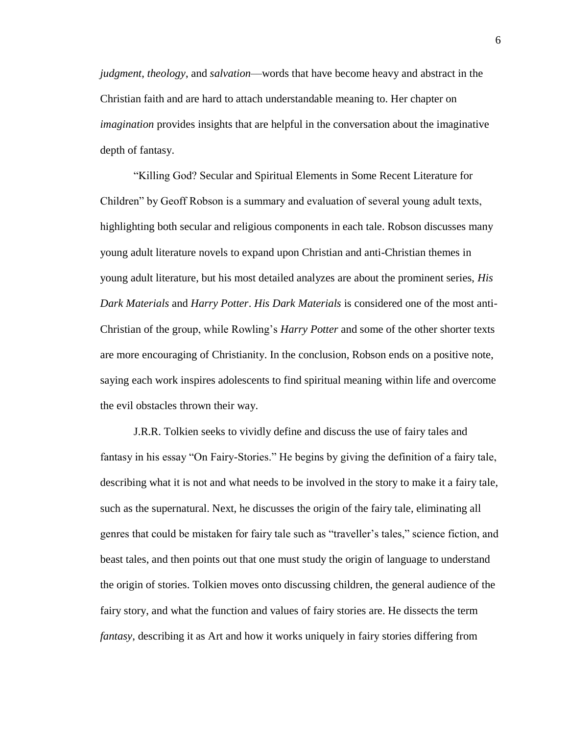*judgment*, *theology*, and *salvation*––words that have become heavy and abstract in the Christian faith and are hard to attach understandable meaning to. Her chapter on *imagination* provides insights that are helpful in the conversation about the imaginative depth of fantasy.

"Killing God? Secular and Spiritual Elements in Some Recent Literature for Children" by Geoff Robson is a summary and evaluation of several young adult texts, highlighting both secular and religious components in each tale. Robson discusses many young adult literature novels to expand upon Christian and anti-Christian themes in young adult literature, but his most detailed analyzes are about the prominent series, *His Dark Materials* and *Harry Potter*. *His Dark Materials* is considered one of the most anti-Christian of the group, while Rowling's *Harry Potter* and some of the other shorter texts are more encouraging of Christianity. In the conclusion, Robson ends on a positive note, saying each work inspires adolescents to find spiritual meaning within life and overcome the evil obstacles thrown their way.

J.R.R. Tolkien seeks to vividly define and discuss the use of fairy tales and fantasy in his essay "On Fairy-Stories." He begins by giving the definition of a fairy tale, describing what it is not and what needs to be involved in the story to make it a fairy tale, such as the supernatural. Next, he discusses the origin of the fairy tale, eliminating all genres that could be mistaken for fairy tale such as "traveller's tales," science fiction, and beast tales, and then points out that one must study the origin of language to understand the origin of stories. Tolkien moves onto discussing children, the general audience of the fairy story, and what the function and values of fairy stories are. He dissects the term *fantasy*, describing it as Art and how it works uniquely in fairy stories differing from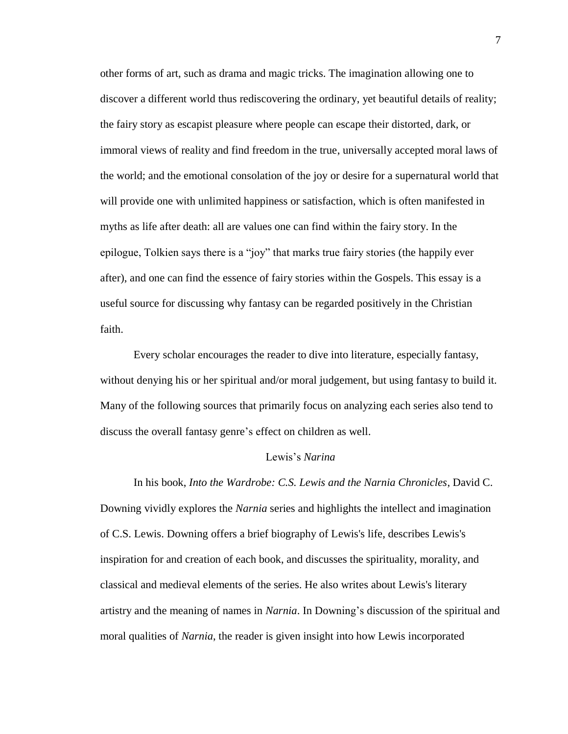other forms of art, such as drama and magic tricks. The imagination allowing one to discover a different world thus rediscovering the ordinary, yet beautiful details of reality; the fairy story as escapist pleasure where people can escape their distorted, dark, or immoral views of reality and find freedom in the true, universally accepted moral laws of the world; and the emotional consolation of the joy or desire for a supernatural world that will provide one with unlimited happiness or satisfaction, which is often manifested in myths as life after death: all are values one can find within the fairy story. In the epilogue, Tolkien says there is a "joy" that marks true fairy stories (the happily ever after), and one can find the essence of fairy stories within the Gospels. This essay is a useful source for discussing why fantasy can be regarded positively in the Christian faith.

Every scholar encourages the reader to dive into literature, especially fantasy, without denying his or her spiritual and/or moral judgement, but using fantasy to build it. Many of the following sources that primarily focus on analyzing each series also tend to discuss the overall fantasy genre's effect on children as well.

# Lewis's *Narina*

In his book, *Into the Wardrobe: C.S. Lewis and the Narnia Chronicles*, David C. Downing vividly explores the *Narnia* series and highlights the intellect and imagination of C.S. Lewis. Downing offers a brief biography of Lewis's life, describes Lewis's inspiration for and creation of each book, and discusses the spirituality, morality, and classical and medieval elements of the series. He also writes about Lewis's literary artistry and the meaning of names in *Narnia*. In Downing's discussion of the spiritual and moral qualities of *Narnia*, the reader is given insight into how Lewis incorporated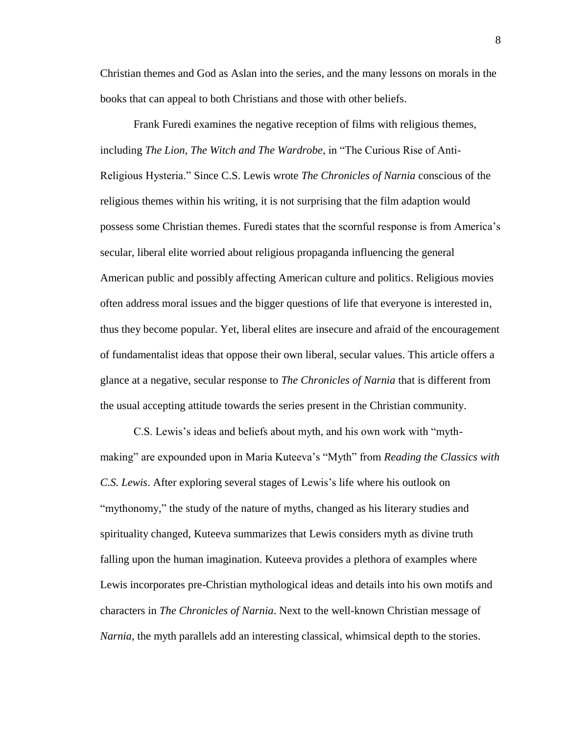Christian themes and God as Aslan into the series, and the many lessons on morals in the books that can appeal to both Christians and those with other beliefs.

Frank Furedi examines the negative reception of films with religious themes, including *The Lion, The Witch and The Wardrobe*, in "The Curious Rise of Anti-Religious Hysteria." Since C.S. Lewis wrote *The Chronicles of Narnia* conscious of the religious themes within his writing, it is not surprising that the film adaption would possess some Christian themes. Furedi states that the scornful response is from America's secular, liberal elite worried about religious propaganda influencing the general American public and possibly affecting American culture and politics. Religious movies often address moral issues and the bigger questions of life that everyone is interested in, thus they become popular. Yet, liberal elites are insecure and afraid of the encouragement of fundamentalist ideas that oppose their own liberal, secular values. This article offers a glance at a negative, secular response to *The Chronicles of Narnia* that is different from the usual accepting attitude towards the series present in the Christian community.

C.S. Lewis's ideas and beliefs about myth, and his own work with "mythmaking" are expounded upon in Maria Kuteeva's "Myth" from *Reading the Classics with C.S. Lewis*. After exploring several stages of Lewis's life where his outlook on "mythonomy," the study of the nature of myths, changed as his literary studies and spirituality changed, Kuteeva summarizes that Lewis considers myth as divine truth falling upon the human imagination. Kuteeva provides a plethora of examples where Lewis incorporates pre-Christian mythological ideas and details into his own motifs and characters in *The Chronicles of Narnia*. Next to the well-known Christian message of *Narnia*, the myth parallels add an interesting classical, whimsical depth to the stories.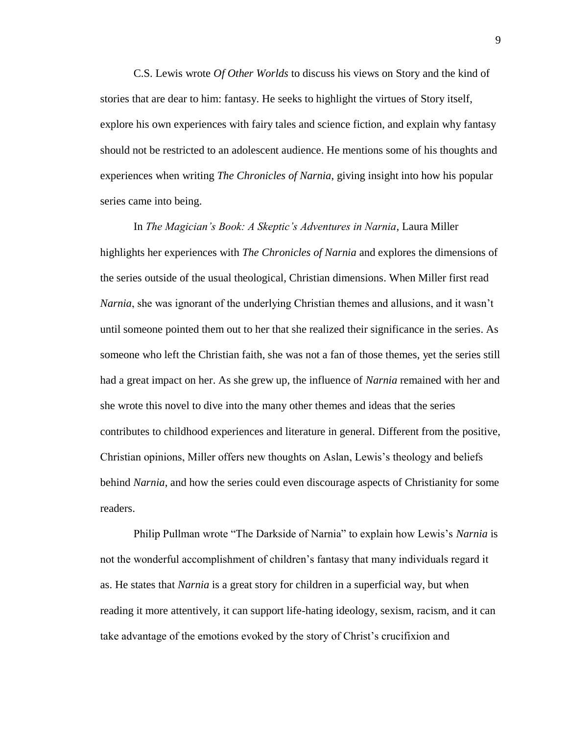C.S. Lewis wrote *Of Other Worlds* to discuss his views on Story and the kind of stories that are dear to him: fantasy. He seeks to highlight the virtues of Story itself, explore his own experiences with fairy tales and science fiction, and explain why fantasy should not be restricted to an adolescent audience. He mentions some of his thoughts and experiences when writing *The Chronicles of Narnia*, giving insight into how his popular series came into being.

In *The Magician's Book: A Skeptic's Adventures in Narnia*, Laura Miller highlights her experiences with *The Chronicles of Narnia* and explores the dimensions of the series outside of the usual theological, Christian dimensions. When Miller first read *Narnia*, she was ignorant of the underlying Christian themes and allusions, and it wasn't until someone pointed them out to her that she realized their significance in the series. As someone who left the Christian faith, she was not a fan of those themes, yet the series still had a great impact on her. As she grew up, the influence of *Narnia* remained with her and she wrote this novel to dive into the many other themes and ideas that the series contributes to childhood experiences and literature in general. Different from the positive, Christian opinions, Miller offers new thoughts on Aslan, Lewis's theology and beliefs behind *Narnia*, and how the series could even discourage aspects of Christianity for some readers.

Philip Pullman wrote "The Darkside of Narnia" to explain how Lewis's *Narnia* is not the wonderful accomplishment of children's fantasy that many individuals regard it as. He states that *Narnia* is a great story for children in a superficial way, but when reading it more attentively, it can support life-hating ideology, sexism, racism, and it can take advantage of the emotions evoked by the story of Christ's crucifixion and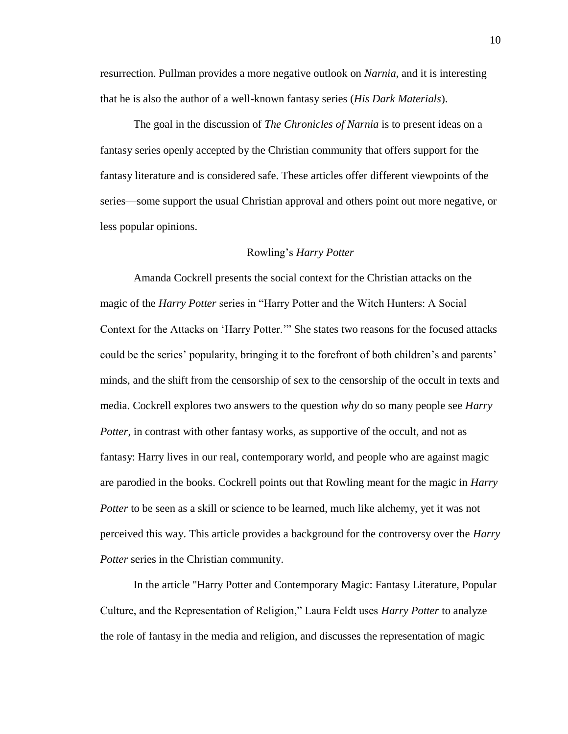resurrection. Pullman provides a more negative outlook on *Narnia*, and it is interesting that he is also the author of a well-known fantasy series (*His Dark Materials*).

The goal in the discussion of *The Chronicles of Narnia* is to present ideas on a fantasy series openly accepted by the Christian community that offers support for the fantasy literature and is considered safe. These articles offer different viewpoints of the series––some support the usual Christian approval and others point out more negative, or less popular opinions.

#### Rowling's *Harry Potter*

Amanda Cockrell presents the social context for the Christian attacks on the magic of the *Harry Potter* series in "Harry Potter and the Witch Hunters: A Social Context for the Attacks on 'Harry Potter.'" She states two reasons for the focused attacks could be the series' popularity, bringing it to the forefront of both children's and parents' minds, and the shift from the censorship of sex to the censorship of the occult in texts and media. Cockrell explores two answers to the question *why* do so many people see *Harry Potter*, in contrast with other fantasy works, as supportive of the occult, and not as fantasy: Harry lives in our real, contemporary world, and people who are against magic are parodied in the books. Cockrell points out that Rowling meant for the magic in *Harry Potter* to be seen as a skill or science to be learned, much like alchemy, yet it was not perceived this way. This article provides a background for the controversy over the *Harry Potter* series in the Christian community.

In the article "Harry Potter and Contemporary Magic: Fantasy Literature, Popular Culture, and the Representation of Religion," Laura Feldt uses *Harry Potter* to analyze the role of fantasy in the media and religion, and discusses the representation of magic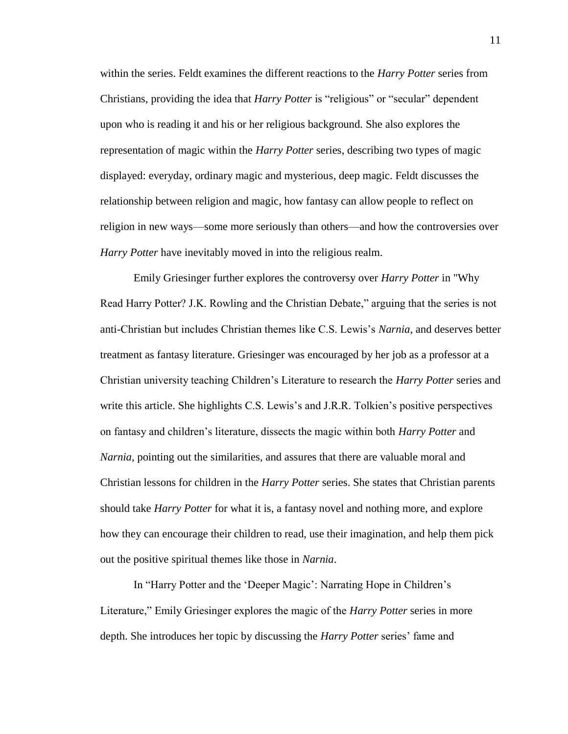within the series. Feldt examines the different reactions to the *Harry Potter* series from Christians, providing the idea that *Harry Potter* is "religious" or "secular" dependent upon who is reading it and his or her religious background. She also explores the representation of magic within the *Harry Potter* series, describing two types of magic displayed: everyday, ordinary magic and mysterious, deep magic. Feldt discusses the relationship between religion and magic, how fantasy can allow people to reflect on religion in new ways––some more seriously than others––and how the controversies over *Harry Potter* have inevitably moved in into the religious realm.

Emily Griesinger further explores the controversy over *Harry Potter* in "Why Read Harry Potter? J.K. Rowling and the Christian Debate," arguing that the series is not anti-Christian but includes Christian themes like C.S. Lewis's *Narnia*, and deserves better treatment as fantasy literature. Griesinger was encouraged by her job as a professor at a Christian university teaching Children's Literature to research the *Harry Potter* series and write this article. She highlights C.S. Lewis's and J.R.R. Tolkien's positive perspectives on fantasy and children's literature, dissects the magic within both *Harry Potter* and *Narnia*, pointing out the similarities, and assures that there are valuable moral and Christian lessons for children in the *Harry Potter* series. She states that Christian parents should take *Harry Potter* for what it is, a fantasy novel and nothing more, and explore how they can encourage their children to read, use their imagination, and help them pick out the positive spiritual themes like those in *Narnia*.

In "Harry Potter and the 'Deeper Magic': Narrating Hope in Children's Literature," Emily Griesinger explores the magic of the *Harry Potter* series in more depth. She introduces her topic by discussing the *Harry Potter* series' fame and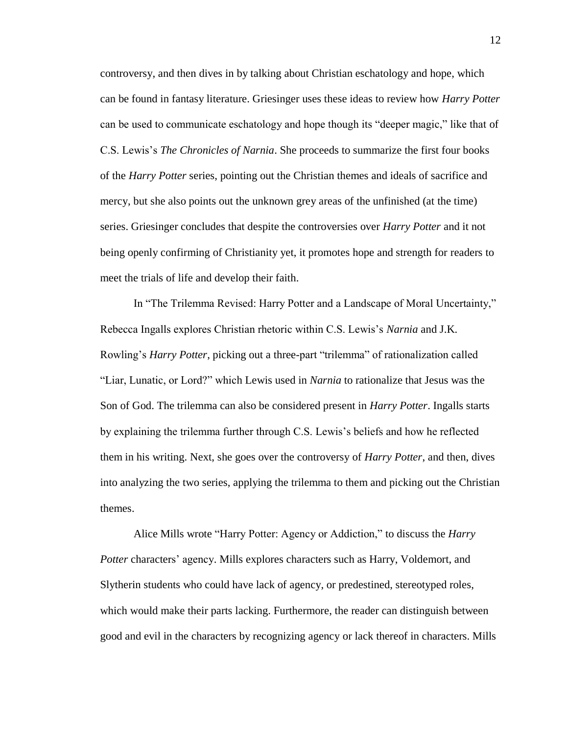controversy, and then dives in by talking about Christian eschatology and hope, which can be found in fantasy literature. Griesinger uses these ideas to review how *Harry Potter* can be used to communicate eschatology and hope though its "deeper magic," like that of C.S. Lewis's *The Chronicles of Narnia*. She proceeds to summarize the first four books of the *Harry Potter* series, pointing out the Christian themes and ideals of sacrifice and mercy, but she also points out the unknown grey areas of the unfinished (at the time) series. Griesinger concludes that despite the controversies over *Harry Potter* and it not being openly confirming of Christianity yet, it promotes hope and strength for readers to meet the trials of life and develop their faith.

In "The Trilemma Revised: Harry Potter and a Landscape of Moral Uncertainty," Rebecca Ingalls explores Christian rhetoric within C.S. Lewis's *Narnia* and J.K. Rowling's *Harry Potter*, picking out a three-part "trilemma" of rationalization called "Liar, Lunatic, or Lord?" which Lewis used in *Narnia* to rationalize that Jesus was the Son of God. The trilemma can also be considered present in *Harry Potter*. Ingalls starts by explaining the trilemma further through C.S. Lewis's beliefs and how he reflected them in his writing. Next, she goes over the controversy of *Harry Potter*, and then, dives into analyzing the two series, applying the trilemma to them and picking out the Christian themes.

Alice Mills wrote "Harry Potter: Agency or Addiction," to discuss the *Harry Potter* characters' agency. Mills explores characters such as Harry, Voldemort, and Slytherin students who could have lack of agency, or predestined, stereotyped roles, which would make their parts lacking. Furthermore, the reader can distinguish between good and evil in the characters by recognizing agency or lack thereof in characters. Mills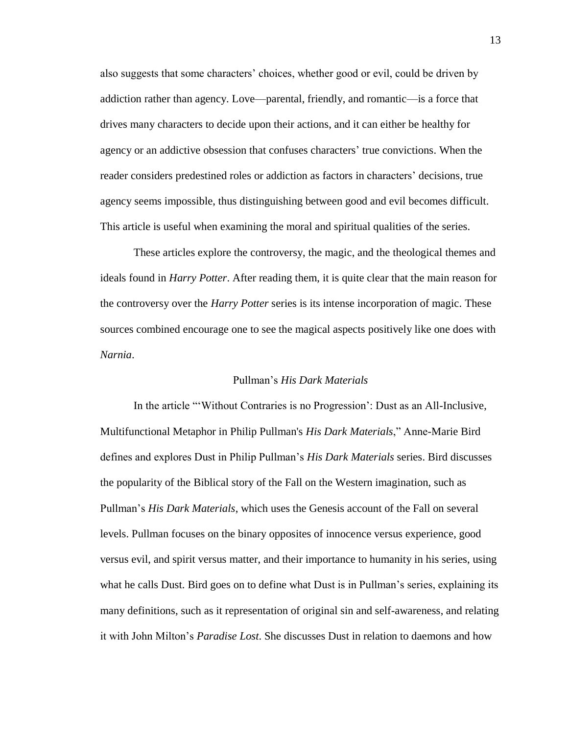also suggests that some characters' choices, whether good or evil, could be driven by addiction rather than agency. Love––parental, friendly, and romantic––is a force that drives many characters to decide upon their actions, and it can either be healthy for agency or an addictive obsession that confuses characters' true convictions. When the reader considers predestined roles or addiction as factors in characters' decisions, true agency seems impossible, thus distinguishing between good and evil becomes difficult. This article is useful when examining the moral and spiritual qualities of the series.

These articles explore the controversy, the magic, and the theological themes and ideals found in *Harry Potter*. After reading them, it is quite clear that the main reason for the controversy over the *Harry Potter* series is its intense incorporation of magic. These sources combined encourage one to see the magical aspects positively like one does with *Narnia*.

# Pullman's *His Dark Materials*

In the article "'Without Contraries is no Progression': Dust as an All-Inclusive, Multifunctional Metaphor in Philip Pullman's *His Dark Materials*," Anne-Marie Bird defines and explores Dust in Philip Pullman's *His Dark Materials* series. Bird discusses the popularity of the Biblical story of the Fall on the Western imagination, such as Pullman's *His Dark Materials*, which uses the Genesis account of the Fall on several levels. Pullman focuses on the binary opposites of innocence versus experience, good versus evil, and spirit versus matter, and their importance to humanity in his series, using what he calls Dust. Bird goes on to define what Dust is in Pullman's series, explaining its many definitions, such as it representation of original sin and self-awareness, and relating it with John Milton's *Paradise Lost*. She discusses Dust in relation to daemons and how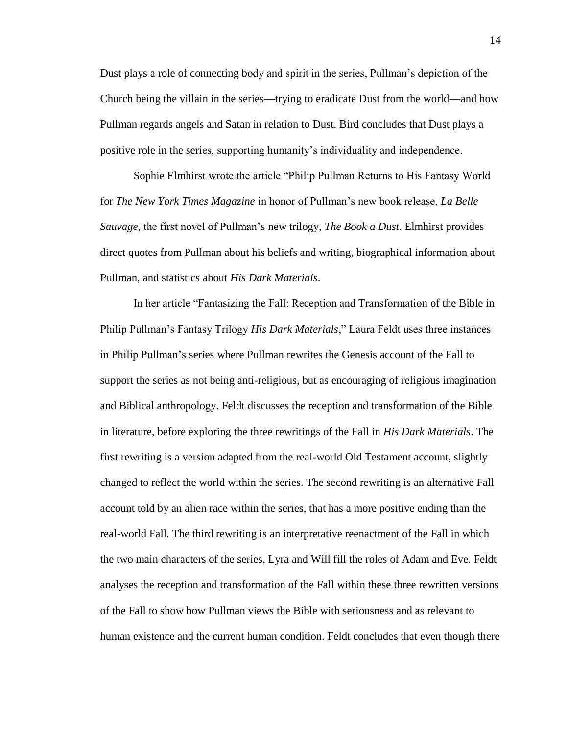Dust plays a role of connecting body and spirit in the series, Pullman's depiction of the Church being the villain in the series—trying to eradicate Dust from the world—and how Pullman regards angels and Satan in relation to Dust. Bird concludes that Dust plays a positive role in the series, supporting humanity's individuality and independence.

Sophie Elmhirst wrote the article "Philip Pullman Returns to His Fantasy World for *The New York Times Magazine* in honor of Pullman's new book release, *La Belle Sauvage,* the first novel of Pullman's new trilogy, *The Book a Dust*. Elmhirst provides direct quotes from Pullman about his beliefs and writing, biographical information about Pullman, and statistics about *His Dark Materials*.

In her article "Fantasizing the Fall: Reception and Transformation of the Bible in Philip Pullman's Fantasy Trilogy *His Dark Materials*," Laura Feldt uses three instances in Philip Pullman's series where Pullman rewrites the Genesis account of the Fall to support the series as not being anti-religious, but as encouraging of religious imagination and Biblical anthropology. Feldt discusses the reception and transformation of the Bible in literature, before exploring the three rewritings of the Fall in *His Dark Materials*. The first rewriting is a version adapted from the real-world Old Testament account, slightly changed to reflect the world within the series. The second rewriting is an alternative Fall account told by an alien race within the series, that has a more positive ending than the real-world Fall. The third rewriting is an interpretative reenactment of the Fall in which the two main characters of the series, Lyra and Will fill the roles of Adam and Eve. Feldt analyses the reception and transformation of the Fall within these three rewritten versions of the Fall to show how Pullman views the Bible with seriousness and as relevant to human existence and the current human condition. Feldt concludes that even though there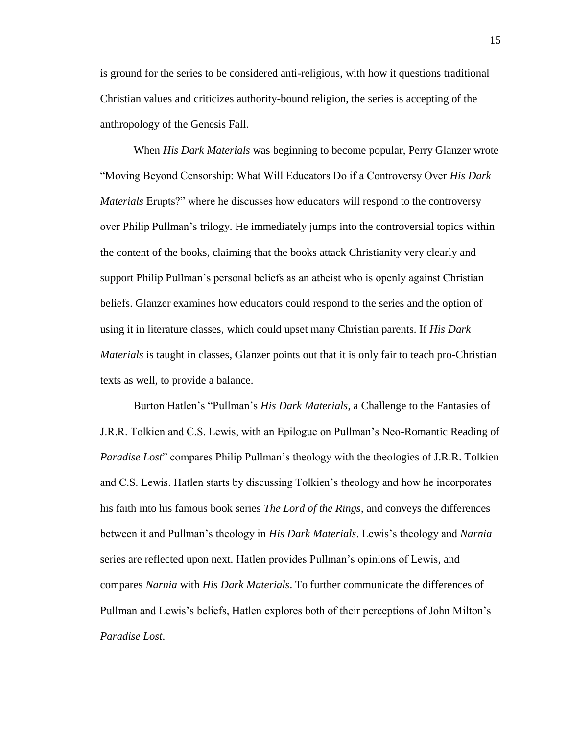is ground for the series to be considered anti-religious, with how it questions traditional Christian values and criticizes authority-bound religion, the series is accepting of the anthropology of the Genesis Fall.

When *His Dark Materials* was beginning to become popular, Perry Glanzer wrote "Moving Beyond Censorship: What Will Educators Do if a Controversy Over *His Dark Materials* Erupts?" where he discusses how educators will respond to the controversy over Philip Pullman's trilogy. He immediately jumps into the controversial topics within the content of the books, claiming that the books attack Christianity very clearly and support Philip Pullman's personal beliefs as an atheist who is openly against Christian beliefs. Glanzer examines how educators could respond to the series and the option of using it in literature classes, which could upset many Christian parents. If *His Dark Materials* is taught in classes, Glanzer points out that it is only fair to teach pro-Christian texts as well, to provide a balance.

Burton Hatlen's "Pullman's *His Dark Materials*, a Challenge to the Fantasies of J.R.R. Tolkien and C.S. Lewis, with an Epilogue on Pullman's Neo-Romantic Reading of *Paradise Lost*" compares Philip Pullman's theology with the theologies of J.R.R. Tolkien and C.S. Lewis. Hatlen starts by discussing Tolkien's theology and how he incorporates his faith into his famous book series *The Lord of the Rings*, and conveys the differences between it and Pullman's theology in *His Dark Materials*. Lewis's theology and *Narnia*  series are reflected upon next. Hatlen provides Pullman's opinions of Lewis, and compares *Narnia* with *His Dark Materials*. To further communicate the differences of Pullman and Lewis's beliefs, Hatlen explores both of their perceptions of John Milton's *Paradise Lost*.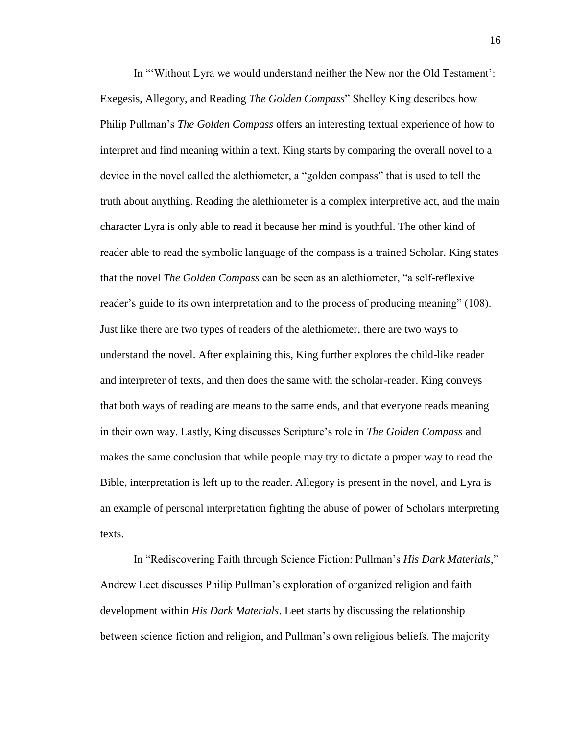In "'Without Lyra we would understand neither the New nor the Old Testament': Exegesis, Allegory, and Reading *The Golden Compass*" Shelley King describes how Philip Pullman's *The Golden Compass* offers an interesting textual experience of how to interpret and find meaning within a text. King starts by comparing the overall novel to a device in the novel called the alethiometer, a "golden compass" that is used to tell the truth about anything. Reading the alethiometer is a complex interpretive act, and the main character Lyra is only able to read it because her mind is youthful. The other kind of reader able to read the symbolic language of the compass is a trained Scholar. King states that the novel *The Golden Compass* can be seen as an alethiometer, "a self-reflexive reader's guide to its own interpretation and to the process of producing meaning" (108). Just like there are two types of readers of the alethiometer, there are two ways to understand the novel. After explaining this, King further explores the child-like reader and interpreter of texts, and then does the same with the scholar-reader. King conveys that both ways of reading are means to the same ends, and that everyone reads meaning in their own way. Lastly, King discusses Scripture's role in *The Golden Compass* and makes the same conclusion that while people may try to dictate a proper way to read the Bible, interpretation is left up to the reader. Allegory is present in the novel, and Lyra is an example of personal interpretation fighting the abuse of power of Scholars interpreting texts.

In "Rediscovering Faith through Science Fiction: Pullman's *His Dark Materials*," Andrew Leet discusses Philip Pullman's exploration of organized religion and faith development within *His Dark Materials*. Leet starts by discussing the relationship between science fiction and religion, and Pullman's own religious beliefs. The majority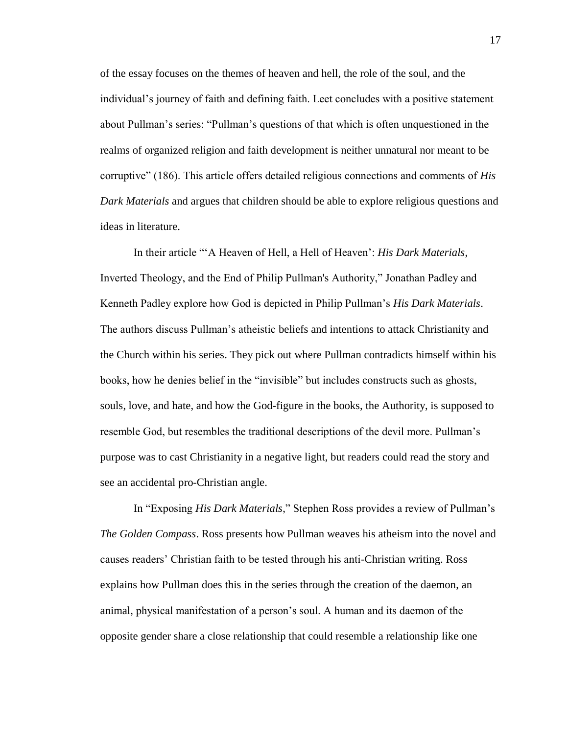of the essay focuses on the themes of heaven and hell, the role of the soul, and the individual's journey of faith and defining faith. Leet concludes with a positive statement about Pullman's series: "Pullman's questions of that which is often unquestioned in the realms of organized religion and faith development is neither unnatural nor meant to be corruptive" (186). This article offers detailed religious connections and comments of *His Dark Materials* and argues that children should be able to explore religious questions and ideas in literature.

In their article "'A Heaven of Hell, a Hell of Heaven': *His Dark Materials*, Inverted Theology, and the End of Philip Pullman's Authority," Jonathan Padley and Kenneth Padley explore how God is depicted in Philip Pullman's *His Dark Materials*. The authors discuss Pullman's atheistic beliefs and intentions to attack Christianity and the Church within his series. They pick out where Pullman contradicts himself within his books, how he denies belief in the "invisible" but includes constructs such as ghosts, souls, love, and hate, and how the God-figure in the books, the Authority, is supposed to resemble God, but resembles the traditional descriptions of the devil more. Pullman's purpose was to cast Christianity in a negative light, but readers could read the story and see an accidental pro-Christian angle.

In "Exposing *His Dark Materials*," Stephen Ross provides a review of Pullman's *The Golden Compass*. Ross presents how Pullman weaves his atheism into the novel and causes readers' Christian faith to be tested through his anti-Christian writing. Ross explains how Pullman does this in the series through the creation of the daemon, an animal, physical manifestation of a person's soul. A human and its daemon of the opposite gender share a close relationship that could resemble a relationship like one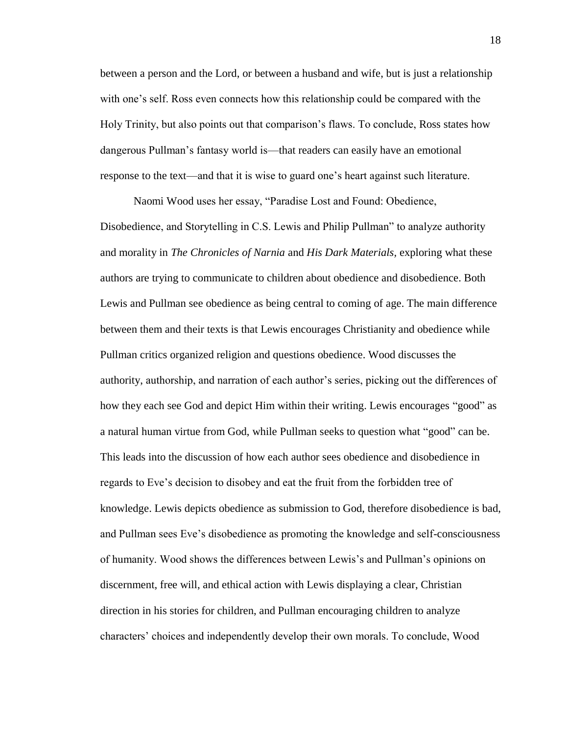between a person and the Lord, or between a husband and wife, but is just a relationship with one's self. Ross even connects how this relationship could be compared with the Holy Trinity, but also points out that comparison's flaws. To conclude, Ross states how dangerous Pullman's fantasy world is—that readers can easily have an emotional response to the text—and that it is wise to guard one's heart against such literature.

Naomi Wood uses her essay, "Paradise Lost and Found: Obedience, Disobedience, and Storytelling in C.S. Lewis and Philip Pullman" to analyze authority and morality in *The Chronicles of Narnia* and *His Dark Materials,* exploring what these authors are trying to communicate to children about obedience and disobedience. Both Lewis and Pullman see obedience as being central to coming of age. The main difference between them and their texts is that Lewis encourages Christianity and obedience while Pullman critics organized religion and questions obedience. Wood discusses the authority, authorship, and narration of each author's series, picking out the differences of how they each see God and depict Him within their writing. Lewis encourages "good" as a natural human virtue from God, while Pullman seeks to question what "good" can be. This leads into the discussion of how each author sees obedience and disobedience in regards to Eve's decision to disobey and eat the fruit from the forbidden tree of knowledge. Lewis depicts obedience as submission to God, therefore disobedience is bad, and Pullman sees Eve's disobedience as promoting the knowledge and self-consciousness of humanity. Wood shows the differences between Lewis's and Pullman's opinions on discernment, free will, and ethical action with Lewis displaying a clear, Christian direction in his stories for children, and Pullman encouraging children to analyze characters' choices and independently develop their own morals. To conclude, Wood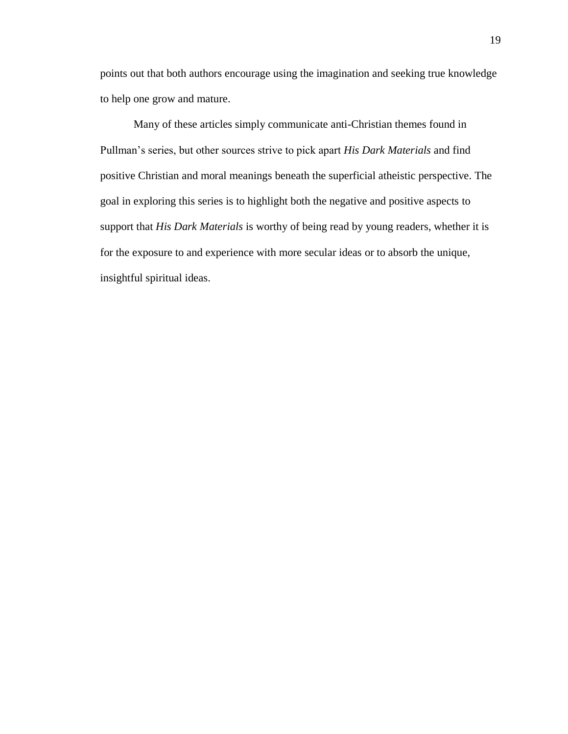points out that both authors encourage using the imagination and seeking true knowledge to help one grow and mature.

Many of these articles simply communicate anti-Christian themes found in Pullman's series, but other sources strive to pick apart *His Dark Materials* and find positive Christian and moral meanings beneath the superficial atheistic perspective. The goal in exploring this series is to highlight both the negative and positive aspects to support that *His Dark Materials* is worthy of being read by young readers, whether it is for the exposure to and experience with more secular ideas or to absorb the unique, insightful spiritual ideas.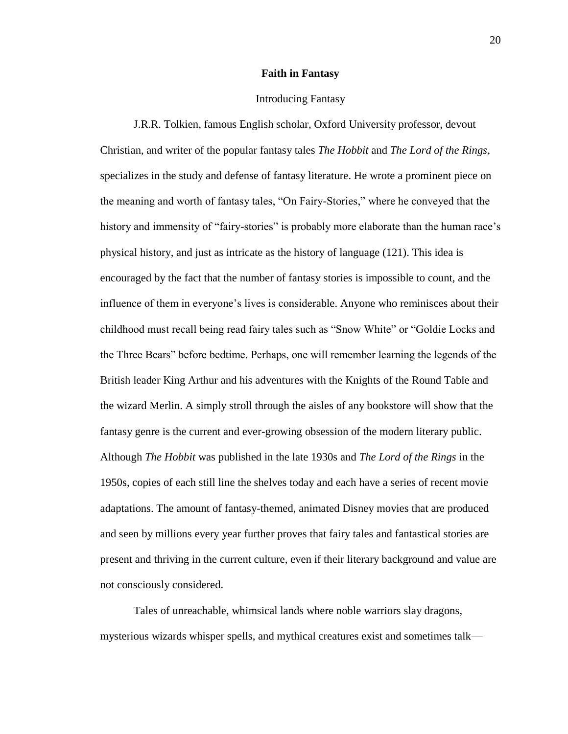#### **Faith in Fantasy**

# Introducing Fantasy

J.R.R. Tolkien, famous English scholar, Oxford University professor, devout Christian, and writer of the popular fantasy tales *The Hobbit* and *The Lord of the Rings*, specializes in the study and defense of fantasy literature. He wrote a prominent piece on the meaning and worth of fantasy tales, "On Fairy-Stories," where he conveyed that the history and immensity of "fairy-stories" is probably more elaborate than the human race's physical history, and just as intricate as the history of language (121). This idea is encouraged by the fact that the number of fantasy stories is impossible to count, and the influence of them in everyone's lives is considerable. Anyone who reminisces about their childhood must recall being read fairy tales such as "Snow White" or "Goldie Locks and the Three Bears" before bedtime. Perhaps, one will remember learning the legends of the British leader King Arthur and his adventures with the Knights of the Round Table and the wizard Merlin. A simply stroll through the aisles of any bookstore will show that the fantasy genre is the current and ever-growing obsession of the modern literary public. Although *The Hobbit* was published in the late 1930s and *The Lord of the Rings* in the 1950s, copies of each still line the shelves today and each have a series of recent movie adaptations. The amount of fantasy-themed, animated Disney movies that are produced and seen by millions every year further proves that fairy tales and fantastical stories are present and thriving in the current culture, even if their literary background and value are not consciously considered.

Tales of unreachable, whimsical lands where noble warriors slay dragons, mysterious wizards whisper spells, and mythical creatures exist and sometimes talk––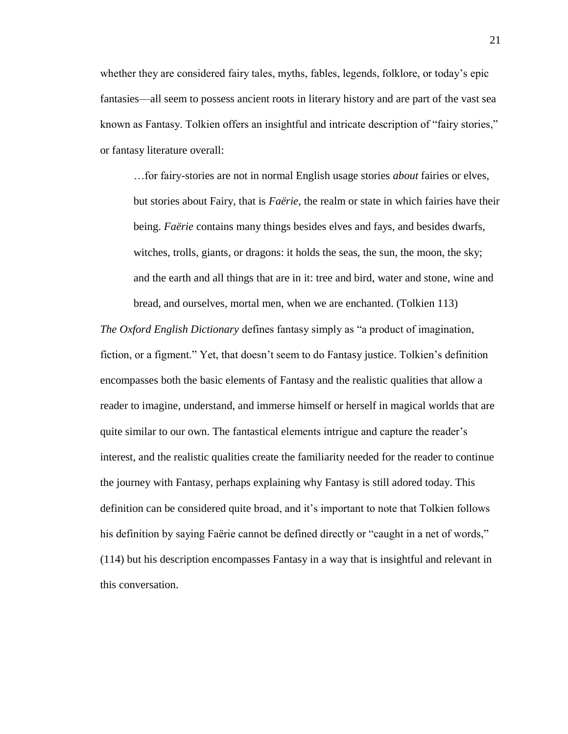whether they are considered fairy tales, myths, fables, legends, folklore, or today's epic fantasies—all seem to possess ancient roots in literary history and are part of the vast sea known as Fantasy. Tolkien offers an insightful and intricate description of "fairy stories," or fantasy literature overall:

…for fairy-stories are not in normal English usage stories *about* fairies or elves, but stories about Fairy, that is *Faërie*, the realm or state in which fairies have their being. *Faërie* contains many things besides elves and fays, and besides dwarfs, witches, trolls, giants, or dragons: it holds the seas, the sun, the moon, the sky; and the earth and all things that are in it: tree and bird, water and stone, wine and bread, and ourselves, mortal men, when we are enchanted. (Tolkien 113)

*The Oxford English Dictionary* defines fantasy simply as "a product of imagination, fiction, or a figment." Yet, that doesn't seem to do Fantasy justice. Tolkien's definition encompasses both the basic elements of Fantasy and the realistic qualities that allow a reader to imagine, understand, and immerse himself or herself in magical worlds that are quite similar to our own. The fantastical elements intrigue and capture the reader's interest, and the realistic qualities create the familiarity needed for the reader to continue the journey with Fantasy, perhaps explaining why Fantasy is still adored today. This definition can be considered quite broad, and it's important to note that Tolkien follows his definition by saying Faërie cannot be defined directly or "caught in a net of words," (114) but his description encompasses Fantasy in a way that is insightful and relevant in this conversation.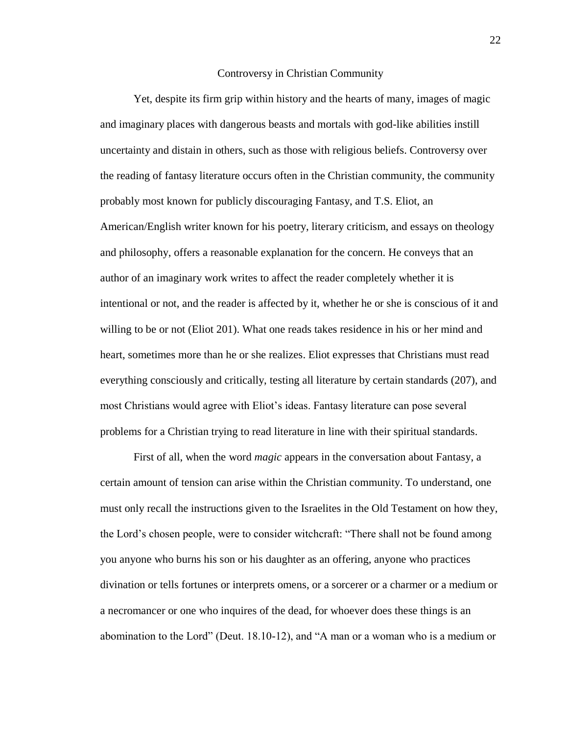#### Controversy in Christian Community

Yet, despite its firm grip within history and the hearts of many, images of magic and imaginary places with dangerous beasts and mortals with god-like abilities instill uncertainty and distain in others, such as those with religious beliefs. Controversy over the reading of fantasy literature occurs often in the Christian community, the community probably most known for publicly discouraging Fantasy, and T.S. Eliot, an American/English writer known for his poetry, literary criticism, and essays on theology and philosophy, offers a reasonable explanation for the concern. He conveys that an author of an imaginary work writes to affect the reader completely whether it is intentional or not, and the reader is affected by it, whether he or she is conscious of it and willing to be or not (Eliot 201). What one reads takes residence in his or her mind and heart, sometimes more than he or she realizes. Eliot expresses that Christians must read everything consciously and critically, testing all literature by certain standards (207), and most Christians would agree with Eliot's ideas. Fantasy literature can pose several problems for a Christian trying to read literature in line with their spiritual standards.

First of all, when the word *magic* appears in the conversation about Fantasy, a certain amount of tension can arise within the Christian community. To understand, one must only recall the instructions given to the Israelites in the Old Testament on how they, the Lord's chosen people, were to consider witchcraft: "There shall not be found among you anyone who burns his son or his daughter as an offering, anyone who practices divination or tells fortunes or interprets omens, or a sorcerer or a charmer or a medium or a necromancer or one who inquires of the dead, for whoever does these things is an abomination to the Lord" (Deut. 18.10-12), and "A man or a woman who is a medium or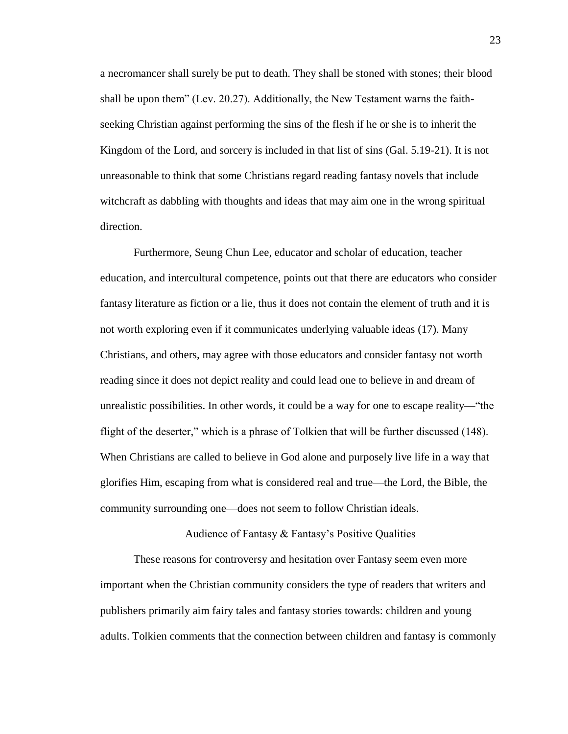a necromancer shall surely be put to death. They shall be stoned with stones; their blood shall be upon them" (Lev. 20.27). Additionally, the New Testament warns the faithseeking Christian against performing the sins of the flesh if he or she is to inherit the Kingdom of the Lord, and sorcery is included in that list of sins (Gal. 5.19-21). It is not unreasonable to think that some Christians regard reading fantasy novels that include witchcraft as dabbling with thoughts and ideas that may aim one in the wrong spiritual direction.

Furthermore, Seung Chun Lee, educator and scholar of education, teacher education, and intercultural competence, points out that there are educators who consider fantasy literature as fiction or a lie, thus it does not contain the element of truth and it is not worth exploring even if it communicates underlying valuable ideas (17). Many Christians, and others, may agree with those educators and consider fantasy not worth reading since it does not depict reality and could lead one to believe in and dream of unrealistic possibilities. In other words, it could be a way for one to escape reality—"the flight of the deserter," which is a phrase of Tolkien that will be further discussed (148). When Christians are called to believe in God alone and purposely live life in a way that glorifies Him, escaping from what is considered real and true—the Lord, the Bible, the community surrounding one—does not seem to follow Christian ideals.

Audience of Fantasy & Fantasy's Positive Qualities

These reasons for controversy and hesitation over Fantasy seem even more important when the Christian community considers the type of readers that writers and publishers primarily aim fairy tales and fantasy stories towards: children and young adults. Tolkien comments that the connection between children and fantasy is commonly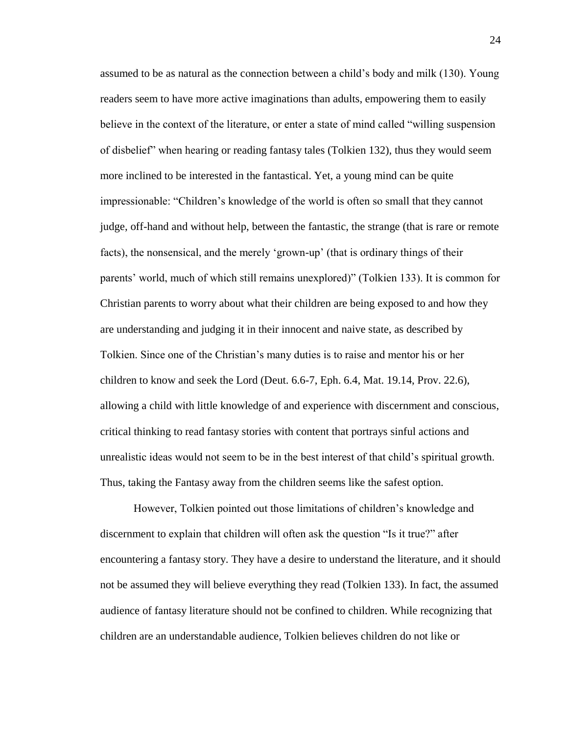assumed to be as natural as the connection between a child's body and milk (130). Young readers seem to have more active imaginations than adults, empowering them to easily believe in the context of the literature, or enter a state of mind called "willing suspension of disbelief" when hearing or reading fantasy tales (Tolkien 132), thus they would seem more inclined to be interested in the fantastical. Yet, a young mind can be quite impressionable: "Children's knowledge of the world is often so small that they cannot judge, off-hand and without help, between the fantastic, the strange (that is rare or remote facts), the nonsensical, and the merely 'grown-up' (that is ordinary things of their parents' world, much of which still remains unexplored)" (Tolkien 133). It is common for Christian parents to worry about what their children are being exposed to and how they are understanding and judging it in their innocent and naive state, as described by Tolkien. Since one of the Christian's many duties is to raise and mentor his or her children to know and seek the Lord (Deut. 6.6-7, Eph. 6.4, Mat. 19.14, Prov. 22.6), allowing a child with little knowledge of and experience with discernment and conscious, critical thinking to read fantasy stories with content that portrays sinful actions and unrealistic ideas would not seem to be in the best interest of that child's spiritual growth. Thus, taking the Fantasy away from the children seems like the safest option.

However, Tolkien pointed out those limitations of children's knowledge and discernment to explain that children will often ask the question "Is it true?" after encountering a fantasy story. They have a desire to understand the literature, and it should not be assumed they will believe everything they read (Tolkien 133). In fact, the assumed audience of fantasy literature should not be confined to children. While recognizing that children are an understandable audience, Tolkien believes children do not like or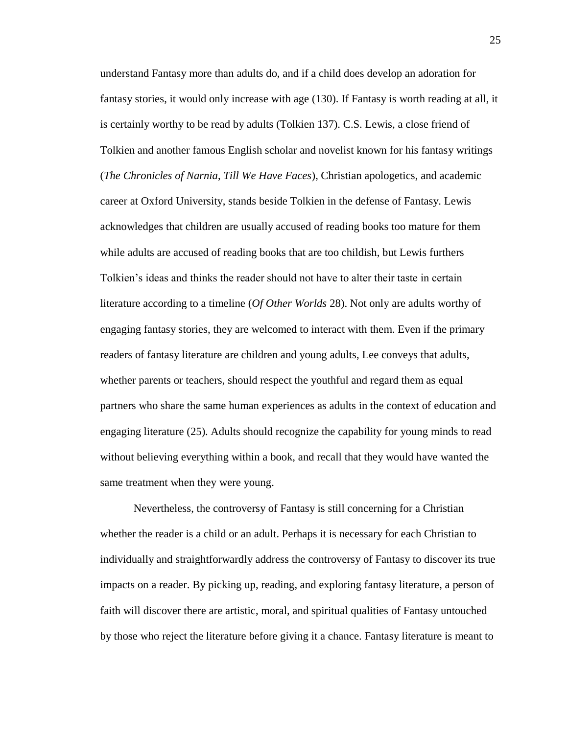understand Fantasy more than adults do, and if a child does develop an adoration for fantasy stories, it would only increase with age (130). If Fantasy is worth reading at all, it is certainly worthy to be read by adults (Tolkien 137). C.S. Lewis, a close friend of Tolkien and another famous English scholar and novelist known for his fantasy writings (*The Chronicles of Narnia*, *Till We Have Faces*), Christian apologetics, and academic career at Oxford University, stands beside Tolkien in the defense of Fantasy. Lewis acknowledges that children are usually accused of reading books too mature for them while adults are accused of reading books that are too childish, but Lewis furthers Tolkien's ideas and thinks the reader should not have to alter their taste in certain literature according to a timeline (*Of Other Worlds* 28). Not only are adults worthy of engaging fantasy stories, they are welcomed to interact with them. Even if the primary readers of fantasy literature are children and young adults, Lee conveys that adults, whether parents or teachers, should respect the youthful and regard them as equal partners who share the same human experiences as adults in the context of education and engaging literature (25). Adults should recognize the capability for young minds to read without believing everything within a book, and recall that they would have wanted the same treatment when they were young.

Nevertheless, the controversy of Fantasy is still concerning for a Christian whether the reader is a child or an adult. Perhaps it is necessary for each Christian to individually and straightforwardly address the controversy of Fantasy to discover its true impacts on a reader. By picking up, reading, and exploring fantasy literature, a person of faith will discover there are artistic, moral, and spiritual qualities of Fantasy untouched by those who reject the literature before giving it a chance. Fantasy literature is meant to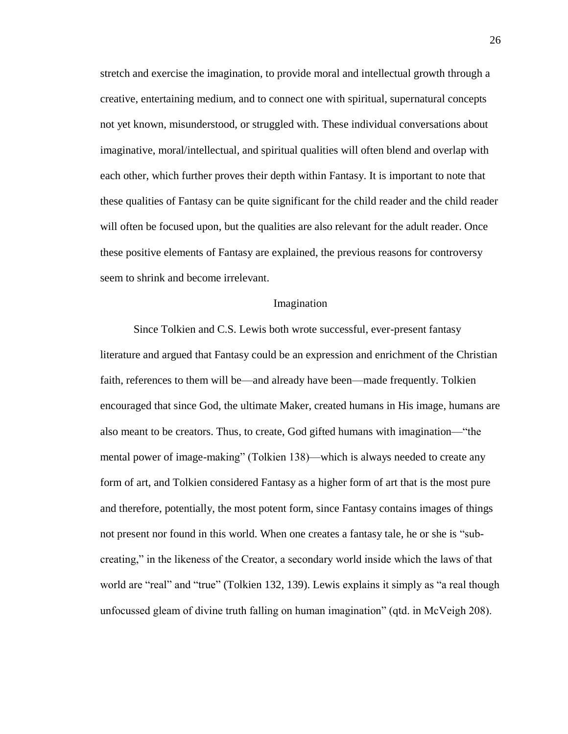stretch and exercise the imagination, to provide moral and intellectual growth through a creative, entertaining medium, and to connect one with spiritual, supernatural concepts not yet known, misunderstood, or struggled with. These individual conversations about imaginative, moral/intellectual, and spiritual qualities will often blend and overlap with each other, which further proves their depth within Fantasy. It is important to note that these qualities of Fantasy can be quite significant for the child reader and the child reader will often be focused upon, but the qualities are also relevant for the adult reader. Once these positive elements of Fantasy are explained, the previous reasons for controversy seem to shrink and become irrelevant.

#### Imagination

Since Tolkien and C.S. Lewis both wrote successful, ever-present fantasy literature and argued that Fantasy could be an expression and enrichment of the Christian faith, references to them will be—and already have been—made frequently. Tolkien encouraged that since God, the ultimate Maker, created humans in His image, humans are also meant to be creators. Thus, to create, God gifted humans with imagination—"the mental power of image-making" (Tolkien 138)—which is always needed to create any form of art, and Tolkien considered Fantasy as a higher form of art that is the most pure and therefore, potentially, the most potent form, since Fantasy contains images of things not present nor found in this world. When one creates a fantasy tale, he or she is "subcreating," in the likeness of the Creator, a secondary world inside which the laws of that world are "real" and "true" (Tolkien 132, 139). Lewis explains it simply as "a real though unfocussed gleam of divine truth falling on human imagination" (qtd. in McVeigh 208).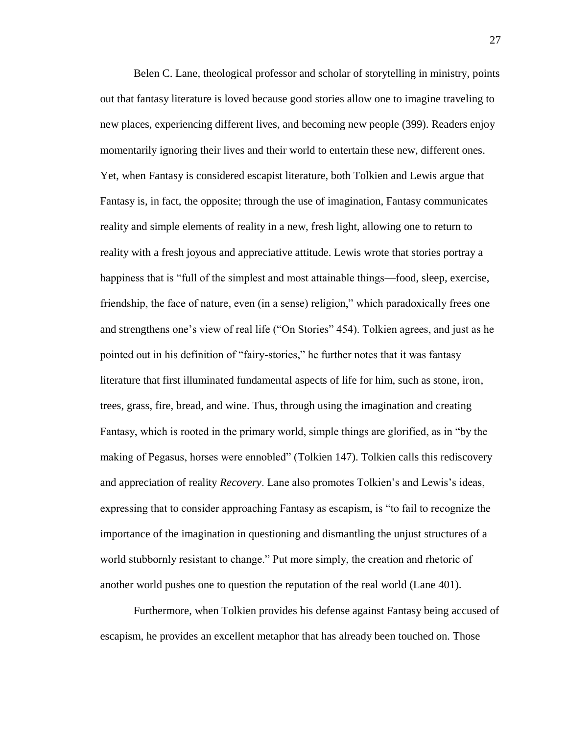Belen C. Lane, theological professor and scholar of storytelling in ministry, points out that fantasy literature is loved because good stories allow one to imagine traveling to new places, experiencing different lives, and becoming new people (399). Readers enjoy momentarily ignoring their lives and their world to entertain these new, different ones. Yet, when Fantasy is considered escapist literature, both Tolkien and Lewis argue that Fantasy is, in fact, the opposite; through the use of imagination, Fantasy communicates reality and simple elements of reality in a new, fresh light, allowing one to return to reality with a fresh joyous and appreciative attitude. Lewis wrote that stories portray a happiness that is "full of the simplest and most attainable things—food, sleep, exercise, friendship, the face of nature, even (in a sense) religion," which paradoxically frees one and strengthens one's view of real life ("On Stories" 454). Tolkien agrees, and just as he pointed out in his definition of "fairy-stories," he further notes that it was fantasy literature that first illuminated fundamental aspects of life for him, such as stone, iron, trees, grass, fire, bread, and wine. Thus, through using the imagination and creating Fantasy, which is rooted in the primary world, simple things are glorified, as in "by the making of Pegasus, horses were ennobled" (Tolkien 147). Tolkien calls this rediscovery and appreciation of reality *Recovery*. Lane also promotes Tolkien's and Lewis's ideas, expressing that to consider approaching Fantasy as escapism, is "to fail to recognize the importance of the imagination in questioning and dismantling the unjust structures of a world stubbornly resistant to change." Put more simply, the creation and rhetoric of another world pushes one to question the reputation of the real world (Lane 401).

Furthermore, when Tolkien provides his defense against Fantasy being accused of escapism, he provides an excellent metaphor that has already been touched on. Those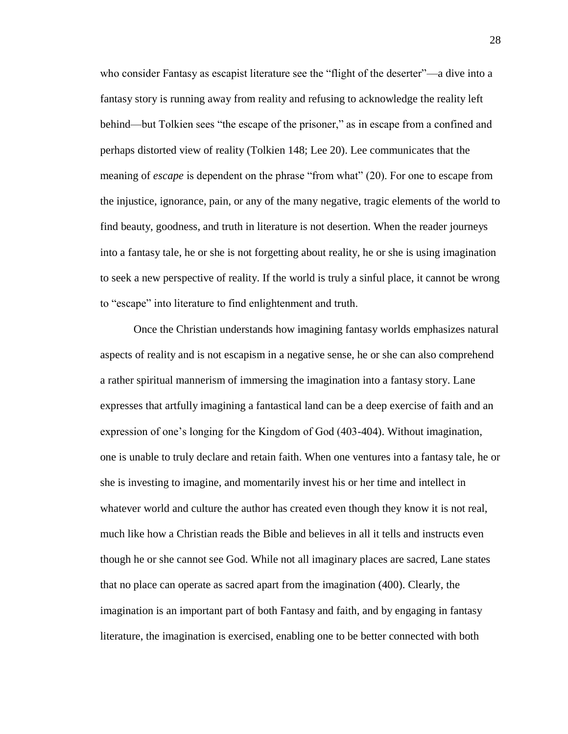who consider Fantasy as escapist literature see the "flight of the deserter"—a dive into a fantasy story is running away from reality and refusing to acknowledge the reality left behind—but Tolkien sees "the escape of the prisoner," as in escape from a confined and perhaps distorted view of reality (Tolkien 148; Lee 20). Lee communicates that the meaning of *escape* is dependent on the phrase "from what" (20). For one to escape from the injustice, ignorance, pain, or any of the many negative, tragic elements of the world to find beauty, goodness, and truth in literature is not desertion. When the reader journeys into a fantasy tale, he or she is not forgetting about reality, he or she is using imagination to seek a new perspective of reality. If the world is truly a sinful place, it cannot be wrong to "escape" into literature to find enlightenment and truth.

Once the Christian understands how imagining fantasy worlds emphasizes natural aspects of reality and is not escapism in a negative sense, he or she can also comprehend a rather spiritual mannerism of immersing the imagination into a fantasy story. Lane expresses that artfully imagining a fantastical land can be a deep exercise of faith and an expression of one's longing for the Kingdom of God (403-404). Without imagination, one is unable to truly declare and retain faith. When one ventures into a fantasy tale, he or she is investing to imagine, and momentarily invest his or her time and intellect in whatever world and culture the author has created even though they know it is not real, much like how a Christian reads the Bible and believes in all it tells and instructs even though he or she cannot see God. While not all imaginary places are sacred, Lane states that no place can operate as sacred apart from the imagination (400). Clearly, the imagination is an important part of both Fantasy and faith, and by engaging in fantasy literature, the imagination is exercised, enabling one to be better connected with both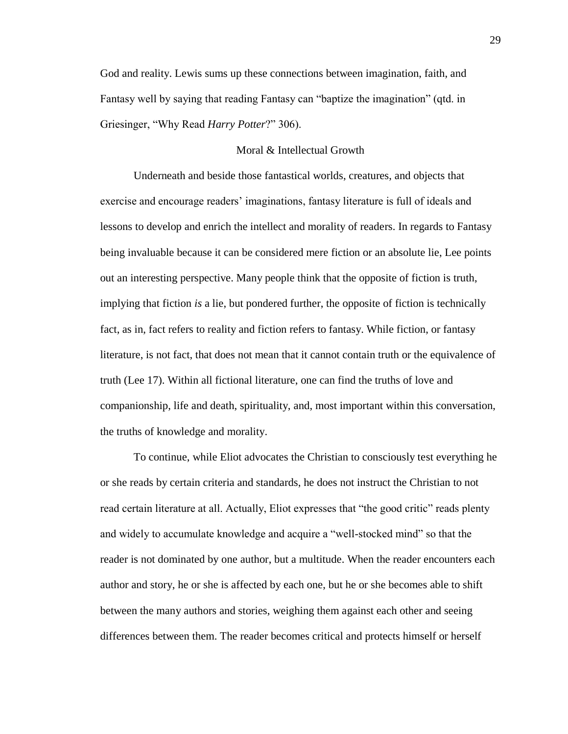God and reality. Lewis sums up these connections between imagination, faith, and Fantasy well by saying that reading Fantasy can "baptize the imagination" (qtd. in Griesinger, "Why Read *Harry Potter*?" 306).

# Moral & Intellectual Growth

Underneath and beside those fantastical worlds, creatures, and objects that exercise and encourage readers' imaginations, fantasy literature is full of ideals and lessons to develop and enrich the intellect and morality of readers. In regards to Fantasy being invaluable because it can be considered mere fiction or an absolute lie, Lee points out an interesting perspective. Many people think that the opposite of fiction is truth, implying that fiction *is* a lie, but pondered further, the opposite of fiction is technically fact, as in, fact refers to reality and fiction refers to fantasy. While fiction, or fantasy literature, is not fact, that does not mean that it cannot contain truth or the equivalence of truth (Lee 17). Within all fictional literature, one can find the truths of love and companionship, life and death, spirituality, and, most important within this conversation, the truths of knowledge and morality.

To continue, while Eliot advocates the Christian to consciously test everything he or she reads by certain criteria and standards, he does not instruct the Christian to not read certain literature at all. Actually, Eliot expresses that "the good critic" reads plenty and widely to accumulate knowledge and acquire a "well-stocked mind" so that the reader is not dominated by one author, but a multitude. When the reader encounters each author and story, he or she is affected by each one, but he or she becomes able to shift between the many authors and stories, weighing them against each other and seeing differences between them. The reader becomes critical and protects himself or herself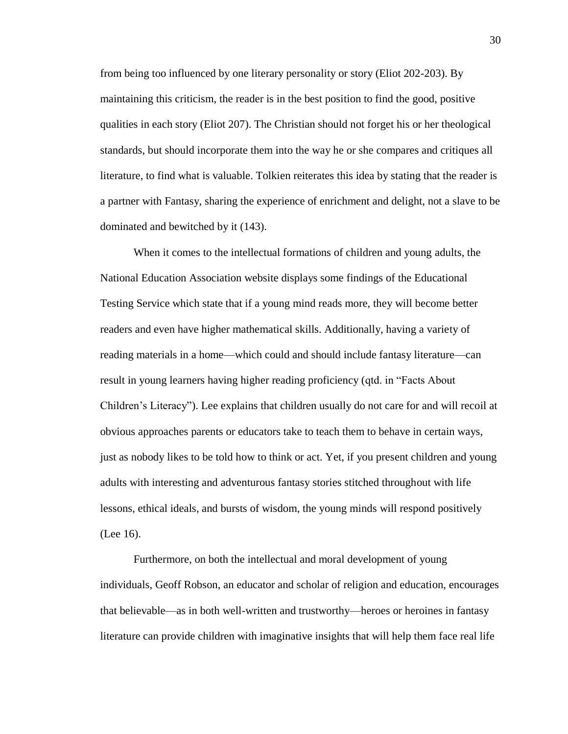from being too influenced by one literary personality or story (Eliot 202-203). By maintaining this criticism, the reader is in the best position to find the good, positive qualities in each story (Eliot 207). The Christian should not forget his or her theological standards, but should incorporate them into the way he or she compares and critiques all literature, to find what is valuable. Tolkien reiterates this idea by stating that the reader is a partner with Fantasy, sharing the experience of enrichment and delight, not a slave to be dominated and bewitched by it (143).

When it comes to the intellectual formations of children and young adults, the National Education Association website displays some findings of the Educational Testing Service which state that if a young mind reads more, they will become better readers and even have higher mathematical skills. Additionally, having a variety of reading materials in a home—which could and should include fantasy literature—can result in young learners having higher reading proficiency (qtd. in "Facts About Children's Literacy"). Lee explains that children usually do not care for and will recoil at obvious approaches parents or educators take to teach them to behave in certain ways, just as nobody likes to be told how to think or act. Yet, if you present children and young adults with interesting and adventurous fantasy stories stitched throughout with life lessons, ethical ideals, and bursts of wisdom, the young minds will respond positively (Lee 16).

Furthermore, on both the intellectual and moral development of young individuals, Geoff Robson, an educator and scholar of religion and education, encourages that believable—as in both well-written and trustworthy—heroes or heroines in fantasy literature can provide children with imaginative insights that will help them face real life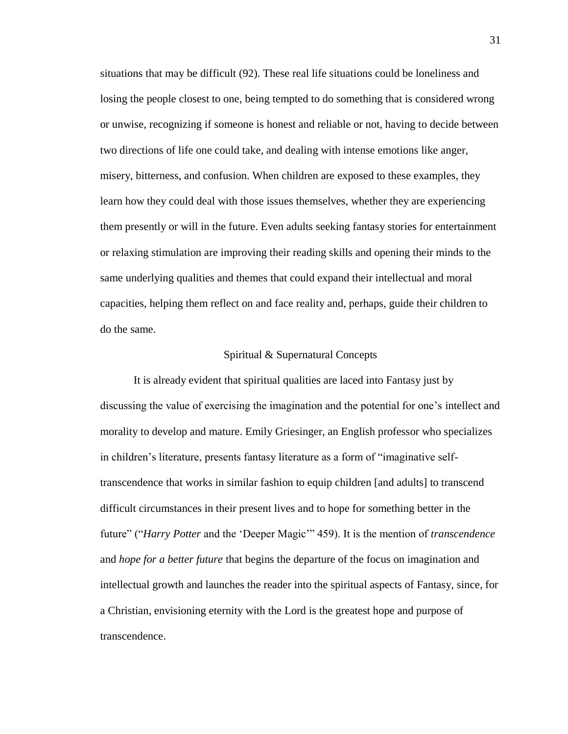situations that may be difficult (92). These real life situations could be loneliness and losing the people closest to one, being tempted to do something that is considered wrong or unwise, recognizing if someone is honest and reliable or not, having to decide between two directions of life one could take, and dealing with intense emotions like anger, misery, bitterness, and confusion. When children are exposed to these examples, they learn how they could deal with those issues themselves, whether they are experiencing them presently or will in the future. Even adults seeking fantasy stories for entertainment or relaxing stimulation are improving their reading skills and opening their minds to the same underlying qualities and themes that could expand their intellectual and moral capacities, helping them reflect on and face reality and, perhaps, guide their children to do the same.

# Spiritual & Supernatural Concepts

It is already evident that spiritual qualities are laced into Fantasy just by discussing the value of exercising the imagination and the potential for one's intellect and morality to develop and mature. Emily Griesinger, an English professor who specializes in children's literature, presents fantasy literature as a form of "imaginative selftranscendence that works in similar fashion to equip children [and adults] to transcend difficult circumstances in their present lives and to hope for something better in the future" ("*Harry Potter* and the 'Deeper Magic'" 459). It is the mention of *transcendence* and *hope for a better future* that begins the departure of the focus on imagination and intellectual growth and launches the reader into the spiritual aspects of Fantasy, since, for a Christian, envisioning eternity with the Lord is the greatest hope and purpose of transcendence.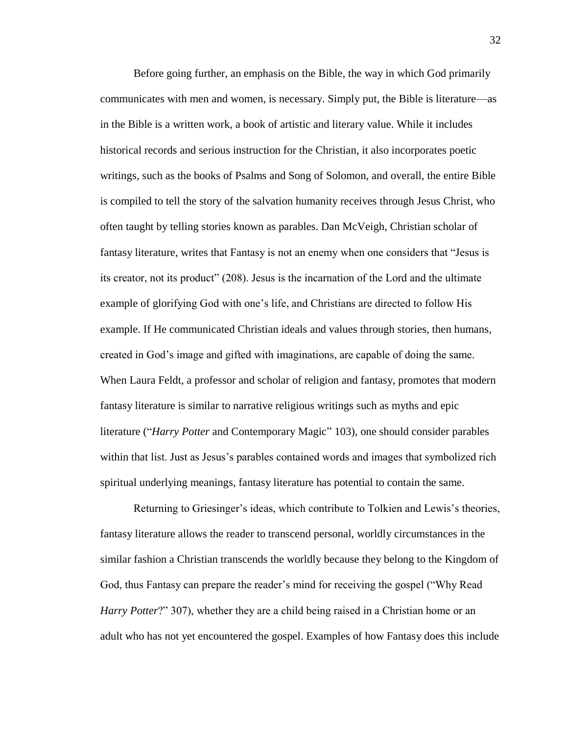Before going further, an emphasis on the Bible, the way in which God primarily communicates with men and women, is necessary. Simply put, the Bible is literature—as in the Bible is a written work, a book of artistic and literary value. While it includes historical records and serious instruction for the Christian, it also incorporates poetic writings, such as the books of Psalms and Song of Solomon, and overall, the entire Bible is compiled to tell the story of the salvation humanity receives through Jesus Christ, who often taught by telling stories known as parables. Dan McVeigh, Christian scholar of fantasy literature, writes that Fantasy is not an enemy when one considers that "Jesus is its creator, not its product" (208). Jesus is the incarnation of the Lord and the ultimate example of glorifying God with one's life, and Christians are directed to follow His example. If He communicated Christian ideals and values through stories, then humans, created in God's image and gifted with imaginations, are capable of doing the same. When Laura Feldt, a professor and scholar of religion and fantasy, promotes that modern fantasy literature is similar to narrative religious writings such as myths and epic literature ("*Harry Potter* and Contemporary Magic" 103), one should consider parables within that list. Just as Jesus's parables contained words and images that symbolized rich spiritual underlying meanings, fantasy literature has potential to contain the same.

Returning to Griesinger's ideas, which contribute to Tolkien and Lewis's theories, fantasy literature allows the reader to transcend personal, worldly circumstances in the similar fashion a Christian transcends the worldly because they belong to the Kingdom of God, thus Fantasy can prepare the reader's mind for receiving the gospel ("Why Read *Harry Potter*?" 307), whether they are a child being raised in a Christian home or an adult who has not yet encountered the gospel. Examples of how Fantasy does this include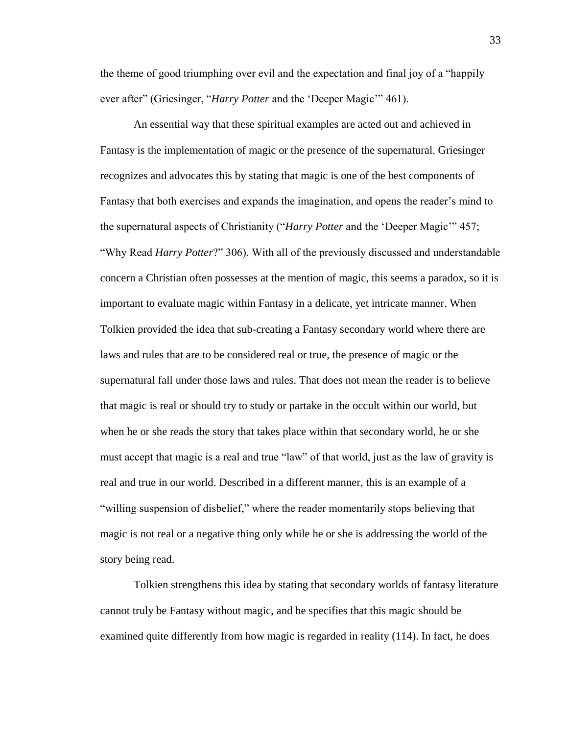the theme of good triumphing over evil and the expectation and final joy of a "happily ever after" (Griesinger, "*Harry Potter* and the 'Deeper Magic'" 461).

An essential way that these spiritual examples are acted out and achieved in Fantasy is the implementation of magic or the presence of the supernatural. Griesinger recognizes and advocates this by stating that magic is one of the best components of Fantasy that both exercises and expands the imagination, and opens the reader's mind to the supernatural aspects of Christianity ("*Harry Potter* and the 'Deeper Magic'" 457; "Why Read *Harry Potter*?" 306). With all of the previously discussed and understandable concern a Christian often possesses at the mention of magic, this seems a paradox, so it is important to evaluate magic within Fantasy in a delicate, yet intricate manner. When Tolkien provided the idea that sub-creating a Fantasy secondary world where there are laws and rules that are to be considered real or true, the presence of magic or the supernatural fall under those laws and rules. That does not mean the reader is to believe that magic is real or should try to study or partake in the occult within our world, but when he or she reads the story that takes place within that secondary world, he or she must accept that magic is a real and true "law" of that world, just as the law of gravity is real and true in our world. Described in a different manner, this is an example of a "willing suspension of disbelief," where the reader momentarily stops believing that magic is not real or a negative thing only while he or she is addressing the world of the story being read.

Tolkien strengthens this idea by stating that secondary worlds of fantasy literature cannot truly be Fantasy without magic, and he specifies that this magic should be examined quite differently from how magic is regarded in reality (114). In fact, he does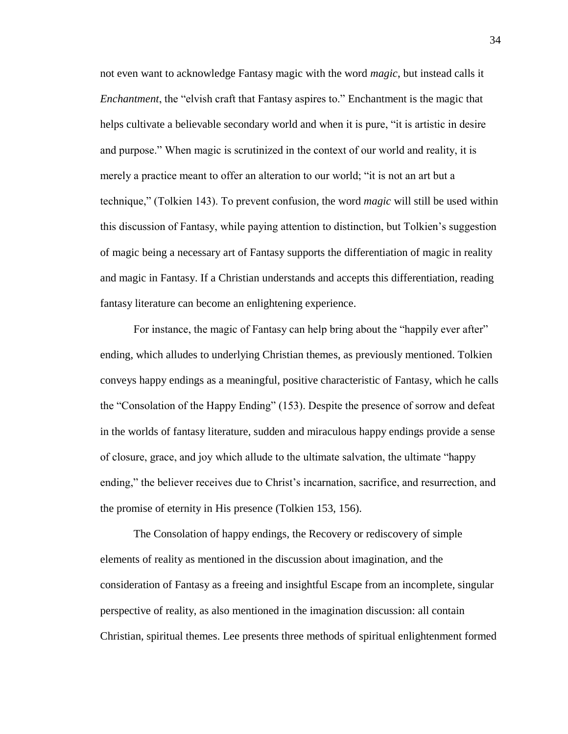not even want to acknowledge Fantasy magic with the word *magic*, but instead calls it *Enchantment*, the "elvish craft that Fantasy aspires to." Enchantment is the magic that helps cultivate a believable secondary world and when it is pure, "it is artistic in desire and purpose." When magic is scrutinized in the context of our world and reality, it is merely a practice meant to offer an alteration to our world; "it is not an art but a technique," (Tolkien 143). To prevent confusion, the word *magic* will still be used within this discussion of Fantasy, while paying attention to distinction, but Tolkien's suggestion of magic being a necessary art of Fantasy supports the differentiation of magic in reality and magic in Fantasy. If a Christian understands and accepts this differentiation, reading fantasy literature can become an enlightening experience.

For instance, the magic of Fantasy can help bring about the "happily ever after" ending, which alludes to underlying Christian themes, as previously mentioned. Tolkien conveys happy endings as a meaningful, positive characteristic of Fantasy, which he calls the "Consolation of the Happy Ending" (153). Despite the presence of sorrow and defeat in the worlds of fantasy literature, sudden and miraculous happy endings provide a sense of closure, grace, and joy which allude to the ultimate salvation, the ultimate "happy ending," the believer receives due to Christ's incarnation, sacrifice, and resurrection, and the promise of eternity in His presence (Tolkien 153, 156).

The Consolation of happy endings, the Recovery or rediscovery of simple elements of reality as mentioned in the discussion about imagination, and the consideration of Fantasy as a freeing and insightful Escape from an incomplete, singular perspective of reality, as also mentioned in the imagination discussion: all contain Christian, spiritual themes. Lee presents three methods of spiritual enlightenment formed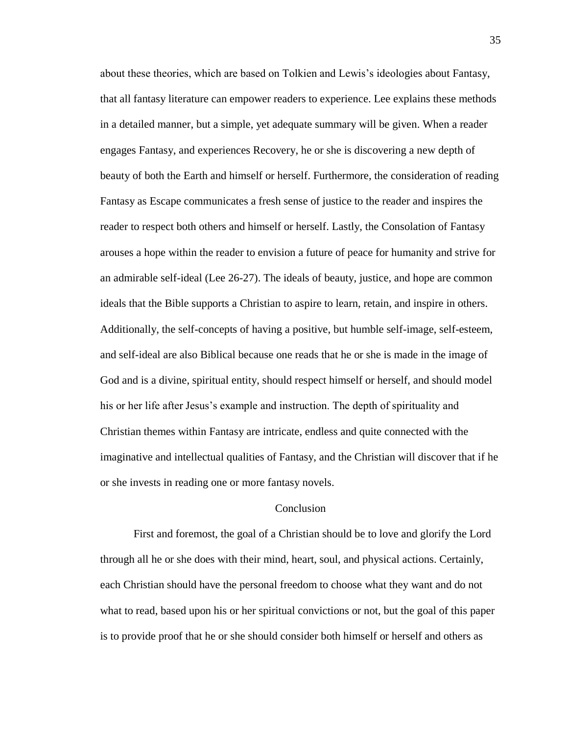about these theories, which are based on Tolkien and Lewis's ideologies about Fantasy, that all fantasy literature can empower readers to experience. Lee explains these methods in a detailed manner, but a simple, yet adequate summary will be given. When a reader engages Fantasy, and experiences Recovery, he or she is discovering a new depth of beauty of both the Earth and himself or herself. Furthermore, the consideration of reading Fantasy as Escape communicates a fresh sense of justice to the reader and inspires the reader to respect both others and himself or herself. Lastly, the Consolation of Fantasy arouses a hope within the reader to envision a future of peace for humanity and strive for an admirable self-ideal (Lee 26-27). The ideals of beauty, justice, and hope are common ideals that the Bible supports a Christian to aspire to learn, retain, and inspire in others. Additionally, the self-concepts of having a positive, but humble self-image, self-esteem, and self-ideal are also Biblical because one reads that he or she is made in the image of God and is a divine, spiritual entity, should respect himself or herself, and should model his or her life after Jesus's example and instruction. The depth of spirituality and Christian themes within Fantasy are intricate, endless and quite connected with the imaginative and intellectual qualities of Fantasy, and the Christian will discover that if he or she invests in reading one or more fantasy novels.

## Conclusion

First and foremost, the goal of a Christian should be to love and glorify the Lord through all he or she does with their mind, heart, soul, and physical actions. Certainly, each Christian should have the personal freedom to choose what they want and do not what to read, based upon his or her spiritual convictions or not, but the goal of this paper is to provide proof that he or she should consider both himself or herself and others as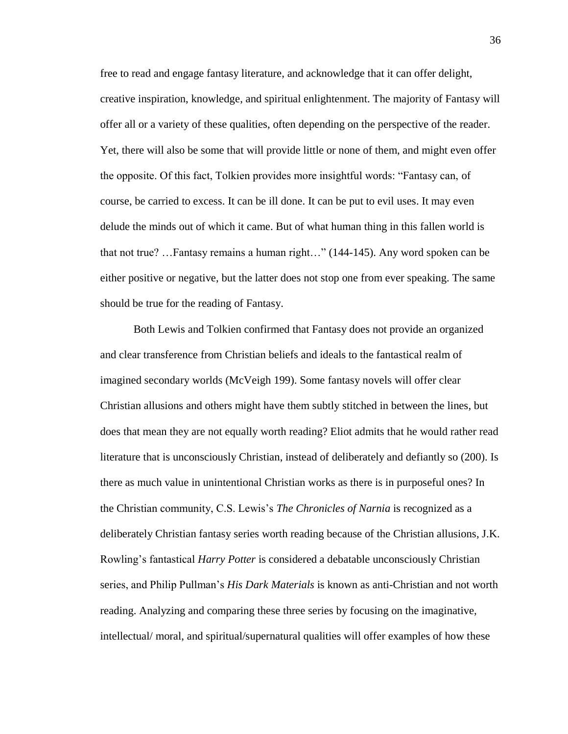free to read and engage fantasy literature, and acknowledge that it can offer delight, creative inspiration, knowledge, and spiritual enlightenment. The majority of Fantasy will offer all or a variety of these qualities, often depending on the perspective of the reader. Yet, there will also be some that will provide little or none of them, and might even offer the opposite. Of this fact, Tolkien provides more insightful words: "Fantasy can, of course, be carried to excess. It can be ill done. It can be put to evil uses. It may even delude the minds out of which it came. But of what human thing in this fallen world is that not true? …Fantasy remains a human right…" (144-145). Any word spoken can be either positive or negative, but the latter does not stop one from ever speaking. The same should be true for the reading of Fantasy.

Both Lewis and Tolkien confirmed that Fantasy does not provide an organized and clear transference from Christian beliefs and ideals to the fantastical realm of imagined secondary worlds (McVeigh 199). Some fantasy novels will offer clear Christian allusions and others might have them subtly stitched in between the lines, but does that mean they are not equally worth reading? Eliot admits that he would rather read literature that is unconsciously Christian, instead of deliberately and defiantly so (200). Is there as much value in unintentional Christian works as there is in purposeful ones? In the Christian community, C.S. Lewis's *The Chronicles of Narnia* is recognized as a deliberately Christian fantasy series worth reading because of the Christian allusions, J.K. Rowling's fantastical *Harry Potter* is considered a debatable unconsciously Christian series, and Philip Pullman's *His Dark Materials* is known as anti-Christian and not worth reading. Analyzing and comparing these three series by focusing on the imaginative, intellectual/ moral, and spiritual/supernatural qualities will offer examples of how these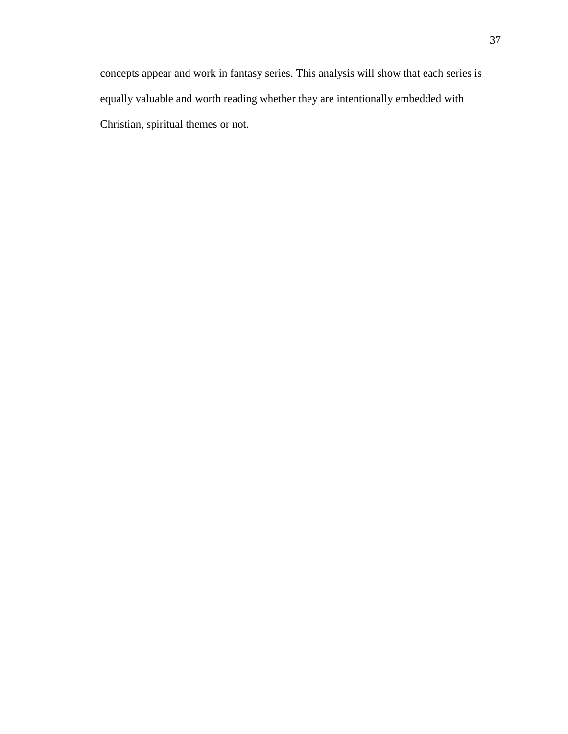concepts appear and work in fantasy series. This analysis will show that each series is equally valuable and worth reading whether they are intentionally embedded with Christian, spiritual themes or not.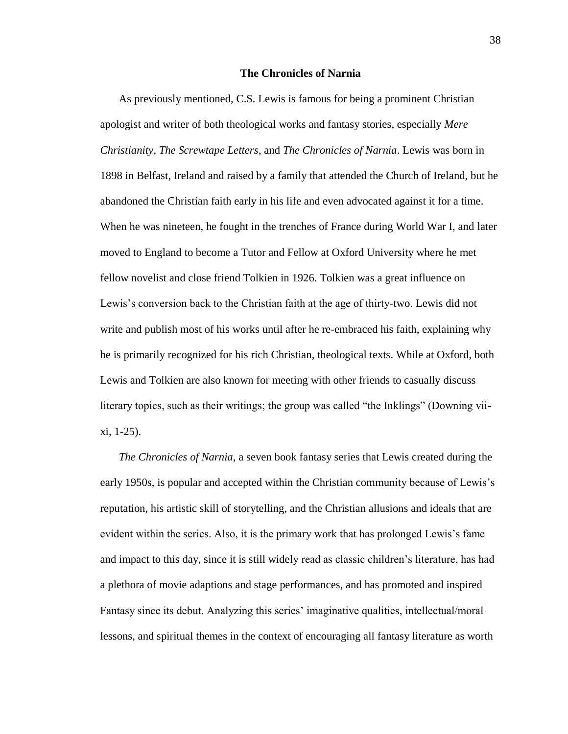## **The Chronicles of Narnia**

As previously mentioned, C.S. Lewis is famous for being a prominent Christian apologist and writer of both theological works and fantasy stories, especially *Mere Christianity*, *The Screwtape Letters*, and *The Chronicles of Narnia*. Lewis was born in 1898 in Belfast, Ireland and raised by a family that attended the Church of Ireland, but he abandoned the Christian faith early in his life and even advocated against it for a time. When he was nineteen, he fought in the trenches of France during World War I, and later moved to England to become a Tutor and Fellow at Oxford University where he met fellow novelist and close friend Tolkien in 1926. Tolkien was a great influence on Lewis's conversion back to the Christian faith at the age of thirty-two. Lewis did not write and publish most of his works until after he re-embraced his faith, explaining why he is primarily recognized for his rich Christian, theological texts. While at Oxford, both Lewis and Tolkien are also known for meeting with other friends to casually discuss literary topics, such as their writings; the group was called "the Inklings" (Downing viixi, 1-25).

*The Chronicles of Narnia*, a seven book fantasy series that Lewis created during the early 1950s, is popular and accepted within the Christian community because of Lewis's reputation, his artistic skill of storytelling, and the Christian allusions and ideals that are evident within the series. Also, it is the primary work that has prolonged Lewis's fame and impact to this day, since it is still widely read as classic children's literature, has had a plethora of movie adaptions and stage performances, and has promoted and inspired Fantasy since its debut. Analyzing this series' imaginative qualities, intellectual/moral lessons, and spiritual themes in the context of encouraging all fantasy literature as worth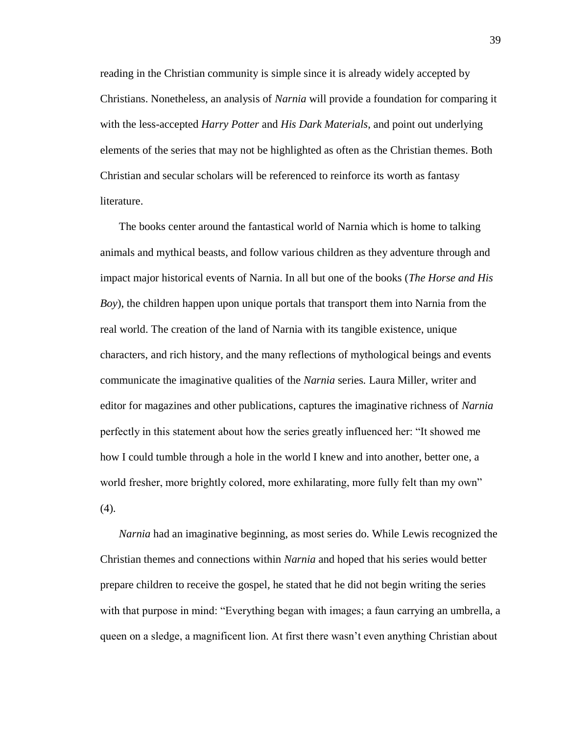reading in the Christian community is simple since it is already widely accepted by Christians. Nonetheless, an analysis of *Narnia* will provide a foundation for comparing it with the less-accepted *Harry Potter* and *His Dark Materials*, and point out underlying elements of the series that may not be highlighted as often as the Christian themes. Both Christian and secular scholars will be referenced to reinforce its worth as fantasy literature.

The books center around the fantastical world of Narnia which is home to talking animals and mythical beasts, and follow various children as they adventure through and impact major historical events of Narnia. In all but one of the books (*The Horse and His Boy*), the children happen upon unique portals that transport them into Narnia from the real world. The creation of the land of Narnia with its tangible existence, unique characters, and rich history, and the many reflections of mythological beings and events communicate the imaginative qualities of the *Narnia* series*.* Laura Miller, writer and editor for magazines and other publications, captures the imaginative richness of *Narnia*  perfectly in this statement about how the series greatly influenced her: "It showed me how I could tumble through a hole in the world I knew and into another, better one, a world fresher, more brightly colored, more exhilarating, more fully felt than my own"  $(4).$ 

*Narnia* had an imaginative beginning, as most series do. While Lewis recognized the Christian themes and connections within *Narnia* and hoped that his series would better prepare children to receive the gospel*,* he stated that he did not begin writing the series with that purpose in mind: "Everything began with images; a faun carrying an umbrella, a queen on a sledge, a magnificent lion. At first there wasn't even anything Christian about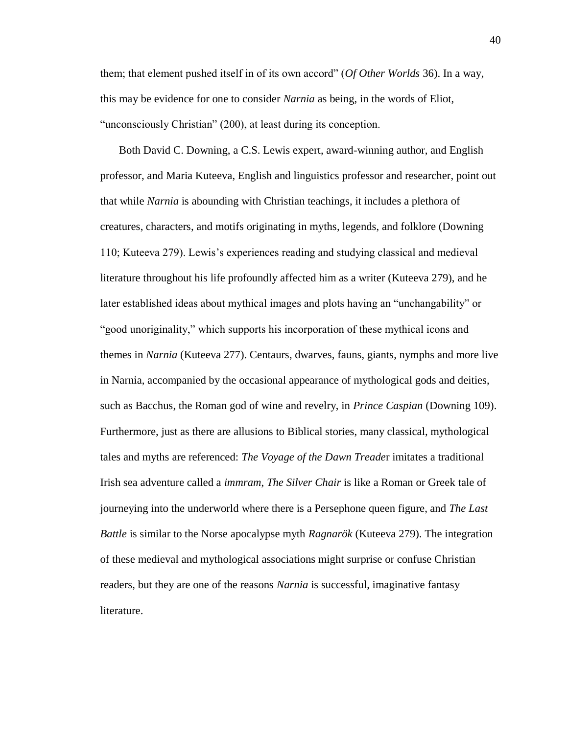them; that element pushed itself in of its own accord" (*Of Other Worlds* 36). In a way, this may be evidence for one to consider *Narnia* as being, in the words of Eliot, "unconsciously Christian" (200), at least during its conception.

Both David C. Downing, a C.S. Lewis expert, award-winning author, and English professor, and Maria Kuteeva, English and linguistics professor and researcher, point out that while *Narnia* is abounding with Christian teachings, it includes a plethora of creatures, characters, and motifs originating in myths, legends, and folklore (Downing 110; Kuteeva 279). Lewis's experiences reading and studying classical and medieval literature throughout his life profoundly affected him as a writer (Kuteeva 279), and he later established ideas about mythical images and plots having an "unchangability" or "good unoriginality," which supports his incorporation of these mythical icons and themes in *Narnia* (Kuteeva 277). Centaurs, dwarves, fauns, giants, nymphs and more live in Narnia, accompanied by the occasional appearance of mythological gods and deities, such as Bacchus, the Roman god of wine and revelry, in *Prince Caspian* (Downing 109). Furthermore, just as there are allusions to Biblical stories, many classical, mythological tales and myths are referenced: *The Voyage of the Dawn Treade*r imitates a traditional Irish sea adventure called a *immram*, *The Silver Chair* is like a Roman or Greek tale of journeying into the underworld where there is a Persephone queen figure, and *The Last Battle* is similar to the Norse apocalypse myth *Ragnarök* (Kuteeva 279). The integration of these medieval and mythological associations might surprise or confuse Christian readers, but they are one of the reasons *Narnia* is successful, imaginative fantasy literature.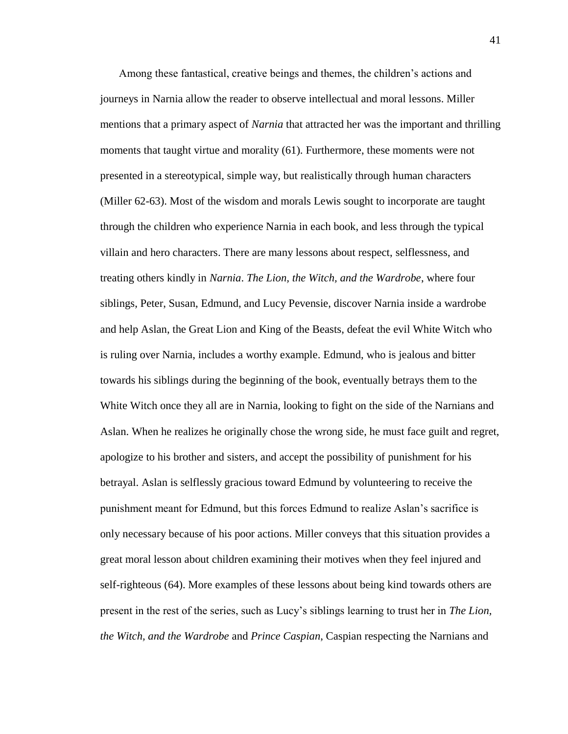Among these fantastical, creative beings and themes, the children's actions and journeys in Narnia allow the reader to observe intellectual and moral lessons. Miller mentions that a primary aspect of *Narnia* that attracted her was the important and thrilling moments that taught virtue and morality (61). Furthermore, these moments were not presented in a stereotypical, simple way, but realistically through human characters (Miller 62-63). Most of the wisdom and morals Lewis sought to incorporate are taught through the children who experience Narnia in each book, and less through the typical villain and hero characters. There are many lessons about respect, selflessness, and treating others kindly in *Narnia*. *The Lion, the Witch, and the Wardrobe*, where four siblings, Peter, Susan, Edmund, and Lucy Pevensie, discover Narnia inside a wardrobe and help Aslan, the Great Lion and King of the Beasts, defeat the evil White Witch who is ruling over Narnia, includes a worthy example. Edmund, who is jealous and bitter towards his siblings during the beginning of the book, eventually betrays them to the White Witch once they all are in Narnia, looking to fight on the side of the Narnians and Aslan. When he realizes he originally chose the wrong side, he must face guilt and regret, apologize to his brother and sisters, and accept the possibility of punishment for his betrayal. Aslan is selflessly gracious toward Edmund by volunteering to receive the punishment meant for Edmund, but this forces Edmund to realize Aslan's sacrifice is only necessary because of his poor actions. Miller conveys that this situation provides a great moral lesson about children examining their motives when they feel injured and self-righteous (64). More examples of these lessons about being kind towards others are present in the rest of the series, such as Lucy's siblings learning to trust her in *The Lion, the Witch, and the Wardrobe* and *Prince Caspian*, Caspian respecting the Narnians and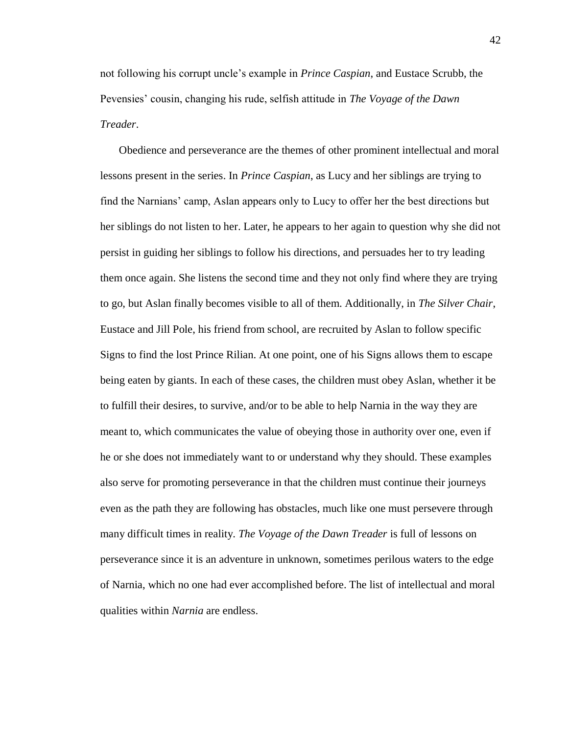not following his corrupt uncle's example in *Prince Caspian*, and Eustace Scrubb, the Pevensies' cousin, changing his rude, selfish attitude in *The Voyage of the Dawn Treader*.

Obedience and perseverance are the themes of other prominent intellectual and moral lessons present in the series. In *Prince Caspian*, as Lucy and her siblings are trying to find the Narnians' camp, Aslan appears only to Lucy to offer her the best directions but her siblings do not listen to her. Later, he appears to her again to question why she did not persist in guiding her siblings to follow his directions, and persuades her to try leading them once again. She listens the second time and they not only find where they are trying to go, but Aslan finally becomes visible to all of them. Additionally, in *The Silver Chair*, Eustace and Jill Pole, his friend from school, are recruited by Aslan to follow specific Signs to find the lost Prince Rilian. At one point, one of his Signs allows them to escape being eaten by giants. In each of these cases, the children must obey Aslan, whether it be to fulfill their desires, to survive, and/or to be able to help Narnia in the way they are meant to, which communicates the value of obeying those in authority over one, even if he or she does not immediately want to or understand why they should. These examples also serve for promoting perseverance in that the children must continue their journeys even as the path they are following has obstacles, much like one must persevere through many difficult times in reality. *The Voyage of the Dawn Treader* is full of lessons on perseverance since it is an adventure in unknown, sometimes perilous waters to the edge of Narnia, which no one had ever accomplished before. The list of intellectual and moral qualities within *Narnia* are endless.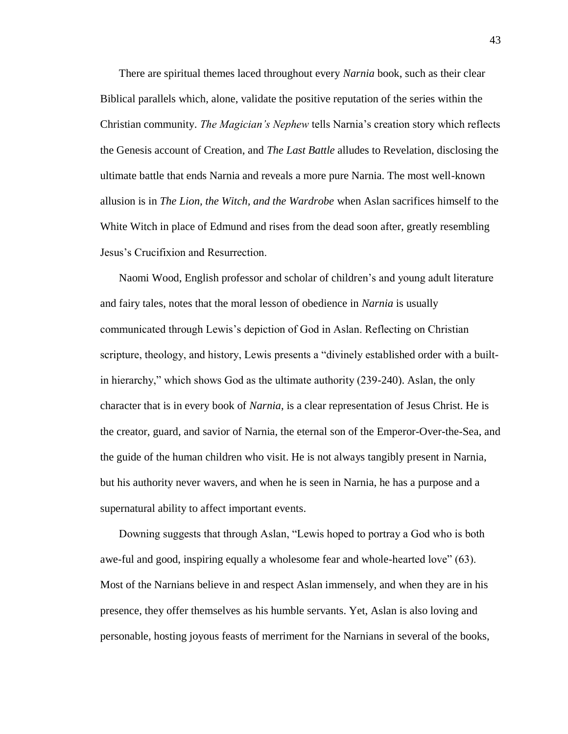There are spiritual themes laced throughout every *Narnia* book, such as their clear Biblical parallels which, alone, validate the positive reputation of the series within the Christian community. *The Magician's Nephew* tells Narnia's creation story which reflects the Genesis account of Creation, and *The Last Battle* alludes to Revelation, disclosing the ultimate battle that ends Narnia and reveals a more pure Narnia. The most well-known allusion is in *The Lion, the Witch, and the Wardrobe* when Aslan sacrifices himself to the White Witch in place of Edmund and rises from the dead soon after, greatly resembling Jesus's Crucifixion and Resurrection.

Naomi Wood, English professor and scholar of children's and young adult literature and fairy tales, notes that the moral lesson of obedience in *Narnia* is usually communicated through Lewis's depiction of God in Aslan. Reflecting on Christian scripture, theology, and history, Lewis presents a "divinely established order with a builtin hierarchy," which shows God as the ultimate authority (239-240). Aslan, the only character that is in every book of *Narnia*, is a clear representation of Jesus Christ. He is the creator, guard, and savior of Narnia, the eternal son of the Emperor-Over-the-Sea, and the guide of the human children who visit. He is not always tangibly present in Narnia, but his authority never wavers, and when he is seen in Narnia, he has a purpose and a supernatural ability to affect important events.

Downing suggests that through Aslan, "Lewis hoped to portray a God who is both awe-ful and good, inspiring equally a wholesome fear and whole-hearted love" (63). Most of the Narnians believe in and respect Aslan immensely, and when they are in his presence, they offer themselves as his humble servants. Yet, Aslan is also loving and personable, hosting joyous feasts of merriment for the Narnians in several of the books,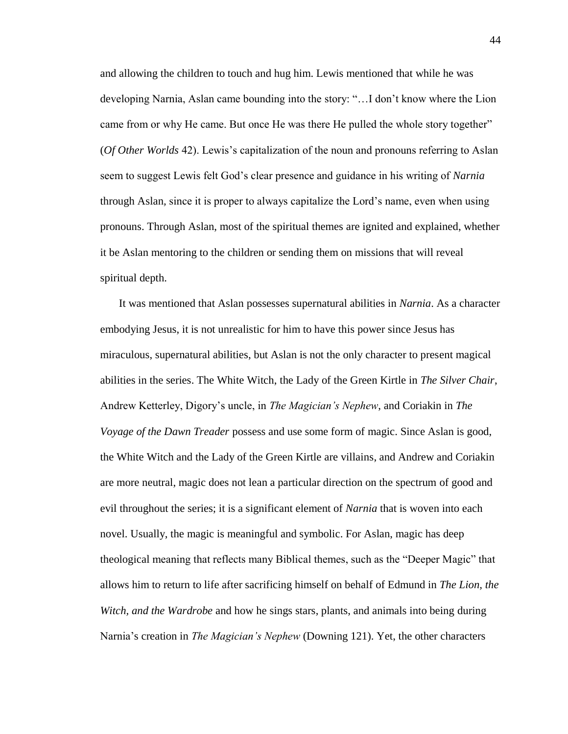and allowing the children to touch and hug him. Lewis mentioned that while he was developing Narnia, Aslan came bounding into the story: "…I don't know where the Lion came from or why He came. But once He was there He pulled the whole story together" (*Of Other Worlds* 42). Lewis's capitalization of the noun and pronouns referring to Aslan seem to suggest Lewis felt God's clear presence and guidance in his writing of *Narnia*  through Aslan*,* since it is proper to always capitalize the Lord's name, even when using pronouns. Through Aslan, most of the spiritual themes are ignited and explained, whether it be Aslan mentoring to the children or sending them on missions that will reveal spiritual depth.

It was mentioned that Aslan possesses supernatural abilities in *Narnia*. As a character embodying Jesus, it is not unrealistic for him to have this power since Jesus has miraculous, supernatural abilities, but Aslan is not the only character to present magical abilities in the series. The White Witch, the Lady of the Green Kirtle in *The Silver Chair*, Andrew Ketterley, Digory's uncle, in *The Magician's Nephew*, and Coriakin in *The Voyage of the Dawn Treader* possess and use some form of magic. Since Aslan is good, the White Witch and the Lady of the Green Kirtle are villains, and Andrew and Coriakin are more neutral, magic does not lean a particular direction on the spectrum of good and evil throughout the series; it is a significant element of *Narnia* that is woven into each novel. Usually, the magic is meaningful and symbolic. For Aslan, magic has deep theological meaning that reflects many Biblical themes, such as the "Deeper Magic" that allows him to return to life after sacrificing himself on behalf of Edmund in *The Lion, the Witch, and the Wardrobe* and how he sings stars, plants, and animals into being during Narnia's creation in *The Magician's Nephew* (Downing 121). Yet, the other characters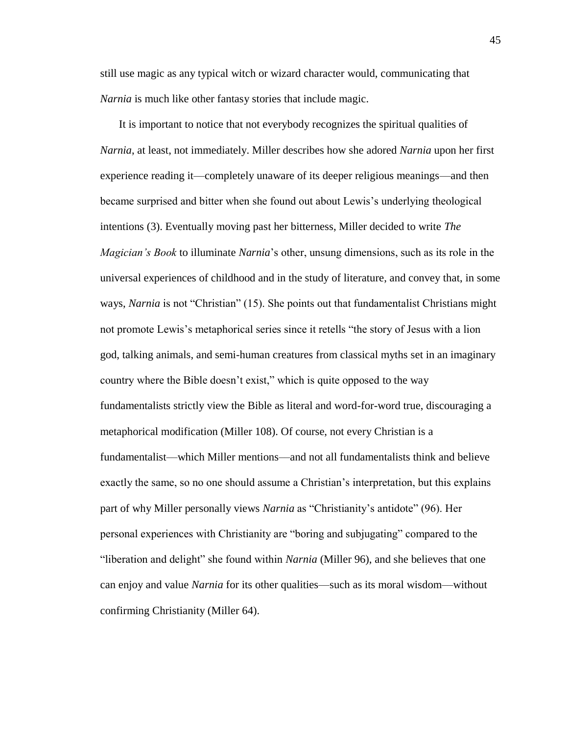still use magic as any typical witch or wizard character would, communicating that *Narnia* is much like other fantasy stories that include magic.

It is important to notice that not everybody recognizes the spiritual qualities of *Narnia*, at least, not immediately. Miller describes how she adored *Narnia* upon her first experience reading it––completely unaware of its deeper religious meanings––and then became surprised and bitter when she found out about Lewis's underlying theological intentions (3). Eventually moving past her bitterness, Miller decided to write *The Magician's Book* to illuminate *Narnia*'s other, unsung dimensions, such as its role in the universal experiences of childhood and in the study of literature, and convey that, in some ways, *Narnia* is not "Christian" (15). She points out that fundamentalist Christians might not promote Lewis's metaphorical series since it retells "the story of Jesus with a lion god, talking animals, and semi-human creatures from classical myths set in an imaginary country where the Bible doesn't exist," which is quite opposed to the way fundamentalists strictly view the Bible as literal and word-for-word true, discouraging a metaphorical modification (Miller 108). Of course, not every Christian is a fundamentalist––which Miller mentions––and not all fundamentalists think and believe exactly the same, so no one should assume a Christian's interpretation, but this explains part of why Miller personally views *Narnia* as "Christianity's antidote" (96). Her personal experiences with Christianity are "boring and subjugating" compared to the "liberation and delight" she found within *Narnia* (Miller 96), and she believes that one can enjoy and value *Narnia* for its other qualities––such as its moral wisdom––without confirming Christianity (Miller 64).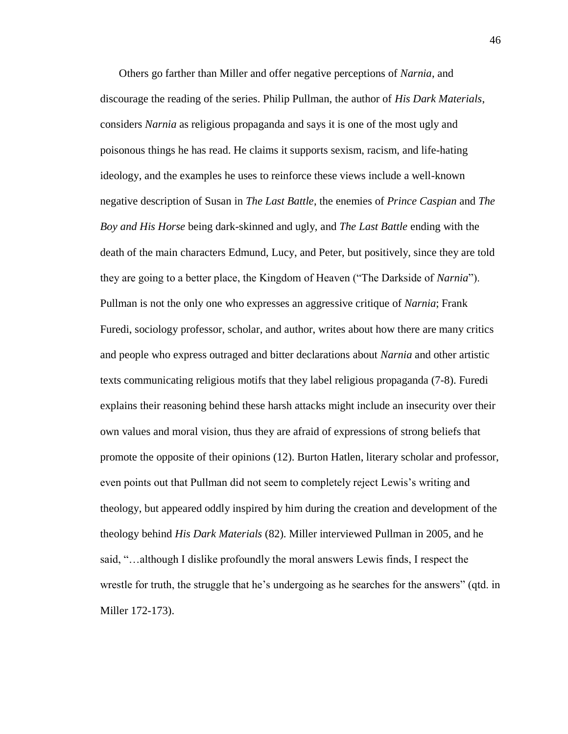Others go farther than Miller and offer negative perceptions of *Narnia*, and discourage the reading of the series. Philip Pullman, the author of *His Dark Materials*, considers *Narnia* as religious propaganda and says it is one of the most ugly and poisonous things he has read. He claims it supports sexism, racism, and life-hating ideology, and the examples he uses to reinforce these views include a well-known negative description of Susan in *The Last Battle*, the enemies of *Prince Caspian* and *The Boy and His Horse* being dark-skinned and ugly, and *The Last Battle* ending with the death of the main characters Edmund, Lucy, and Peter, but positively, since they are told they are going to a better place, the Kingdom of Heaven ("The Darkside of *Narnia*"). Pullman is not the only one who expresses an aggressive critique of *Narnia*; Frank Furedi, sociology professor, scholar, and author, writes about how there are many critics and people who express outraged and bitter declarations about *Narnia* and other artistic texts communicating religious motifs that they label religious propaganda (7-8). Furedi explains their reasoning behind these harsh attacks might include an insecurity over their own values and moral vision, thus they are afraid of expressions of strong beliefs that promote the opposite of their opinions (12). Burton Hatlen, literary scholar and professor, even points out that Pullman did not seem to completely reject Lewis's writing and theology, but appeared oddly inspired by him during the creation and development of the theology behind *His Dark Materials* (82). Miller interviewed Pullman in 2005, and he said, "…although I dislike profoundly the moral answers Lewis finds, I respect the wrestle for truth, the struggle that he's undergoing as he searches for the answers" (qtd. in Miller 172-173).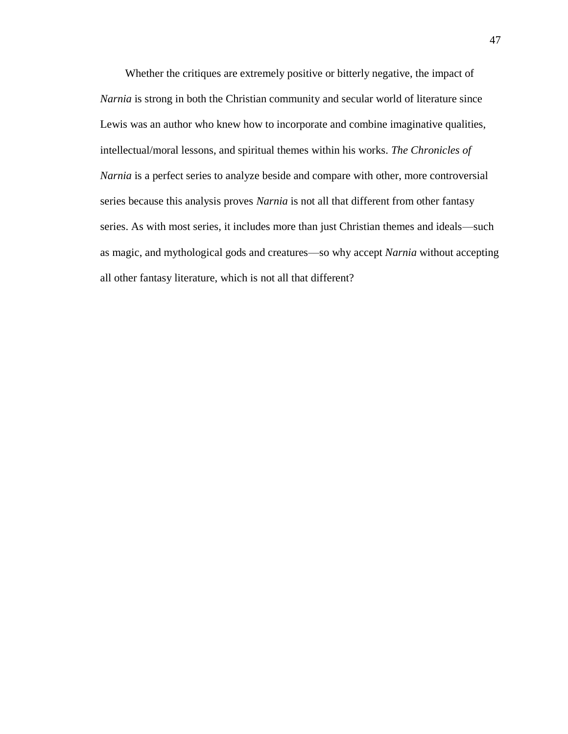Whether the critiques are extremely positive or bitterly negative, the impact of *Narnia* is strong in both the Christian community and secular world of literature since Lewis was an author who knew how to incorporate and combine imaginative qualities, intellectual/moral lessons, and spiritual themes within his works. *The Chronicles of Narnia* is a perfect series to analyze beside and compare with other, more controversial series because this analysis proves *Narnia* is not all that different from other fantasy series. As with most series, it includes more than just Christian themes and ideals––such as magic, and mythological gods and creatures––so why accept *Narnia* without accepting all other fantasy literature, which is not all that different?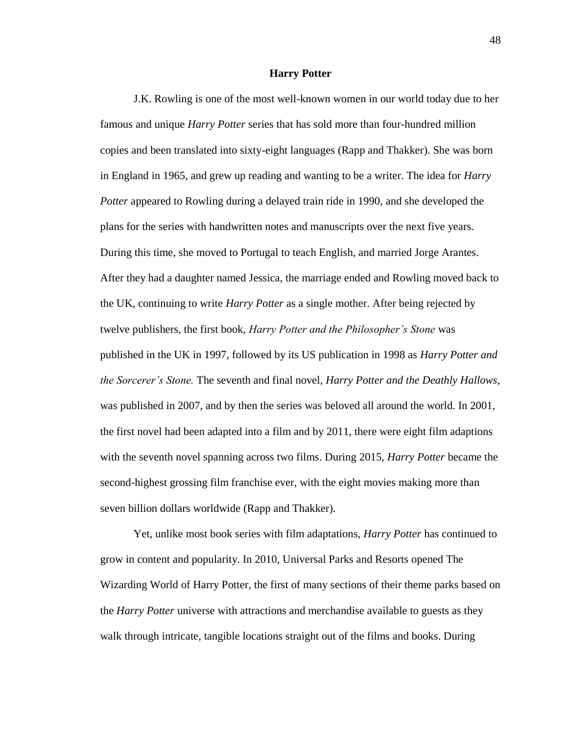## **Harry Potter**

J.K. Rowling is one of the most well-known women in our world today due to her famous and unique *Harry Potter* series that has sold more than four-hundred million copies and been translated into sixty-eight languages (Rapp and Thakker). She was born in England in 1965, and grew up reading and wanting to be a writer. The idea for *Harry Potter* appeared to Rowling during a delayed train ride in 1990, and she developed the plans for the series with handwritten notes and manuscripts over the next five years. During this time, she moved to Portugal to teach English, and married Jorge Arantes. After they had a daughter named Jessica, the marriage ended and Rowling moved back to the UK, continuing to write *Harry Potter* as a single mother. After being rejected by twelve publishers, the first book, *Harry Potter and the Philosopher's Stone* was published in the UK in 1997, followed by its US publication in 1998 as *Harry Potter and the Sorcerer's Stone.* The seventh and final novel, *Harry Potter and the Deathly Hallows*, was published in 2007, and by then the series was beloved all around the world. In 2001, the first novel had been adapted into a film and by 2011, there were eight film adaptions with the seventh novel spanning across two films. During 2015, *Harry Potter* became the second-highest grossing film franchise ever, with the eight movies making more than seven billion dollars worldwide (Rapp and Thakker).

Yet, unlike most book series with film adaptations, *Harry Potter* has continued to grow in content and popularity. In 2010, Universal Parks and Resorts opened The Wizarding World of Harry Potter, the first of many sections of their theme parks based on the *Harry Potter* universe with attractions and merchandise available to guests as they walk through intricate, tangible locations straight out of the films and books. During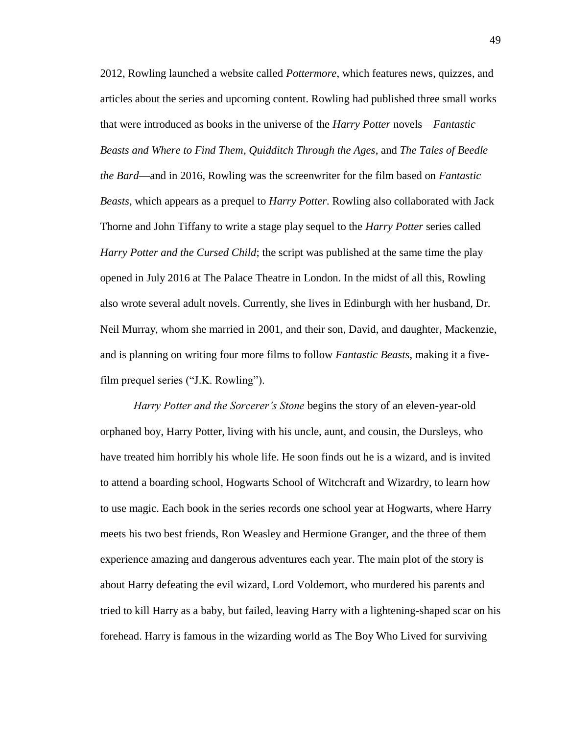2012, Rowling launched a website called *Pottermore*, which features news, quizzes, and articles about the series and upcoming content. Rowling had published three small works that were introduced as books in the universe of the *Harry Potter* novels––*Fantastic Beasts and Where to Find Them*, *Quidditch Through the Ages*, and *The Tales of Beedle the Bard––*and in 2016, Rowling was the screenwriter for the film based on *Fantastic Beasts*, which appears as a prequel to *Harry Potter*. Rowling also collaborated with Jack Thorne and John Tiffany to write a stage play sequel to the *Harry Potter* series called *Harry Potter and the Cursed Child*; the script was published at the same time the play opened in July 2016 at The Palace Theatre in London. In the midst of all this, Rowling also wrote several adult novels. Currently, she lives in Edinburgh with her husband, Dr. Neil Murray, whom she married in 2001, and their son, David, and daughter, Mackenzie, and is planning on writing four more films to follow *Fantastic Beasts*, making it a fivefilm prequel series ("J.K. Rowling").

*Harry Potter and the Sorcerer's Stone* begins the story of an eleven-year-old orphaned boy, Harry Potter, living with his uncle, aunt, and cousin, the Dursleys, who have treated him horribly his whole life. He soon finds out he is a wizard, and is invited to attend a boarding school, Hogwarts School of Witchcraft and Wizardry, to learn how to use magic. Each book in the series records one school year at Hogwarts, where Harry meets his two best friends, Ron Weasley and Hermione Granger, and the three of them experience amazing and dangerous adventures each year. The main plot of the story is about Harry defeating the evil wizard, Lord Voldemort, who murdered his parents and tried to kill Harry as a baby, but failed, leaving Harry with a lightening-shaped scar on his forehead. Harry is famous in the wizarding world as The Boy Who Lived for surviving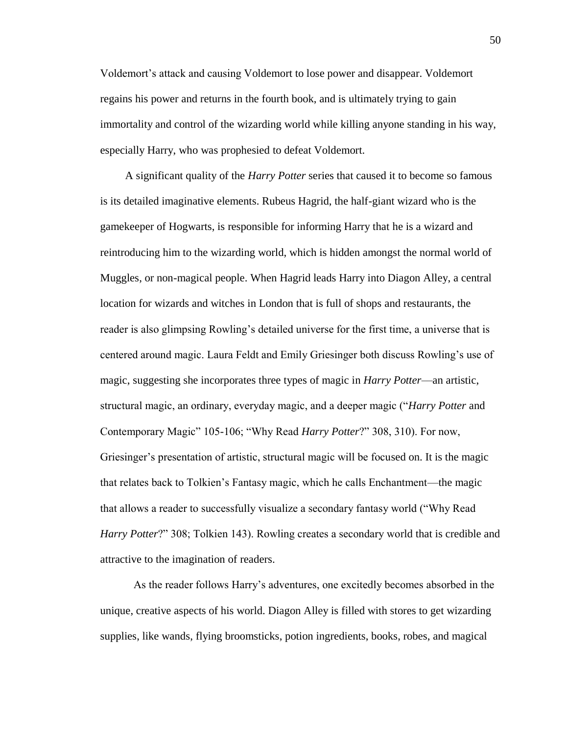Voldemort's attack and causing Voldemort to lose power and disappear. Voldemort regains his power and returns in the fourth book, and is ultimately trying to gain immortality and control of the wizarding world while killing anyone standing in his way, especially Harry, who was prophesied to defeat Voldemort.

A significant quality of the *Harry Potter* series that caused it to become so famous is its detailed imaginative elements. Rubeus Hagrid, the half-giant wizard who is the gamekeeper of Hogwarts, is responsible for informing Harry that he is a wizard and reintroducing him to the wizarding world, which is hidden amongst the normal world of Muggles, or non-magical people. When Hagrid leads Harry into Diagon Alley, a central location for wizards and witches in London that is full of shops and restaurants, the reader is also glimpsing Rowling's detailed universe for the first time, a universe that is centered around magic. Laura Feldt and Emily Griesinger both discuss Rowling's use of magic, suggesting she incorporates three types of magic in *Harry Potter*––an artistic, structural magic, an ordinary, everyday magic, and a deeper magic ("*Harry Potter* and Contemporary Magic" 105-106; "Why Read *Harry Potter*?" 308, 310). For now, Griesinger's presentation of artistic, structural magic will be focused on. It is the magic that relates back to Tolkien's Fantasy magic, which he calls Enchantment––the magic that allows a reader to successfully visualize a secondary fantasy world ("Why Read *Harry Potter*?" 308; Tolkien 143). Rowling creates a secondary world that is credible and attractive to the imagination of readers.

As the reader follows Harry's adventures, one excitedly becomes absorbed in the unique, creative aspects of his world. Diagon Alley is filled with stores to get wizarding supplies, like wands, flying broomsticks, potion ingredients, books, robes, and magical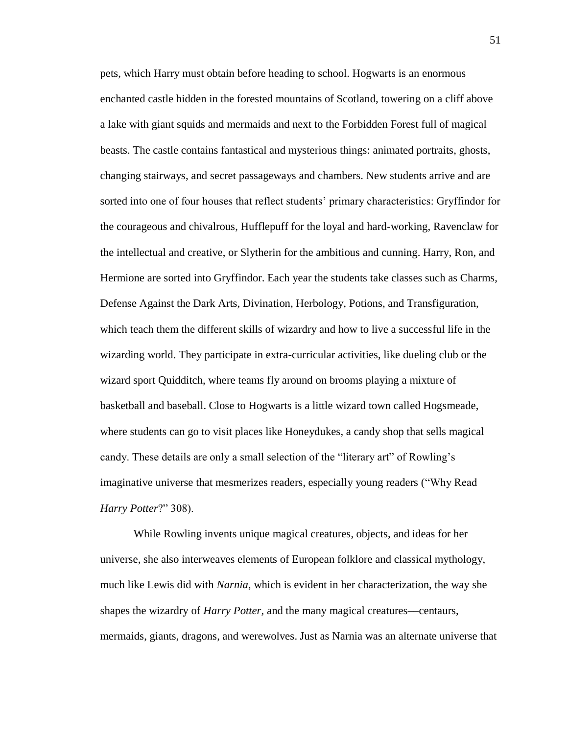pets, which Harry must obtain before heading to school. Hogwarts is an enormous enchanted castle hidden in the forested mountains of Scotland, towering on a cliff above a lake with giant squids and mermaids and next to the Forbidden Forest full of magical beasts. The castle contains fantastical and mysterious things: animated portraits, ghosts, changing stairways, and secret passageways and chambers. New students arrive and are sorted into one of four houses that reflect students' primary characteristics: Gryffindor for the courageous and chivalrous, Hufflepuff for the loyal and hard-working, Ravenclaw for the intellectual and creative, or Slytherin for the ambitious and cunning. Harry, Ron, and Hermione are sorted into Gryffindor. Each year the students take classes such as Charms, Defense Against the Dark Arts, Divination, Herbology, Potions, and Transfiguration, which teach them the different skills of wizardry and how to live a successful life in the wizarding world. They participate in extra-curricular activities, like dueling club or the wizard sport Quidditch, where teams fly around on brooms playing a mixture of basketball and baseball. Close to Hogwarts is a little wizard town called Hogsmeade, where students can go to visit places like Honeydukes, a candy shop that sells magical candy. These details are only a small selection of the "literary art" of Rowling's imaginative universe that mesmerizes readers, especially young readers ("Why Read *Harry Potter*?" 308).

While Rowling invents unique magical creatures, objects, and ideas for her universe, she also interweaves elements of European folklore and classical mythology, much like Lewis did with *Narnia*, which is evident in her characterization, the way she shapes the wizardry of *Harry Potter,* and the many magical creatures––centaurs, mermaids, giants, dragons, and werewolves. Just as Narnia was an alternate universe that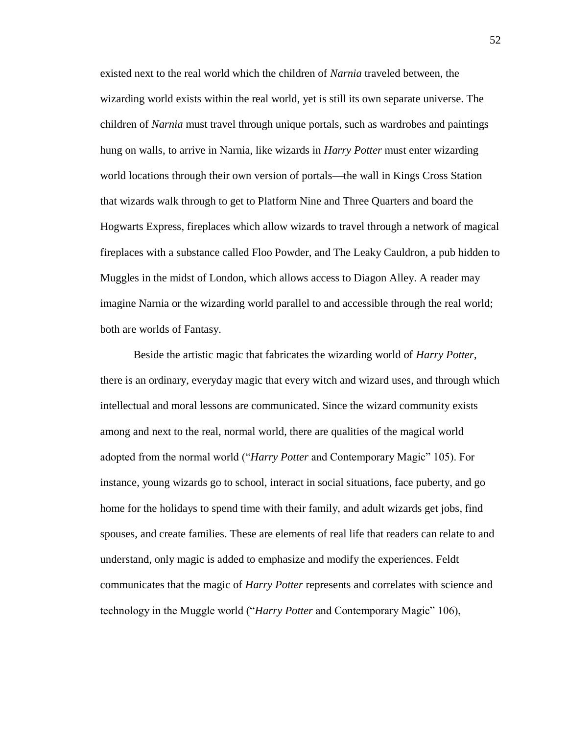existed next to the real world which the children of *Narnia* traveled between, the wizarding world exists within the real world, yet is still its own separate universe. The children of *Narnia* must travel through unique portals, such as wardrobes and paintings hung on walls, to arrive in Narnia, like wizards in *Harry Potter* must enter wizarding world locations through their own version of portals––the wall in Kings Cross Station that wizards walk through to get to Platform Nine and Three Quarters and board the Hogwarts Express, fireplaces which allow wizards to travel through a network of magical fireplaces with a substance called Floo Powder, and The Leaky Cauldron, a pub hidden to Muggles in the midst of London, which allows access to Diagon Alley. A reader may imagine Narnia or the wizarding world parallel to and accessible through the real world; both are worlds of Fantasy.

Beside the artistic magic that fabricates the wizarding world of *Harry Potter*, there is an ordinary, everyday magic that every witch and wizard uses, and through which intellectual and moral lessons are communicated. Since the wizard community exists among and next to the real, normal world, there are qualities of the magical world adopted from the normal world ("*Harry Potter* and Contemporary Magic" 105). For instance, young wizards go to school, interact in social situations, face puberty, and go home for the holidays to spend time with their family, and adult wizards get jobs, find spouses, and create families. These are elements of real life that readers can relate to and understand, only magic is added to emphasize and modify the experiences. Feldt communicates that the magic of *Harry Potter* represents and correlates with science and technology in the Muggle world ("*Harry Potter* and Contemporary Magic" 106),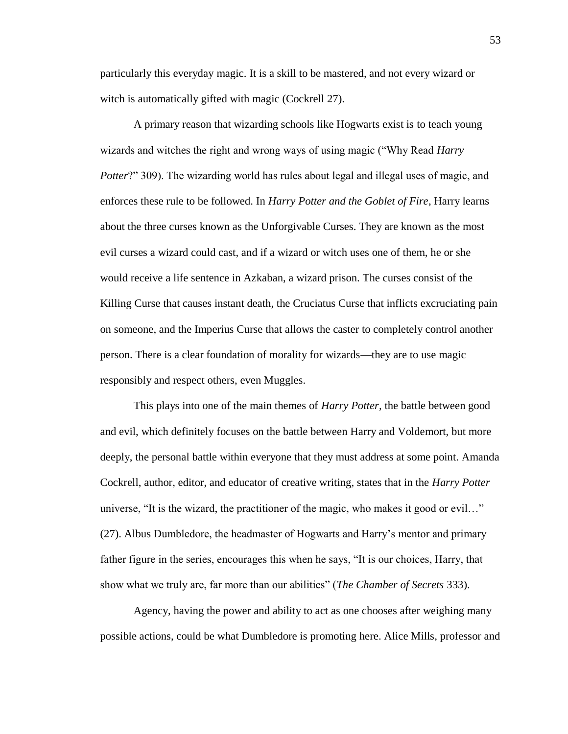particularly this everyday magic. It is a skill to be mastered, and not every wizard or witch is automatically gifted with magic (Cockrell 27).

A primary reason that wizarding schools like Hogwarts exist is to teach young wizards and witches the right and wrong ways of using magic ("Why Read *Harry Potter*?" 309). The wizarding world has rules about legal and illegal uses of magic, and enforces these rule to be followed. In *Harry Potter and the Goblet of Fire*, Harry learns about the three curses known as the Unforgivable Curses. They are known as the most evil curses a wizard could cast, and if a wizard or witch uses one of them, he or she would receive a life sentence in Azkaban, a wizard prison. The curses consist of the Killing Curse that causes instant death, the Cruciatus Curse that inflicts excruciating pain on someone, and the Imperius Curse that allows the caster to completely control another person. There is a clear foundation of morality for wizards––they are to use magic responsibly and respect others, even Muggles.

This plays into one of the main themes of *Harry Potter,* the battle between good and evil, which definitely focuses on the battle between Harry and Voldemort, but more deeply, the personal battle within everyone that they must address at some point. Amanda Cockrell, author, editor, and educator of creative writing, states that in the *Harry Potter* universe, "It is the wizard, the practitioner of the magic, who makes it good or evil…" (27). Albus Dumbledore, the headmaster of Hogwarts and Harry's mentor and primary father figure in the series, encourages this when he says, "It is our choices, Harry, that show what we truly are, far more than our abilities" (*The Chamber of Secrets* 333).

Agency, having the power and ability to act as one chooses after weighing many possible actions, could be what Dumbledore is promoting here. Alice Mills, professor and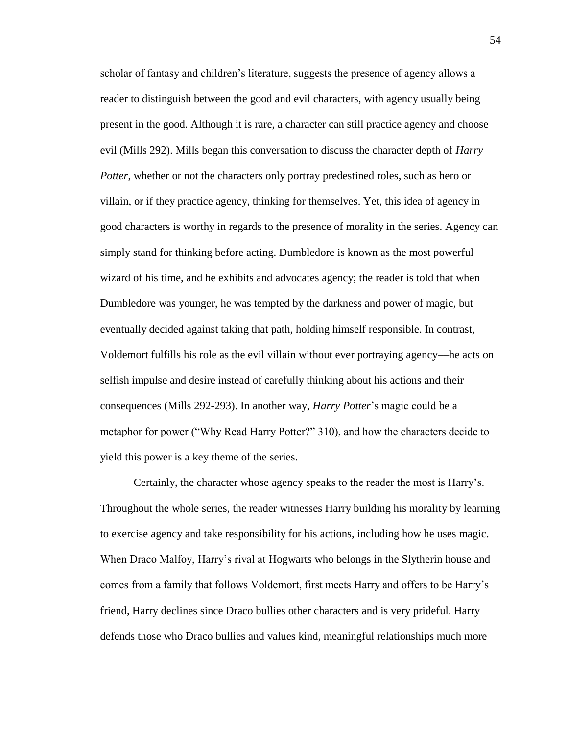scholar of fantasy and children's literature, suggests the presence of agency allows a reader to distinguish between the good and evil characters, with agency usually being present in the good. Although it is rare, a character can still practice agency and choose evil (Mills 292). Mills began this conversation to discuss the character depth of *Harry Potter*, whether or not the characters only portray predestined roles, such as hero or villain, or if they practice agency, thinking for themselves. Yet, this idea of agency in good characters is worthy in regards to the presence of morality in the series. Agency can simply stand for thinking before acting. Dumbledore is known as the most powerful wizard of his time, and he exhibits and advocates agency; the reader is told that when Dumbledore was younger, he was tempted by the darkness and power of magic, but eventually decided against taking that path, holding himself responsible. In contrast, Voldemort fulfills his role as the evil villain without ever portraying agency––he acts on selfish impulse and desire instead of carefully thinking about his actions and their consequences (Mills 292-293). In another way, *Harry Potter*'s magic could be a metaphor for power ("Why Read Harry Potter?" 310), and how the characters decide to yield this power is a key theme of the series.

Certainly, the character whose agency speaks to the reader the most is Harry's. Throughout the whole series, the reader witnesses Harry building his morality by learning to exercise agency and take responsibility for his actions, including how he uses magic. When Draco Malfoy, Harry's rival at Hogwarts who belongs in the Slytherin house and comes from a family that follows Voldemort, first meets Harry and offers to be Harry's friend, Harry declines since Draco bullies other characters and is very prideful. Harry defends those who Draco bullies and values kind, meaningful relationships much more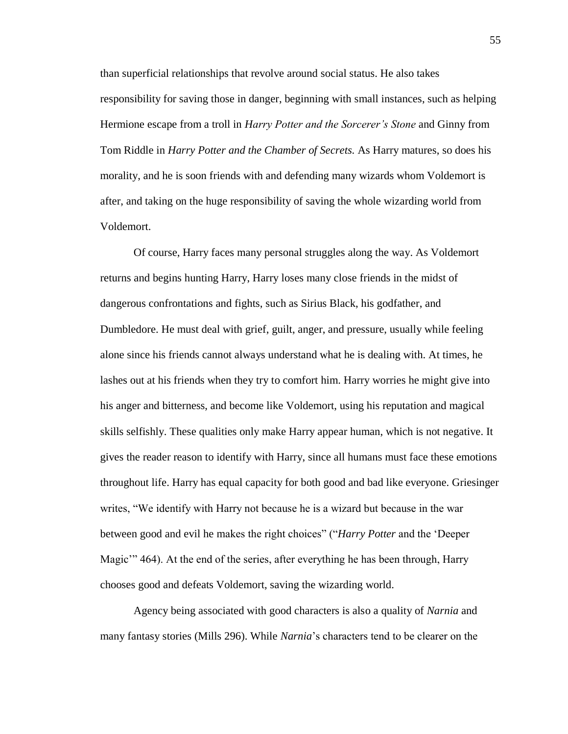than superficial relationships that revolve around social status. He also takes responsibility for saving those in danger, beginning with small instances, such as helping Hermione escape from a troll in *Harry Potter and the Sorcerer's Stone* and Ginny from Tom Riddle in *Harry Potter and the Chamber of Secrets.* As Harry matures, so does his morality, and he is soon friends with and defending many wizards whom Voldemort is after, and taking on the huge responsibility of saving the whole wizarding world from Voldemort.

Of course, Harry faces many personal struggles along the way. As Voldemort returns and begins hunting Harry, Harry loses many close friends in the midst of dangerous confrontations and fights, such as Sirius Black, his godfather, and Dumbledore. He must deal with grief, guilt, anger, and pressure, usually while feeling alone since his friends cannot always understand what he is dealing with. At times, he lashes out at his friends when they try to comfort him. Harry worries he might give into his anger and bitterness, and become like Voldemort, using his reputation and magical skills selfishly. These qualities only make Harry appear human, which is not negative. It gives the reader reason to identify with Harry, since all humans must face these emotions throughout life. Harry has equal capacity for both good and bad like everyone. Griesinger writes, "We identify with Harry not because he is a wizard but because in the war between good and evil he makes the right choices" ("*Harry Potter* and the 'Deeper Magic'" 464). At the end of the series, after everything he has been through, Harry chooses good and defeats Voldemort, saving the wizarding world.

Agency being associated with good characters is also a quality of *Narnia* and many fantasy stories (Mills 296). While *Narnia*'s characters tend to be clearer on the 55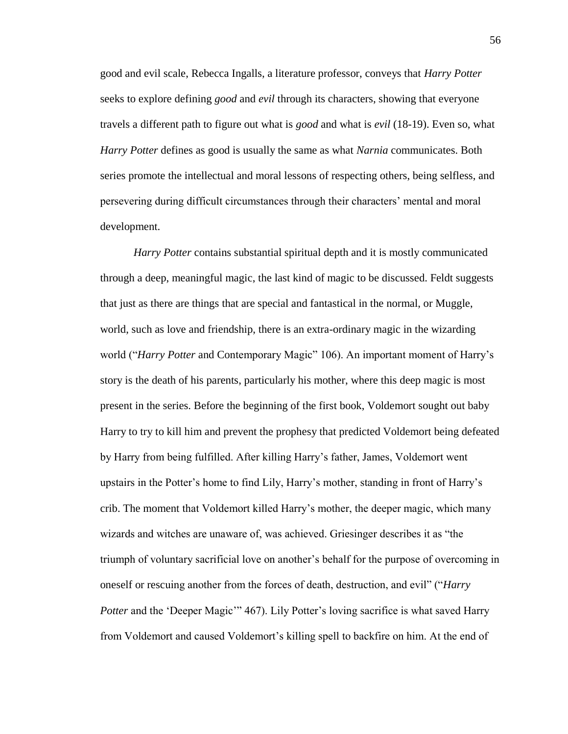good and evil scale, Rebecca Ingalls, a literature professor, conveys that *Harry Potter*  seeks to explore defining *good* and *evil* through its characters, showing that everyone travels a different path to figure out what is *good* and what is *evil* (18-19). Even so, what *Harry Potter* defines as good is usually the same as what *Narnia* communicates. Both series promote the intellectual and moral lessons of respecting others, being selfless, and persevering during difficult circumstances through their characters' mental and moral development.

*Harry Potter* contains substantial spiritual depth and it is mostly communicated through a deep, meaningful magic, the last kind of magic to be discussed. Feldt suggests that just as there are things that are special and fantastical in the normal, or Muggle, world, such as love and friendship, there is an extra-ordinary magic in the wizarding world ("*Harry Potter* and Contemporary Magic" 106). An important moment of Harry's story is the death of his parents, particularly his mother, where this deep magic is most present in the series. Before the beginning of the first book, Voldemort sought out baby Harry to try to kill him and prevent the prophesy that predicted Voldemort being defeated by Harry from being fulfilled. After killing Harry's father, James, Voldemort went upstairs in the Potter's home to find Lily, Harry's mother, standing in front of Harry's crib. The moment that Voldemort killed Harry's mother, the deeper magic, which many wizards and witches are unaware of, was achieved. Griesinger describes it as "the triumph of voluntary sacrificial love on another's behalf for the purpose of overcoming in oneself or rescuing another from the forces of death, destruction, and evil" ("*Harry Potter* and the 'Deeper Magic'" 467). Lily Potter's loving sacrifice is what saved Harry from Voldemort and caused Voldemort's killing spell to backfire on him. At the end of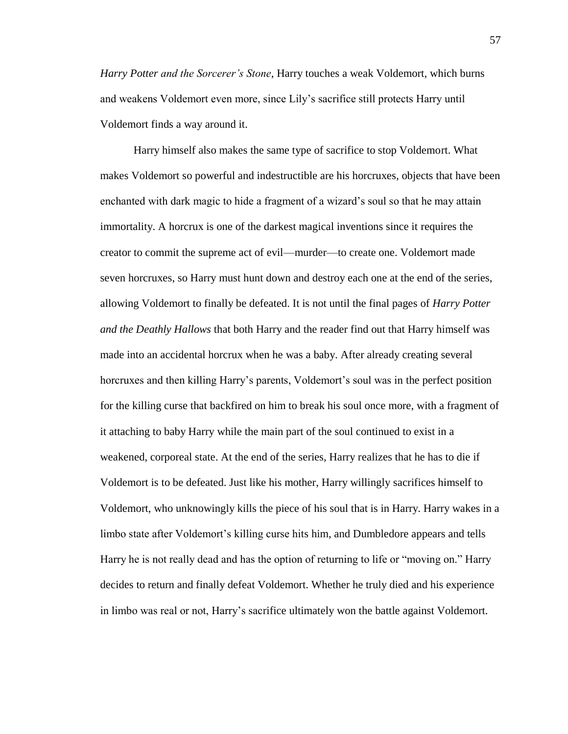*Harry Potter and the Sorcerer's Stone*, Harry touches a weak Voldemort, which burns and weakens Voldemort even more, since Lily's sacrifice still protects Harry until Voldemort finds a way around it.

Harry himself also makes the same type of sacrifice to stop Voldemort. What makes Voldemort so powerful and indestructible are his horcruxes, objects that have been enchanted with dark magic to hide a fragment of a wizard's soul so that he may attain immortality. A horcrux is one of the darkest magical inventions since it requires the creator to commit the supreme act of evil––murder––to create one. Voldemort made seven horcruxes, so Harry must hunt down and destroy each one at the end of the series, allowing Voldemort to finally be defeated. It is not until the final pages of *Harry Potter and the Deathly Hallows* that both Harry and the reader find out that Harry himself was made into an accidental horcrux when he was a baby. After already creating several horcruxes and then killing Harry's parents, Voldemort's soul was in the perfect position for the killing curse that backfired on him to break his soul once more, with a fragment of it attaching to baby Harry while the main part of the soul continued to exist in a weakened, corporeal state. At the end of the series, Harry realizes that he has to die if Voldemort is to be defeated. Just like his mother, Harry willingly sacrifices himself to Voldemort, who unknowingly kills the piece of his soul that is in Harry. Harry wakes in a limbo state after Voldemort's killing curse hits him, and Dumbledore appears and tells Harry he is not really dead and has the option of returning to life or "moving on." Harry decides to return and finally defeat Voldemort. Whether he truly died and his experience in limbo was real or not, Harry's sacrifice ultimately won the battle against Voldemort.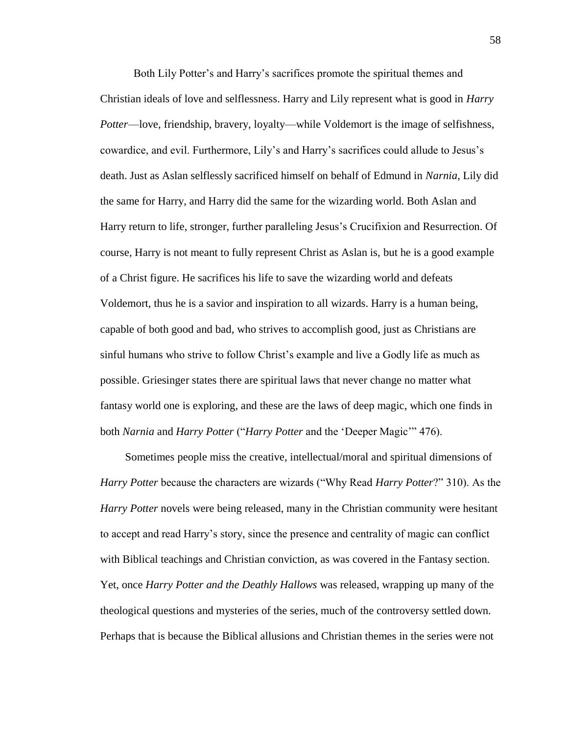Both Lily Potter's and Harry's sacrifices promote the spiritual themes and Christian ideals of love and selflessness. Harry and Lily represent what is good in *Harry Potter—love, friendship, bravery, loyalty—while Voldemort is the image of selfishness,* cowardice, and evil. Furthermore, Lily's and Harry's sacrifices could allude to Jesus's death. Just as Aslan selflessly sacrificed himself on behalf of Edmund in *Narnia*, Lily did the same for Harry, and Harry did the same for the wizarding world. Both Aslan and Harry return to life, stronger, further paralleling Jesus's Crucifixion and Resurrection. Of course, Harry is not meant to fully represent Christ as Aslan is, but he is a good example of a Christ figure. He sacrifices his life to save the wizarding world and defeats Voldemort, thus he is a savior and inspiration to all wizards. Harry is a human being, capable of both good and bad, who strives to accomplish good, just as Christians are sinful humans who strive to follow Christ's example and live a Godly life as much as possible. Griesinger states there are spiritual laws that never change no matter what fantasy world one is exploring, and these are the laws of deep magic, which one finds in both *Narnia* and *Harry Potter* ("*Harry Potter* and the 'Deeper Magic'" 476).

Sometimes people miss the creative, intellectual/moral and spiritual dimensions of *Harry Potter* because the characters are wizards ("Why Read *Harry Potter*?" 310). As the *Harry Potter* novels were being released, many in the Christian community were hesitant to accept and read Harry's story, since the presence and centrality of magic can conflict with Biblical teachings and Christian conviction, as was covered in the Fantasy section. Yet, once *Harry Potter and the Deathly Hallows* was released, wrapping up many of the theological questions and mysteries of the series, much of the controversy settled down. Perhaps that is because the Biblical allusions and Christian themes in the series were not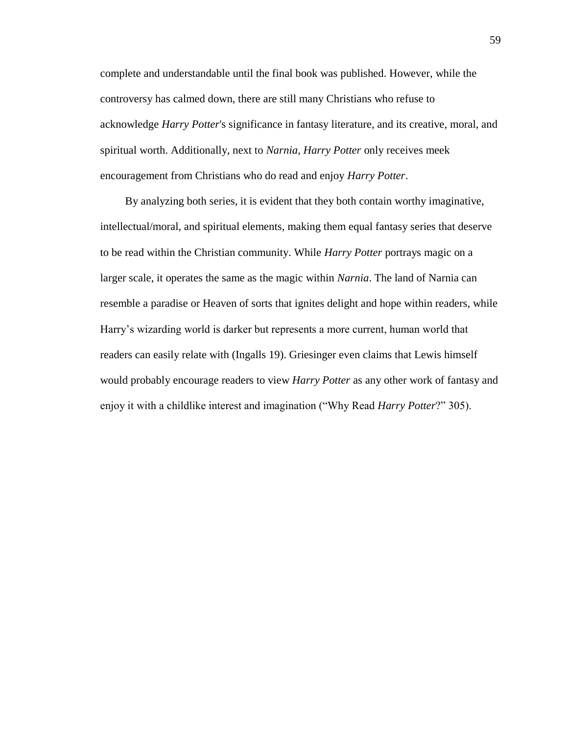complete and understandable until the final book was published. However, while the controversy has calmed down, there are still many Christians who refuse to acknowledge *Harry Potter*'s significance in fantasy literature, and its creative, moral, and spiritual worth. Additionally, next to *Narnia*, *Harry Potter* only receives meek encouragement from Christians who do read and enjoy *Harry Potter*.

By analyzing both series, it is evident that they both contain worthy imaginative, intellectual/moral, and spiritual elements, making them equal fantasy series that deserve to be read within the Christian community. While *Harry Potter* portrays magic on a larger scale, it operates the same as the magic within *Narnia*. The land of Narnia can resemble a paradise or Heaven of sorts that ignites delight and hope within readers, while Harry's wizarding world is darker but represents a more current, human world that readers can easily relate with (Ingalls 19). Griesinger even claims that Lewis himself would probably encourage readers to view *Harry Potter* as any other work of fantasy and enjoy it with a childlike interest and imagination ("Why Read *Harry Potter*?" 305).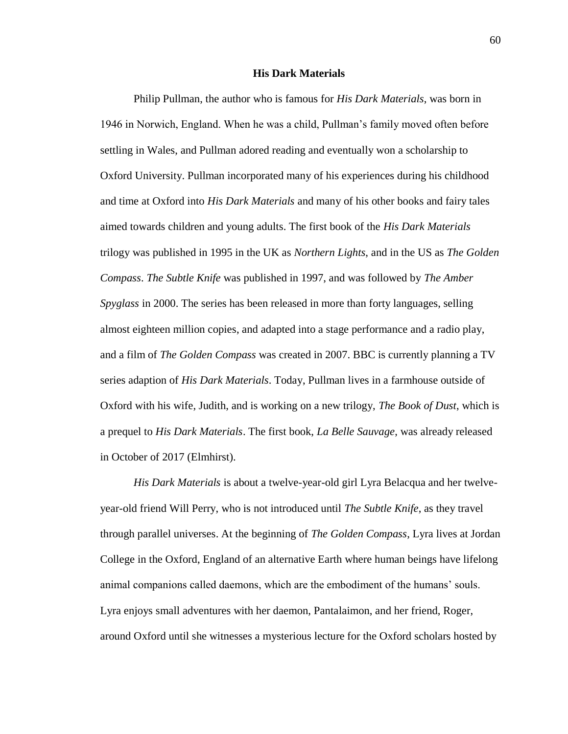## **His Dark Materials**

Philip Pullman, the author who is famous for *His Dark Materials*, was born in 1946 in Norwich, England. When he was a child, Pullman's family moved often before settling in Wales, and Pullman adored reading and eventually won a scholarship to Oxford University. Pullman incorporated many of his experiences during his childhood and time at Oxford into *His Dark Materials* and many of his other books and fairy tales aimed towards children and young adults. The first book of the *His Dark Materials* trilogy was published in 1995 in the UK as *Northern Lights*, and in the US as *The Golden Compass*. *The Subtle Knife* was published in 1997, and was followed by *The Amber Spyglass* in 2000. The series has been released in more than forty languages, selling almost eighteen million copies, and adapted into a stage performance and a radio play, and a film of *The Golden Compass* was created in 2007. BBC is currently planning a TV series adaption of *His Dark Materials*. Today, Pullman lives in a farmhouse outside of Oxford with his wife, Judith, and is working on a new trilogy, *The Book of Dust*, which is a prequel to *His Dark Materials*. The first book, *La Belle Sauvage*, was already released in October of 2017 (Elmhirst).

*His Dark Materials* is about a twelve-year-old girl Lyra Belacqua and her twelveyear-old friend Will Perry, who is not introduced until *The Subtle Knife*, as they travel through parallel universes. At the beginning of *The Golden Compass*, Lyra lives at Jordan College in the Oxford, England of an alternative Earth where human beings have lifelong animal companions called daemons, which are the embodiment of the humans' souls. Lyra enjoys small adventures with her daemon, Pantalaimon, and her friend, Roger, around Oxford until she witnesses a mysterious lecture for the Oxford scholars hosted by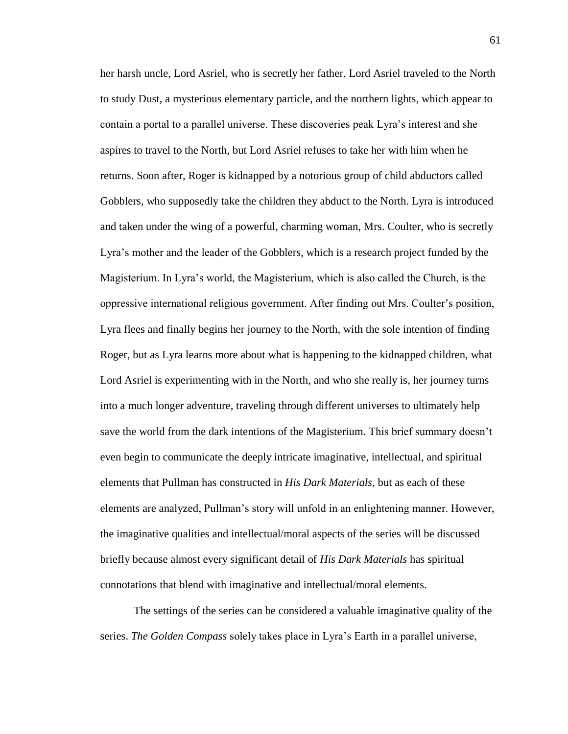her harsh uncle, Lord Asriel, who is secretly her father. Lord Asriel traveled to the North to study Dust, a mysterious elementary particle, and the northern lights, which appear to contain a portal to a parallel universe. These discoveries peak Lyra's interest and she aspires to travel to the North, but Lord Asriel refuses to take her with him when he returns. Soon after, Roger is kidnapped by a notorious group of child abductors called Gobblers, who supposedly take the children they abduct to the North. Lyra is introduced and taken under the wing of a powerful, charming woman, Mrs. Coulter, who is secretly Lyra's mother and the leader of the Gobblers, which is a research project funded by the Magisterium. In Lyra's world, the Magisterium, which is also called the Church, is the oppressive international religious government. After finding out Mrs. Coulter's position, Lyra flees and finally begins her journey to the North, with the sole intention of finding Roger, but as Lyra learns more about what is happening to the kidnapped children, what Lord Asriel is experimenting with in the North, and who she really is, her journey turns into a much longer adventure, traveling through different universes to ultimately help save the world from the dark intentions of the Magisterium. This brief summary doesn't even begin to communicate the deeply intricate imaginative, intellectual, and spiritual elements that Pullman has constructed in *His Dark Materials*, but as each of these elements are analyzed, Pullman's story will unfold in an enlightening manner. However, the imaginative qualities and intellectual/moral aspects of the series will be discussed briefly because almost every significant detail of *His Dark Materials* has spiritual connotations that blend with imaginative and intellectual/moral elements.

The settings of the series can be considered a valuable imaginative quality of the series. *The Golden Compass* solely takes place in Lyra's Earth in a parallel universe,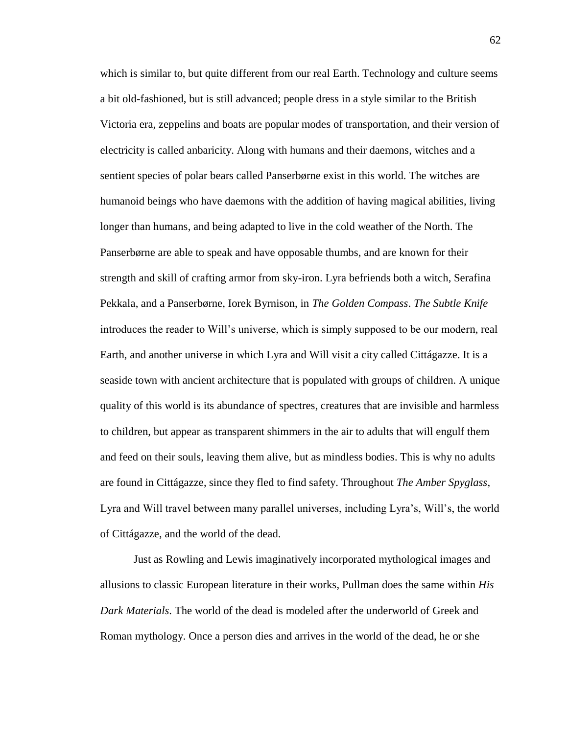which is similar to, but quite different from our real Earth. Technology and culture seems a bit old-fashioned, but is still advanced; people dress in a style similar to the British Victoria era, zeppelins and boats are popular modes of transportation, and their version of electricity is called anbaricity. Along with humans and their daemons, witches and a sentient species of polar bears called Panserbørne exist in this world. The witches are humanoid beings who have daemons with the addition of having magical abilities, living longer than humans, and being adapted to live in the cold weather of the North. The Panserbørne are able to speak and have opposable thumbs, and are known for their strength and skill of crafting armor from sky-iron. Lyra befriends both a witch, Serafina Pekkala, and a Panserbørne, Iorek Byrnison, in *The Golden Compass*. *The Subtle Knife* introduces the reader to Will's universe, which is simply supposed to be our modern, real Earth, and another universe in which Lyra and Will visit a city called Cittágazze. It is a seaside town with ancient architecture that is populated with groups of children. A unique quality of this world is its abundance of spectres, creatures that are invisible and harmless to children, but appear as transparent shimmers in the air to adults that will engulf them and feed on their souls, leaving them alive, but as mindless bodies. This is why no adults are found in Cittágazze, since they fled to find safety. Throughout *The Amber Spyglass*, Lyra and Will travel between many parallel universes, including Lyra's, Will's, the world of Cittágazze, and the world of the dead.

Just as Rowling and Lewis imaginatively incorporated mythological images and allusions to classic European literature in their works, Pullman does the same within *His Dark Materials*. The world of the dead is modeled after the underworld of Greek and Roman mythology. Once a person dies and arrives in the world of the dead, he or she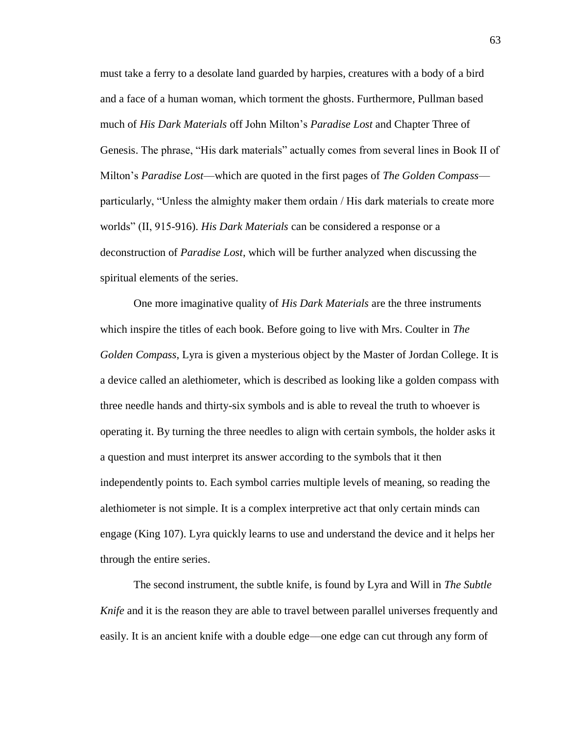must take a ferry to a desolate land guarded by harpies, creatures with a body of a bird and a face of a human woman, which torment the ghosts. Furthermore, Pullman based much of *His Dark Materials* off John Milton's *Paradise Lost* and Chapter Three of Genesis. The phrase, "His dark materials" actually comes from several lines in Book II of Milton's *Paradise Lost––*which are quoted in the first pages of *The Golden Compass*–– particularly, "Unless the almighty maker them ordain / His dark materials to create more worlds" (II, 915-916). *His Dark Materials* can be considered a response or a deconstruction of *Paradise Lost*, which will be further analyzed when discussing the spiritual elements of the series.

One more imaginative quality of *His Dark Materials* are the three instruments which inspire the titles of each book. Before going to live with Mrs. Coulter in *The Golden Compass*, Lyra is given a mysterious object by the Master of Jordan College. It is a device called an alethiometer, which is described as looking like a golden compass with three needle hands and thirty-six symbols and is able to reveal the truth to whoever is operating it. By turning the three needles to align with certain symbols, the holder asks it a question and must interpret its answer according to the symbols that it then independently points to. Each symbol carries multiple levels of meaning, so reading the alethiometer is not simple. It is a complex interpretive act that only certain minds can engage (King 107). Lyra quickly learns to use and understand the device and it helps her through the entire series.

The second instrument, the subtle knife, is found by Lyra and Will in *The Subtle Knife* and it is the reason they are able to travel between parallel universes frequently and easily. It is an ancient knife with a double edge––one edge can cut through any form of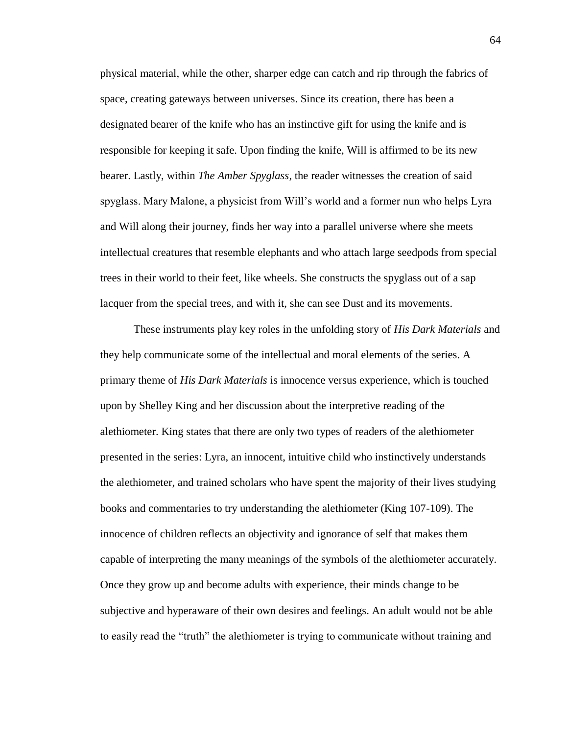physical material, while the other, sharper edge can catch and rip through the fabrics of space, creating gateways between universes. Since its creation, there has been a designated bearer of the knife who has an instinctive gift for using the knife and is responsible for keeping it safe. Upon finding the knife, Will is affirmed to be its new bearer. Lastly, within *The Amber Spyglass*, the reader witnesses the creation of said spyglass. Mary Malone, a physicist from Will's world and a former nun who helps Lyra and Will along their journey, finds her way into a parallel universe where she meets intellectual creatures that resemble elephants and who attach large seedpods from special trees in their world to their feet, like wheels. She constructs the spyglass out of a sap lacquer from the special trees, and with it, she can see Dust and its movements.

These instruments play key roles in the unfolding story of *His Dark Materials* and they help communicate some of the intellectual and moral elements of the series. A primary theme of *His Dark Materials* is innocence versus experience, which is touched upon by Shelley King and her discussion about the interpretive reading of the alethiometer. King states that there are only two types of readers of the alethiometer presented in the series: Lyra, an innocent, intuitive child who instinctively understands the alethiometer, and trained scholars who have spent the majority of their lives studying books and commentaries to try understanding the alethiometer (King 107-109). The innocence of children reflects an objectivity and ignorance of self that makes them capable of interpreting the many meanings of the symbols of the alethiometer accurately. Once they grow up and become adults with experience, their minds change to be subjective and hyperaware of their own desires and feelings. An adult would not be able to easily read the "truth" the alethiometer is trying to communicate without training and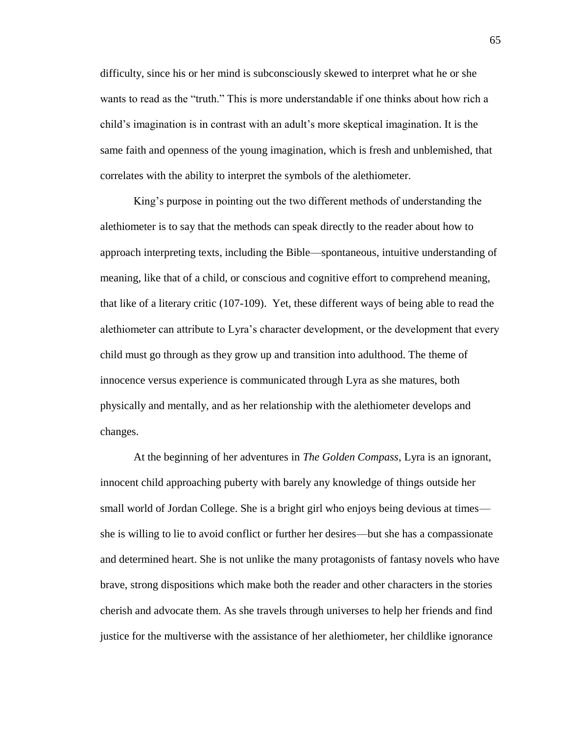difficulty, since his or her mind is subconsciously skewed to interpret what he or she wants to read as the "truth." This is more understandable if one thinks about how rich a child's imagination is in contrast with an adult's more skeptical imagination. It is the same faith and openness of the young imagination, which is fresh and unblemished, that correlates with the ability to interpret the symbols of the alethiometer.

King's purpose in pointing out the two different methods of understanding the alethiometer is to say that the methods can speak directly to the reader about how to approach interpreting texts, including the Bible––spontaneous, intuitive understanding of meaning, like that of a child, or conscious and cognitive effort to comprehend meaning, that like of a literary critic (107-109). Yet, these different ways of being able to read the alethiometer can attribute to Lyra's character development, or the development that every child must go through as they grow up and transition into adulthood. The theme of innocence versus experience is communicated through Lyra as she matures, both physically and mentally, and as her relationship with the alethiometer develops and changes.

At the beginning of her adventures in *The Golden Compass*, Lyra is an ignorant, innocent child approaching puberty with barely any knowledge of things outside her small world of Jordan College. She is a bright girl who enjoys being devious at times she is willing to lie to avoid conflict or further her desires––but she has a compassionate and determined heart. She is not unlike the many protagonists of fantasy novels who have brave, strong dispositions which make both the reader and other characters in the stories cherish and advocate them. As she travels through universes to help her friends and find justice for the multiverse with the assistance of her alethiometer, her childlike ignorance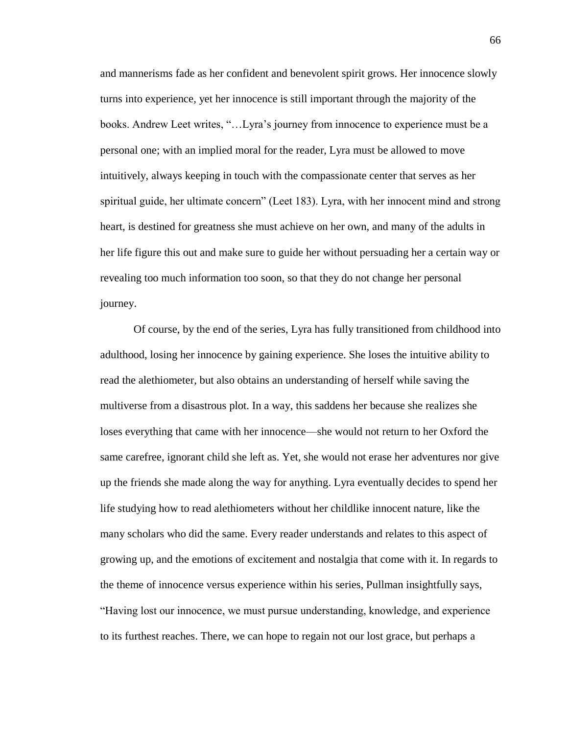and mannerisms fade as her confident and benevolent spirit grows. Her innocence slowly turns into experience, yet her innocence is still important through the majority of the books. Andrew Leet writes, "…Lyra's journey from innocence to experience must be a personal one; with an implied moral for the reader, Lyra must be allowed to move intuitively, always keeping in touch with the compassionate center that serves as her spiritual guide, her ultimate concern" (Leet 183). Lyra, with her innocent mind and strong heart, is destined for greatness she must achieve on her own, and many of the adults in her life figure this out and make sure to guide her without persuading her a certain way or revealing too much information too soon, so that they do not change her personal journey.

Of course, by the end of the series, Lyra has fully transitioned from childhood into adulthood, losing her innocence by gaining experience. She loses the intuitive ability to read the alethiometer, but also obtains an understanding of herself while saving the multiverse from a disastrous plot. In a way, this saddens her because she realizes she loses everything that came with her innocence––she would not return to her Oxford the same carefree, ignorant child she left as. Yet, she would not erase her adventures nor give up the friends she made along the way for anything. Lyra eventually decides to spend her life studying how to read alethiometers without her childlike innocent nature, like the many scholars who did the same. Every reader understands and relates to this aspect of growing up, and the emotions of excitement and nostalgia that come with it. In regards to the theme of innocence versus experience within his series, Pullman insightfully says, "Having lost our innocence, we must pursue understanding, knowledge, and experience to its furthest reaches. There, we can hope to regain not our lost grace, but perhaps a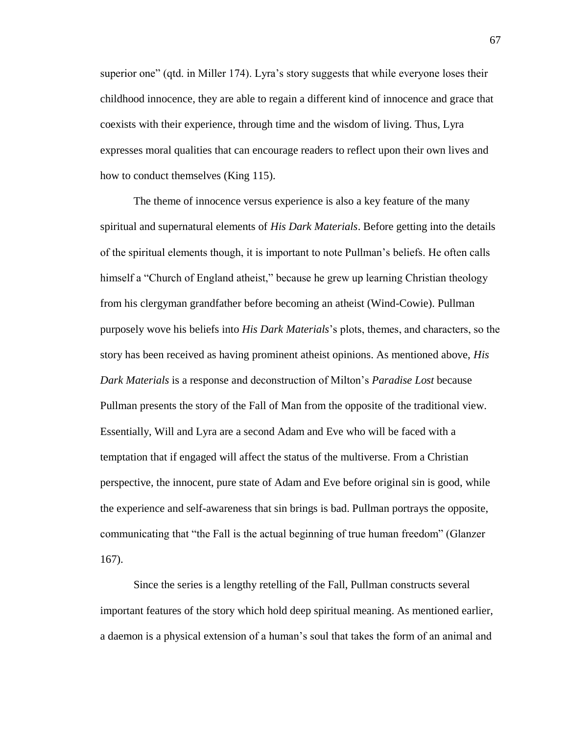superior one" (qtd. in Miller 174). Lyra's story suggests that while everyone loses their childhood innocence, they are able to regain a different kind of innocence and grace that coexists with their experience, through time and the wisdom of living. Thus, Lyra expresses moral qualities that can encourage readers to reflect upon their own lives and how to conduct themselves (King 115).

The theme of innocence versus experience is also a key feature of the many spiritual and supernatural elements of *His Dark Materials*. Before getting into the details of the spiritual elements though, it is important to note Pullman's beliefs. He often calls himself a "Church of England atheist," because he grew up learning Christian theology from his clergyman grandfather before becoming an atheist (Wind-Cowie). Pullman purposely wove his beliefs into *His Dark Materials*'s plots, themes, and characters, so the story has been received as having prominent atheist opinions. As mentioned above, *His Dark Materials* is a response and deconstruction of Milton's *Paradise Lost* because Pullman presents the story of the Fall of Man from the opposite of the traditional view. Essentially, Will and Lyra are a second Adam and Eve who will be faced with a temptation that if engaged will affect the status of the multiverse. From a Christian perspective, the innocent, pure state of Adam and Eve before original sin is good, while the experience and self-awareness that sin brings is bad. Pullman portrays the opposite, communicating that "the Fall is the actual beginning of true human freedom" (Glanzer 167).

Since the series is a lengthy retelling of the Fall, Pullman constructs several important features of the story which hold deep spiritual meaning. As mentioned earlier, a daemon is a physical extension of a human's soul that takes the form of an animal and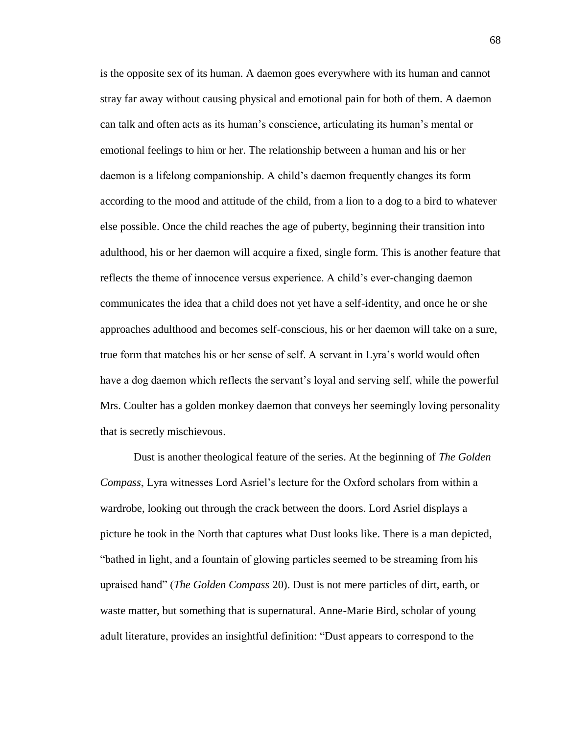is the opposite sex of its human. A daemon goes everywhere with its human and cannot stray far away without causing physical and emotional pain for both of them. A daemon can talk and often acts as its human's conscience, articulating its human's mental or emotional feelings to him or her. The relationship between a human and his or her daemon is a lifelong companionship. A child's daemon frequently changes its form according to the mood and attitude of the child, from a lion to a dog to a bird to whatever else possible. Once the child reaches the age of puberty, beginning their transition into adulthood, his or her daemon will acquire a fixed, single form. This is another feature that reflects the theme of innocence versus experience. A child's ever-changing daemon communicates the idea that a child does not yet have a self-identity, and once he or she approaches adulthood and becomes self-conscious, his or her daemon will take on a sure, true form that matches his or her sense of self. A servant in Lyra's world would often have a dog daemon which reflects the servant's loyal and serving self, while the powerful Mrs. Coulter has a golden monkey daemon that conveys her seemingly loving personality that is secretly mischievous.

Dust is another theological feature of the series. At the beginning of *The Golden Compass*, Lyra witnesses Lord Asriel's lecture for the Oxford scholars from within a wardrobe, looking out through the crack between the doors. Lord Asriel displays a picture he took in the North that captures what Dust looks like. There is a man depicted, "bathed in light, and a fountain of glowing particles seemed to be streaming from his upraised hand" (*The Golden Compass* 20). Dust is not mere particles of dirt, earth, or waste matter, but something that is supernatural. Anne-Marie Bird, scholar of young adult literature, provides an insightful definition: "Dust appears to correspond to the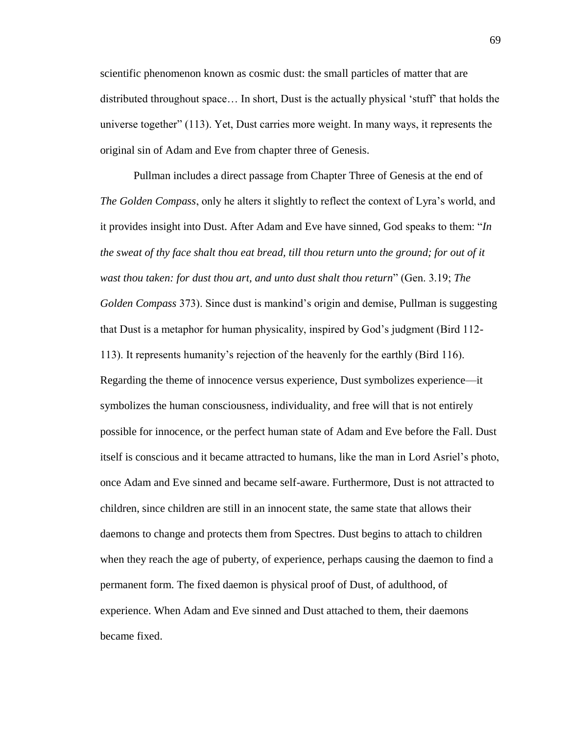scientific phenomenon known as cosmic dust: the small particles of matter that are distributed throughout space… In short, Dust is the actually physical 'stuff' that holds the universe together" (113). Yet, Dust carries more weight. In many ways, it represents the original sin of Adam and Eve from chapter three of Genesis.

Pullman includes a direct passage from Chapter Three of Genesis at the end of *The Golden Compass*, only he alters it slightly to reflect the context of Lyra's world, and it provides insight into Dust. After Adam and Eve have sinned, God speaks to them: "*In the sweat of thy face shalt thou eat bread, till thou return unto the ground; for out of it wast thou taken: for dust thou art, and unto dust shalt thou return*" (Gen. 3.19; *The Golden Compass* 373). Since dust is mankind's origin and demise, Pullman is suggesting that Dust is a metaphor for human physicality, inspired by God's judgment (Bird 112- 113). It represents humanity's rejection of the heavenly for the earthly (Bird 116). Regarding the theme of innocence versus experience, Dust symbolizes experience––it symbolizes the human consciousness, individuality, and free will that is not entirely possible for innocence, or the perfect human state of Adam and Eve before the Fall. Dust itself is conscious and it became attracted to humans, like the man in Lord Asriel's photo, once Adam and Eve sinned and became self-aware. Furthermore, Dust is not attracted to children, since children are still in an innocent state, the same state that allows their daemons to change and protects them from Spectres. Dust begins to attach to children when they reach the age of puberty, of experience, perhaps causing the daemon to find a permanent form. The fixed daemon is physical proof of Dust, of adulthood, of experience. When Adam and Eve sinned and Dust attached to them, their daemons became fixed.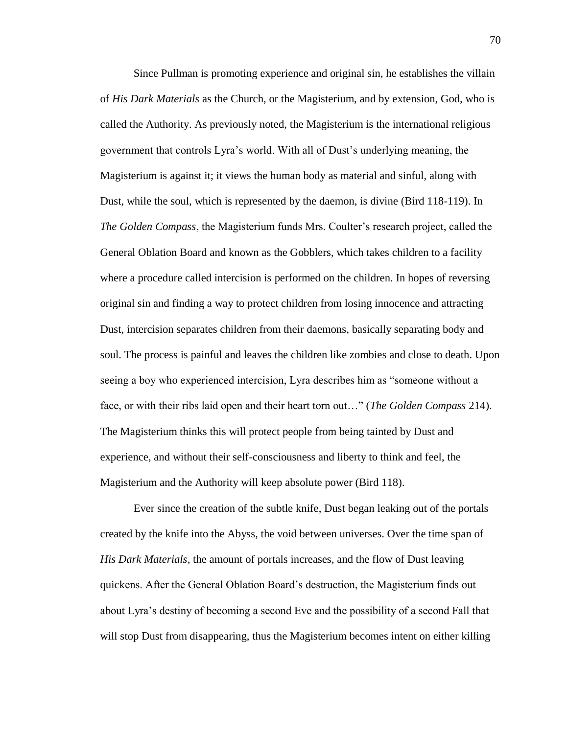Since Pullman is promoting experience and original sin, he establishes the villain of *His Dark Materials* as the Church, or the Magisterium, and by extension, God, who is called the Authority. As previously noted, the Magisterium is the international religious government that controls Lyra's world. With all of Dust's underlying meaning, the Magisterium is against it; it views the human body as material and sinful, along with Dust, while the soul, which is represented by the daemon, is divine (Bird 118-119). In *The Golden Compass*, the Magisterium funds Mrs. Coulter's research project, called the General Oblation Board and known as the Gobblers, which takes children to a facility where a procedure called intercision is performed on the children. In hopes of reversing original sin and finding a way to protect children from losing innocence and attracting Dust, intercision separates children from their daemons, basically separating body and soul. The process is painful and leaves the children like zombies and close to death. Upon seeing a boy who experienced intercision, Lyra describes him as "someone without a face, or with their ribs laid open and their heart torn out…" (*The Golden Compass* 214). The Magisterium thinks this will protect people from being tainted by Dust and experience, and without their self-consciousness and liberty to think and feel, the Magisterium and the Authority will keep absolute power (Bird 118).

Ever since the creation of the subtle knife, Dust began leaking out of the portals created by the knife into the Abyss, the void between universes. Over the time span of *His Dark Materials*, the amount of portals increases, and the flow of Dust leaving quickens. After the General Oblation Board's destruction, the Magisterium finds out about Lyra's destiny of becoming a second Eve and the possibility of a second Fall that will stop Dust from disappearing, thus the Magisterium becomes intent on either killing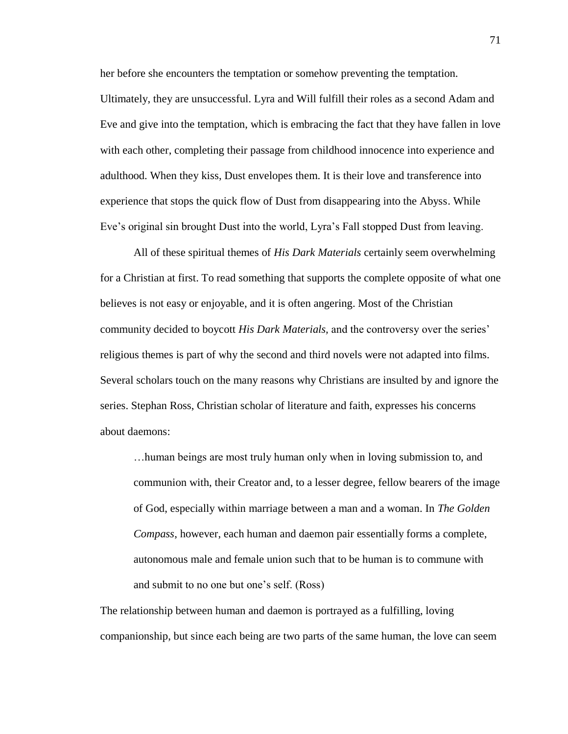her before she encounters the temptation or somehow preventing the temptation.

Ultimately, they are unsuccessful. Lyra and Will fulfill their roles as a second Adam and Eve and give into the temptation, which is embracing the fact that they have fallen in love with each other, completing their passage from childhood innocence into experience and adulthood. When they kiss, Dust envelopes them. It is their love and transference into experience that stops the quick flow of Dust from disappearing into the Abyss. While Eve's original sin brought Dust into the world, Lyra's Fall stopped Dust from leaving.

All of these spiritual themes of *His Dark Materials* certainly seem overwhelming for a Christian at first. To read something that supports the complete opposite of what one believes is not easy or enjoyable, and it is often angering. Most of the Christian community decided to boycott *His Dark Materials,* and the controversy over the series' religious themes is part of why the second and third novels were not adapted into films. Several scholars touch on the many reasons why Christians are insulted by and ignore the series. Stephan Ross, Christian scholar of literature and faith, expresses his concerns about daemons:

…human beings are most truly human only when in loving submission to, and communion with, their Creator and, to a lesser degree, fellow bearers of the image of God, especially within marriage between a man and a woman. In *The Golden Compass*, however, each human and daemon pair essentially forms a complete, autonomous male and female union such that to be human is to commune with and submit to no one but one's self. (Ross)

The relationship between human and daemon is portrayed as a fulfilling, loving companionship, but since each being are two parts of the same human, the love can seem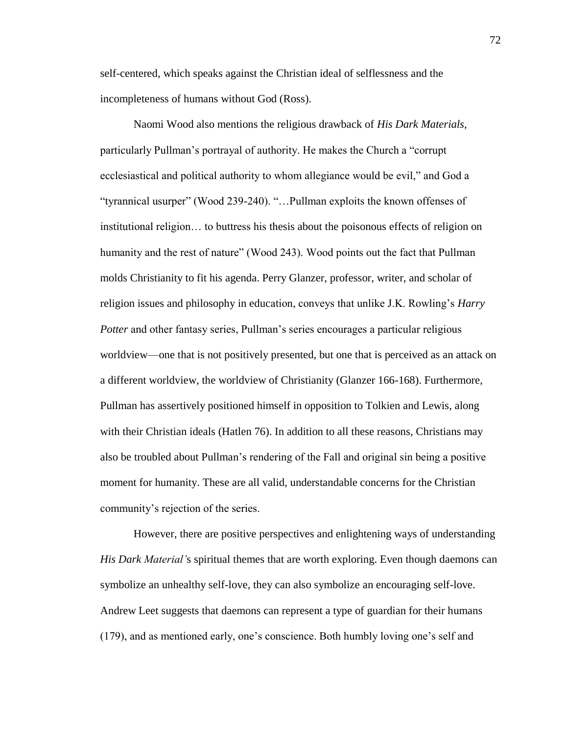self-centered, which speaks against the Christian ideal of selflessness and the incompleteness of humans without God (Ross).

Naomi Wood also mentions the religious drawback of *His Dark Materials*, particularly Pullman's portrayal of authority. He makes the Church a "corrupt ecclesiastical and political authority to whom allegiance would be evil," and God a "tyrannical usurper" (Wood 239-240). "…Pullman exploits the known offenses of institutional religion… to buttress his thesis about the poisonous effects of religion on humanity and the rest of nature" (Wood 243). Wood points out the fact that Pullman molds Christianity to fit his agenda. Perry Glanzer, professor, writer, and scholar of religion issues and philosophy in education, conveys that unlike J.K. Rowling's *Harry Potter* and other fantasy series, Pullman's series encourages a particular religious worldview––one that is not positively presented, but one that is perceived as an attack on a different worldview, the worldview of Christianity (Glanzer 166-168). Furthermore, Pullman has assertively positioned himself in opposition to Tolkien and Lewis, along with their Christian ideals (Hatlen 76). In addition to all these reasons, Christians may also be troubled about Pullman's rendering of the Fall and original sin being a positive moment for humanity. These are all valid, understandable concerns for the Christian community's rejection of the series.

However, there are positive perspectives and enlightening ways of understanding *His Dark Material'*s spiritual themes that are worth exploring. Even though daemons can symbolize an unhealthy self-love, they can also symbolize an encouraging self-love. Andrew Leet suggests that daemons can represent a type of guardian for their humans (179), and as mentioned early, one's conscience. Both humbly loving one's self and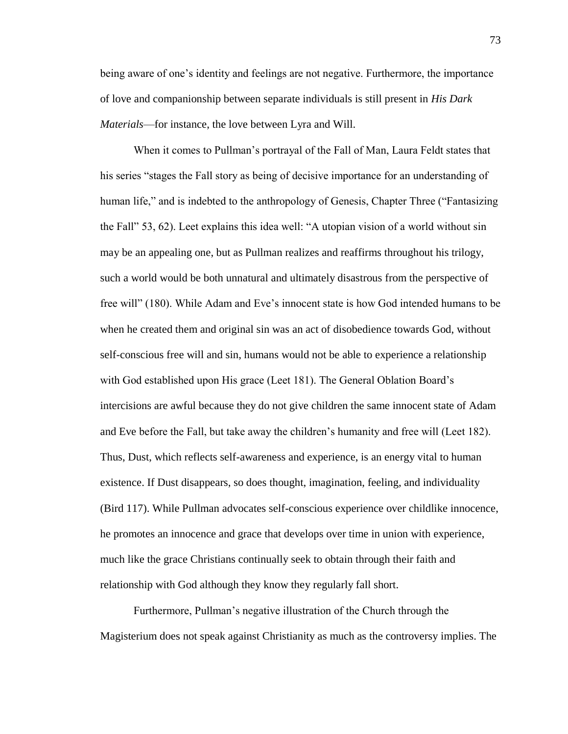being aware of one's identity and feelings are not negative. Furthermore, the importance of love and companionship between separate individuals is still present in *His Dark Materials––*for instance, the love between Lyra and Will.

When it comes to Pullman's portrayal of the Fall of Man, Laura Feldt states that his series "stages the Fall story as being of decisive importance for an understanding of human life," and is indebted to the anthropology of Genesis, Chapter Three ("Fantasizing the Fall" 53, 62). Leet explains this idea well: "A utopian vision of a world without sin may be an appealing one, but as Pullman realizes and reaffirms throughout his trilogy, such a world would be both unnatural and ultimately disastrous from the perspective of free will" (180). While Adam and Eve's innocent state is how God intended humans to be when he created them and original sin was an act of disobedience towards God, without self-conscious free will and sin, humans would not be able to experience a relationship with God established upon His grace (Leet 181). The General Oblation Board's intercisions are awful because they do not give children the same innocent state of Adam and Eve before the Fall, but take away the children's humanity and free will (Leet 182). Thus, Dust, which reflects self-awareness and experience, is an energy vital to human existence. If Dust disappears, so does thought, imagination, feeling, and individuality (Bird 117). While Pullman advocates self-conscious experience over childlike innocence, he promotes an innocence and grace that develops over time in union with experience, much like the grace Christians continually seek to obtain through their faith and relationship with God although they know they regularly fall short.

Furthermore, Pullman's negative illustration of the Church through the Magisterium does not speak against Christianity as much as the controversy implies. The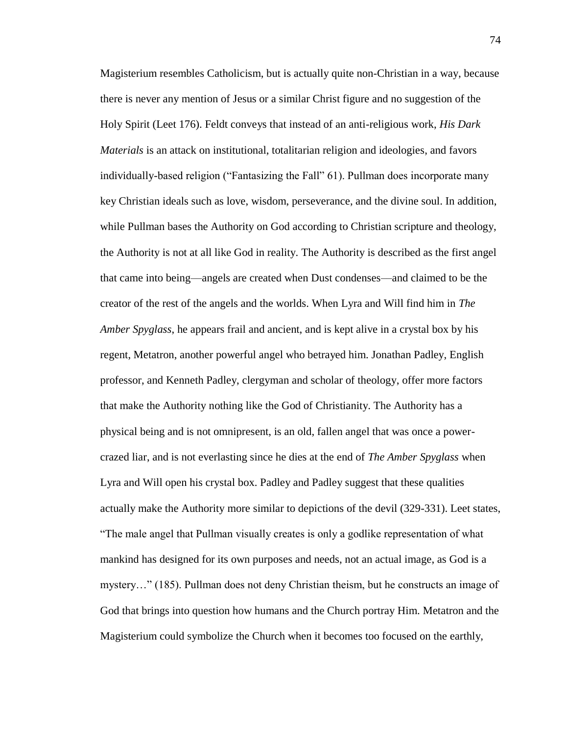Magisterium resembles Catholicism, but is actually quite non-Christian in a way, because there is never any mention of Jesus or a similar Christ figure and no suggestion of the Holy Spirit (Leet 176). Feldt conveys that instead of an anti-religious work, *His Dark Materials* is an attack on institutional, totalitarian religion and ideologies, and favors individually-based religion ("Fantasizing the Fall" 61). Pullman does incorporate many key Christian ideals such as love, wisdom, perseverance, and the divine soul. In addition, while Pullman bases the Authority on God according to Christian scripture and theology, the Authority is not at all like God in reality. The Authority is described as the first angel that came into being––angels are created when Dust condenses––and claimed to be the creator of the rest of the angels and the worlds. When Lyra and Will find him in *The Amber Spyglass*, he appears frail and ancient, and is kept alive in a crystal box by his regent, Metatron, another powerful angel who betrayed him. Jonathan Padley, English professor, and Kenneth Padley, clergyman and scholar of theology, offer more factors that make the Authority nothing like the God of Christianity. The Authority has a physical being and is not omnipresent, is an old, fallen angel that was once a powercrazed liar, and is not everlasting since he dies at the end of *The Amber Spyglass* when Lyra and Will open his crystal box. Padley and Padley suggest that these qualities actually make the Authority more similar to depictions of the devil (329-331). Leet states, "The male angel that Pullman visually creates is only a godlike representation of what mankind has designed for its own purposes and needs, not an actual image, as God is a mystery…" (185). Pullman does not deny Christian theism, but he constructs an image of God that brings into question how humans and the Church portray Him. Metatron and the Magisterium could symbolize the Church when it becomes too focused on the earthly,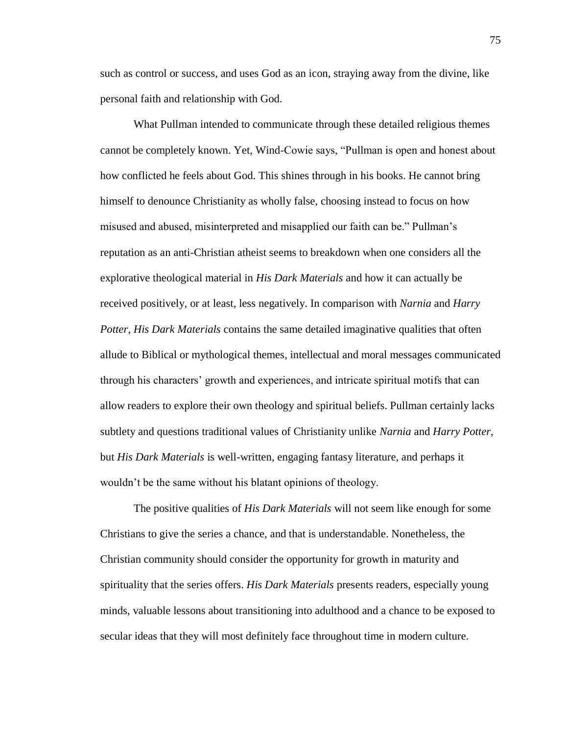such as control or success, and uses God as an icon, straying away from the divine, like personal faith and relationship with God.

What Pullman intended to communicate through these detailed religious themes cannot be completely known. Yet, Wind-Cowie says, "Pullman is open and honest about how conflicted he feels about God. This shines through in his books. He cannot bring himself to denounce Christianity as wholly false, choosing instead to focus on how misused and abused, misinterpreted and misapplied our faith can be." Pullman's reputation as an anti-Christian atheist seems to breakdown when one considers all the explorative theological material in *His Dark Materials* and how it can actually be received positively, or at least, less negatively. In comparison with *Narnia* and *Harry Potter*, *His Dark Materials* contains the same detailed imaginative qualities that often allude to Biblical or mythological themes, intellectual and moral messages communicated through his characters' growth and experiences, and intricate spiritual motifs that can allow readers to explore their own theology and spiritual beliefs. Pullman certainly lacks subtlety and questions traditional values of Christianity unlike *Narnia* and *Harry Potter*, but *His Dark Materials* is well-written, engaging fantasy literature, and perhaps it wouldn't be the same without his blatant opinions of theology.

The positive qualities of *His Dark Materials* will not seem like enough for some Christians to give the series a chance, and that is understandable. Nonetheless, the Christian community should consider the opportunity for growth in maturity and spirituality that the series offers. *His Dark Materials* presents readers, especially young minds, valuable lessons about transitioning into adulthood and a chance to be exposed to secular ideas that they will most definitely face throughout time in modern culture.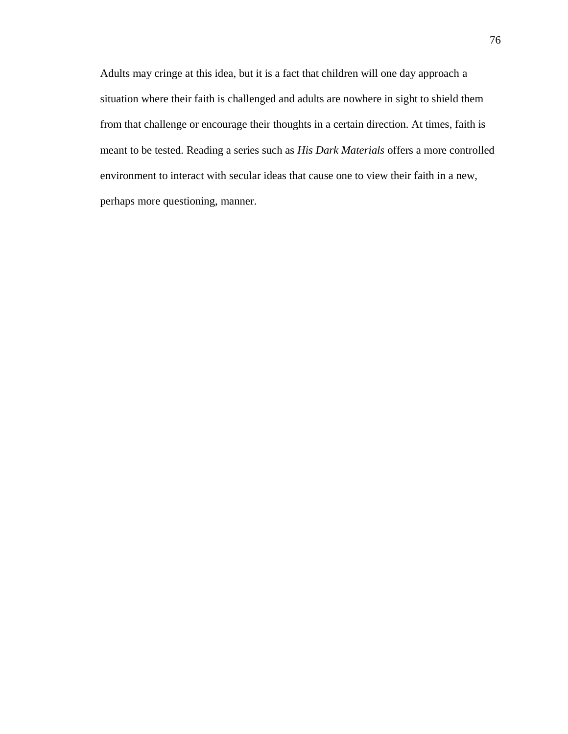Adults may cringe at this idea, but it is a fact that children will one day approach a situation where their faith is challenged and adults are nowhere in sight to shield them from that challenge or encourage their thoughts in a certain direction. At times, faith is meant to be tested. Reading a series such as *His Dark Materials* offers a more controlled environment to interact with secular ideas that cause one to view their faith in a new, perhaps more questioning, manner.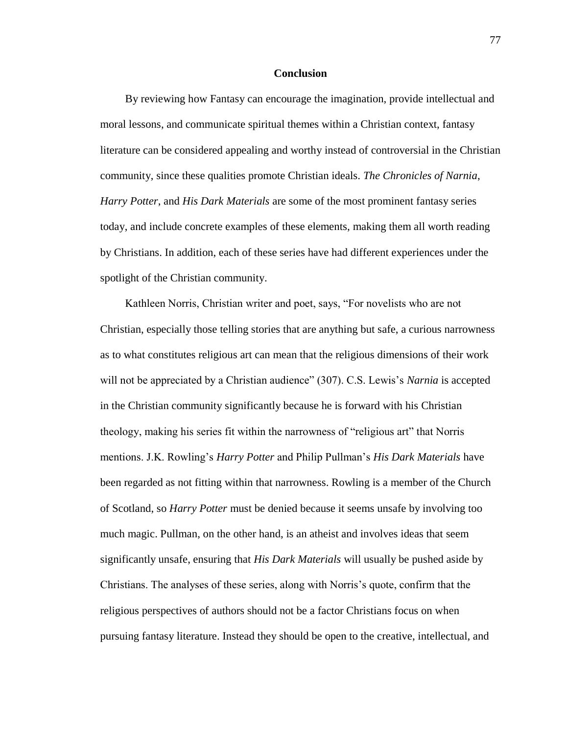## **Conclusion**

By reviewing how Fantasy can encourage the imagination, provide intellectual and moral lessons, and communicate spiritual themes within a Christian context, fantasy literature can be considered appealing and worthy instead of controversial in the Christian community, since these qualities promote Christian ideals. *The Chronicles of Narnia*, *Harry Potter*, and *His Dark Materials* are some of the most prominent fantasy series today, and include concrete examples of these elements, making them all worth reading by Christians. In addition, each of these series have had different experiences under the spotlight of the Christian community.

Kathleen Norris, Christian writer and poet, says, "For novelists who are not Christian, especially those telling stories that are anything but safe, a curious narrowness as to what constitutes religious art can mean that the religious dimensions of their work will not be appreciated by a Christian audience" (307). C.S. Lewis's *Narnia* is accepted in the Christian community significantly because he is forward with his Christian theology, making his series fit within the narrowness of "religious art" that Norris mentions. J.K. Rowling's *Harry Potter* and Philip Pullman's *His Dark Materials* have been regarded as not fitting within that narrowness. Rowling is a member of the Church of Scotland, so *Harry Potter* must be denied because it seems unsafe by involving too much magic. Pullman, on the other hand, is an atheist and involves ideas that seem significantly unsafe, ensuring that *His Dark Materials* will usually be pushed aside by Christians. The analyses of these series, along with Norris's quote, confirm that the religious perspectives of authors should not be a factor Christians focus on when pursuing fantasy literature. Instead they should be open to the creative, intellectual, and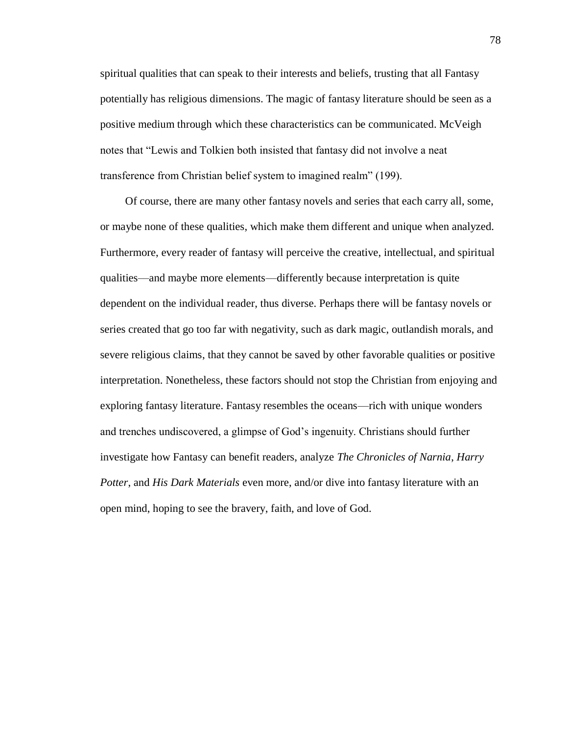spiritual qualities that can speak to their interests and beliefs, trusting that all Fantasy potentially has religious dimensions. The magic of fantasy literature should be seen as a positive medium through which these characteristics can be communicated. McVeigh notes that "Lewis and Tolkien both insisted that fantasy did not involve a neat transference from Christian belief system to imagined realm" (199).

Of course, there are many other fantasy novels and series that each carry all, some, or maybe none of these qualities, which make them different and unique when analyzed. Furthermore, every reader of fantasy will perceive the creative, intellectual, and spiritual qualities––and maybe more elements––differently because interpretation is quite dependent on the individual reader, thus diverse. Perhaps there will be fantasy novels or series created that go too far with negativity, such as dark magic, outlandish morals, and severe religious claims, that they cannot be saved by other favorable qualities or positive interpretation. Nonetheless, these factors should not stop the Christian from enjoying and exploring fantasy literature. Fantasy resembles the oceans––rich with unique wonders and trenches undiscovered, a glimpse of God's ingenuity. Christians should further investigate how Fantasy can benefit readers, analyze *The Chronicles of Narnia*, *Harry Potter*, and *His Dark Materials* even more, and/or dive into fantasy literature with an open mind, hoping to see the bravery, faith, and love of God.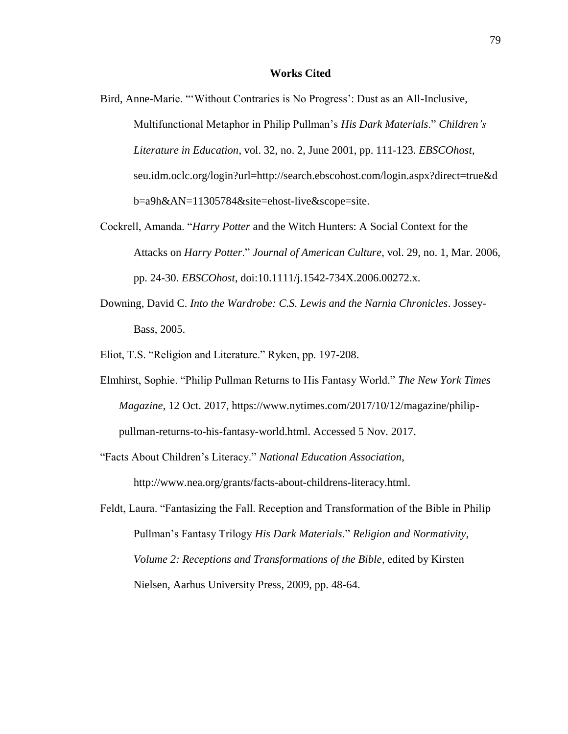## **Works Cited**

- Bird, Anne-Marie. "'Without Contraries is No Progress': Dust as an All-Inclusive, Multifunctional Metaphor in Philip Pullman's *His Dark Materials*." *Children's Literature in Education*, vol. 32, no. 2, June 2001, pp. 111-123. *EBSCOhost*, seu.idm.oclc.org/login?url=http://search.ebscohost.com/login.aspx?direct=true&d b=a9h&AN=11305784&site=ehost-live&scope=site.
- Cockrell, Amanda. "*Harry Potter* and the Witch Hunters: A Social Context for the Attacks on *Harry Potter*." *Journal of American Culture*, vol. 29, no. 1, Mar. 2006, pp. 24-30. *EBSCOhost*, doi:10.1111/j.1542-734X.2006.00272.x.
- Downing, David C. *Into the Wardrobe: C.S. Lewis and the Narnia Chronicles*. Jossey-Bass, 2005.
- Eliot, T.S. "Religion and Literature." Ryken, pp. 197-208.
- Elmhirst, Sophie. "Philip Pullman Returns to His Fantasy World." *The New York Times Magazine*, 12 Oct. 2017, https://www.nytimes.com/2017/10/12/magazine/philippullman-returns-to-his-fantasy-world.html. Accessed 5 Nov. 2017.
- "Facts About Children's Literacy." *National Education Association*, http://www.nea.org/grants/facts-about-childrens-literacy.html.
- Feldt, Laura. "Fantasizing the Fall. Reception and Transformation of the Bible in Philip Pullman's Fantasy Trilogy *His Dark Materials*." *Religion and Normativity, Volume 2: Receptions and Transformations of the Bible*, edited by Kirsten Nielsen, Aarhus University Press, 2009, pp. 48-64.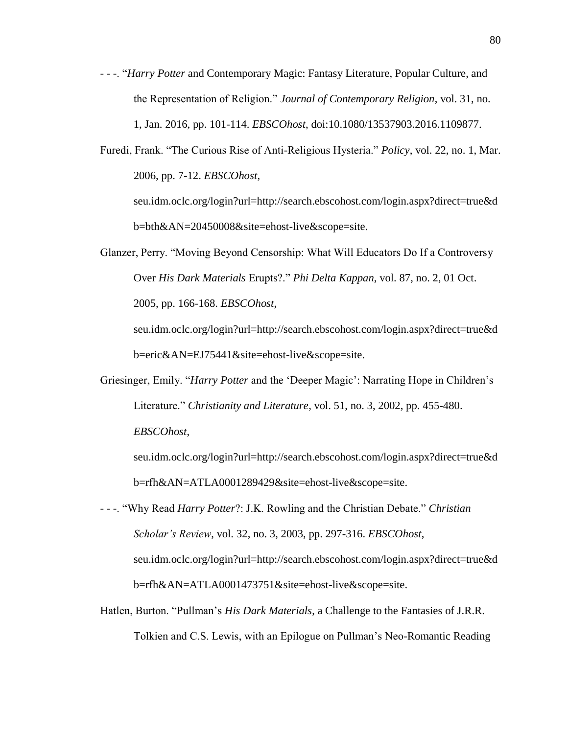- - -. "*Harry Potter* and Contemporary Magic: Fantasy Literature, Popular Culture, and the Representation of Religion." *Journal of Contemporary Religion*, vol. 31, no. 1, Jan. 2016, pp. 101-114. *EBSCOhost*, doi:10.1080/13537903.2016.1109877.
- Furedi, Frank. "The Curious Rise of Anti-Religious Hysteria." *Policy*, vol. 22, no. 1, Mar. 2006, pp. 7-12. *EBSCOhost*,

seu.idm.oclc.org/login?url=http://search.ebscohost.com/login.aspx?direct=true&d b=bth&AN=20450008&site=ehost-live&scope=site.

Glanzer, Perry. "Moving Beyond Censorship: What Will Educators Do If a Controversy Over *His Dark Materials* Erupts?." *Phi Delta Kappan*, vol. 87, no. 2, 01 Oct. 2005, pp. 166-168. *EBSCOhost*,

seu.idm.oclc.org/login?url=http://search.ebscohost.com/login.aspx?direct=true&d b=eric&AN=EJ75441&site=ehost-live&scope=site.

Griesinger, Emily. "*Harry Potter* and the 'Deeper Magic': Narrating Hope in Children's Literature." *Christianity and Literature*, vol. 51, no. 3, 2002, pp. 455-480. *EBSCOhost*,

seu.idm.oclc.org/login?url=http://search.ebscohost.com/login.aspx?direct=true&d b=rfh&AN=ATLA0001289429&site=ehost-live&scope=site.

- - -. "Why Read *Harry Potter*?: J.K. Rowling and the Christian Debate." *Christian Scholar's Review*, vol. 32, no. 3, 2003, pp. 297-316. *EBSCOhost*, seu.idm.oclc.org/login?url=http://search.ebscohost.com/login.aspx?direct=true&d b=rfh&AN=ATLA0001473751&site=ehost-live&scope=site.
- Hatlen, Burton. "Pullman's *His Dark Materials*, a Challenge to the Fantasies of J.R.R. Tolkien and C.S. Lewis, with an Epilogue on Pullman's Neo-Romantic Reading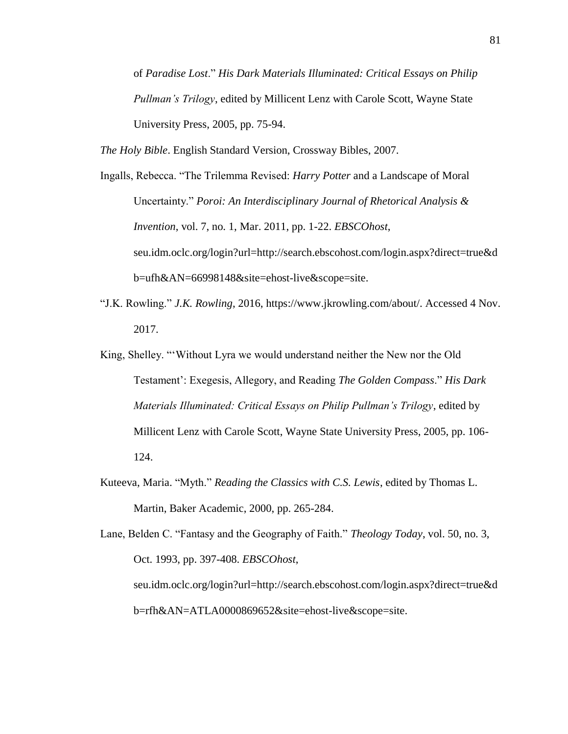of *Paradise Lost*." *His Dark Materials Illuminated: Critical Essays on Philip Pullman's Trilogy*, edited by Millicent Lenz with Carole Scott, Wayne State University Press, 2005, pp. 75-94.

*The Holy Bible*. English Standard Version, Crossway Bibles, 2007.

- Ingalls, Rebecca. "The Trilemma Revised: *Harry Potter* and a Landscape of Moral Uncertainty." *Poroi: An Interdisciplinary Journal of Rhetorical Analysis & Invention*, vol. 7, no. 1, Mar. 2011, pp. 1-22. *EBSCOhost*, seu.idm.oclc.org/login?url=http://search.ebscohost.com/login.aspx?direct=true&d b=ufh&AN=66998148&site=ehost-live&scope=site.
- "J.K. Rowling." *J.K. Rowling*, 2016, https://www.jkrowling.com/about/. Accessed 4 Nov. 2017.
- King, Shelley. "'Without Lyra we would understand neither the New nor the Old Testament': Exegesis, Allegory, and Reading *The Golden Compass*." *His Dark Materials Illuminated: Critical Essays on Philip Pullman's Trilogy*, edited by Millicent Lenz with Carole Scott, Wayne State University Press, 2005, pp. 106- 124.
- Kuteeva, Maria. "Myth." *Reading the Classics with C.S. Lewis*, edited by Thomas L. Martin, Baker Academic, 2000, pp. 265-284.

Lane, Belden C. "Fantasy and the Geography of Faith." *Theology Today*, vol. 50, no. 3, Oct. 1993, pp. 397-408. *EBSCOhost*, seu.idm.oclc.org/login?url=http://search.ebscohost.com/login.aspx?direct=true&d b=rfh&AN=ATLA0000869652&site=ehost-live&scope=site.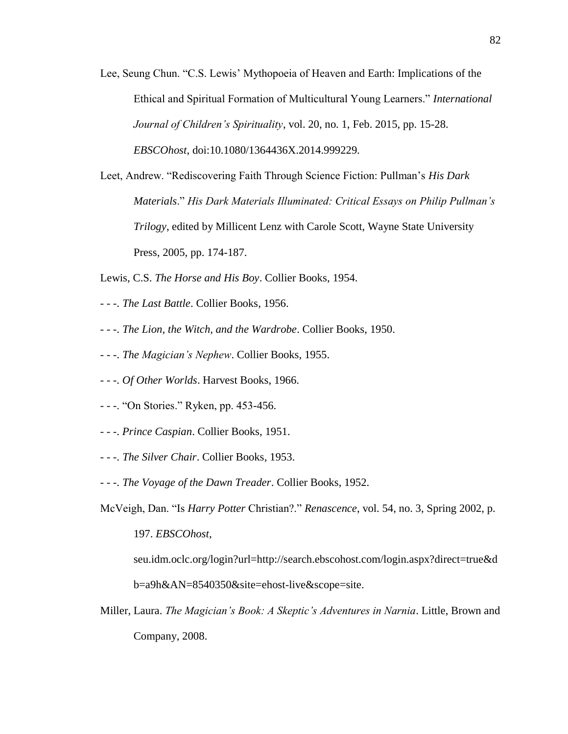- Lee, Seung Chun. "C.S. Lewis' Mythopoeia of Heaven and Earth: Implications of the Ethical and Spiritual Formation of Multicultural Young Learners." *International Journal of Children's Spirituality*, vol. 20, no. 1, Feb. 2015, pp. 15-28. *EBSCOhost*, doi:10.1080/1364436X.2014.999229.
- Leet, Andrew. "Rediscovering Faith Through Science Fiction: Pullman's *His Dark Materials*." *His Dark Materials Illuminated: Critical Essays on Philip Pullman's Trilogy*, edited by Millicent Lenz with Carole Scott, Wayne State University Press, 2005, pp. 174-187.

Lewis, C.S. *The Horse and His Boy*. Collier Books, 1954.

- - -. *The Last Battle*. Collier Books, 1956.
- - -. *The Lion, the Witch, and the Wardrobe*. Collier Books, 1950.
- - -. *The Magician's Nephew*. Collier Books, 1955.
- - -. *Of Other Worlds*. Harvest Books, 1966.
- - -. "On Stories." Ryken, pp. 453-456.
- - -. *Prince Caspian*. Collier Books, 1951.
- - -. *The Silver Chair*. Collier Books, 1953.
- - -. *The Voyage of the Dawn Treader*. Collier Books, 1952.
- McVeigh, Dan. "Is *Harry Potter* Christian?." *Renascence*, vol. 54, no. 3, Spring 2002, p. 197. *EBSCOhost*,

seu.idm.oclc.org/login?url=http://search.ebscohost.com/login.aspx?direct=true&d b=a9h&AN=8540350&site=ehost-live&scope=site.

Miller, Laura. *The Magician's Book: A Skeptic's Adventures in Narnia*. Little, Brown and Company, 2008.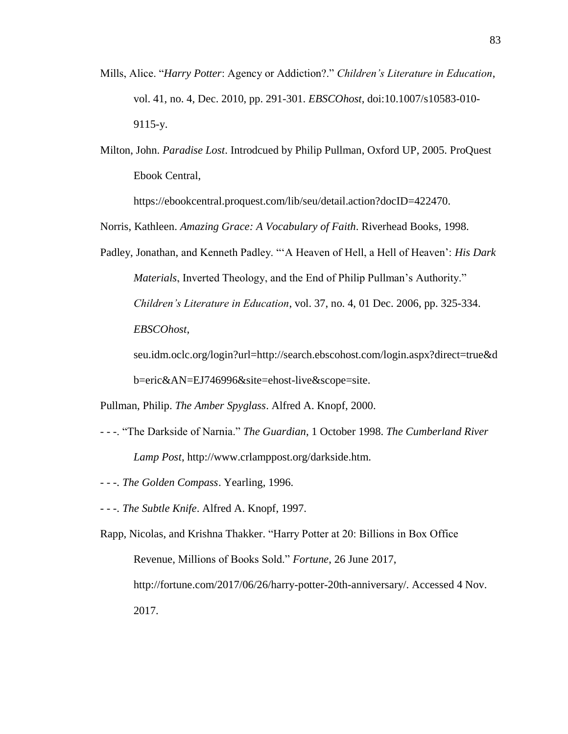- Mills, Alice. "*Harry Potter*: Agency or Addiction?." *Children's Literature in Education*, vol. 41, no. 4, Dec. 2010, pp. 291-301. *EBSCOhost*, doi:10.1007/s10583-010- 9115-y.
- Milton, John. *Paradise Lost*. Introdcued by Philip Pullman, Oxford UP, 2005. ProQuest Ebook Central,

https://ebookcentral.proquest.com/lib/seu/detail.action?docID=422470.

Norris, Kathleen. *Amazing Grace: A Vocabulary of Faith*. Riverhead Books, 1998.

Padley, Jonathan, and Kenneth Padley. "'A Heaven of Hell, a Hell of Heaven': *His Dark Materials*, Inverted Theology, and the End of Philip Pullman's Authority." *Children's Literature in Education*, vol. 37, no. 4, 01 Dec. 2006, pp. 325-334. *EBSCOhost*,

seu.idm.oclc.org/login?url=http://search.ebscohost.com/login.aspx?direct=true&d b=eric&AN=EJ746996&site=ehost-live&scope=site.

Pullman, Philip. *The Amber Spyglass*. Alfred A. Knopf, 2000.

- - -. "The Darkside of Narnia." *The Guardian*, 1 October 1998. *The Cumberland River Lamp Post*, http://www.crlamppost.org/darkside.htm.
- - -. *The Golden Compass*. Yearling, 1996.
- - -. *The Subtle Knife*. Alfred A. Knopf, 1997.
- Rapp, Nicolas, and Krishna Thakker. "Harry Potter at 20: Billions in Box Office Revenue, Millions of Books Sold." *Fortune*, 26 June 2017, http://fortune.com/2017/06/26/harry-potter-20th-anniversary/. Accessed 4 Nov. 2017.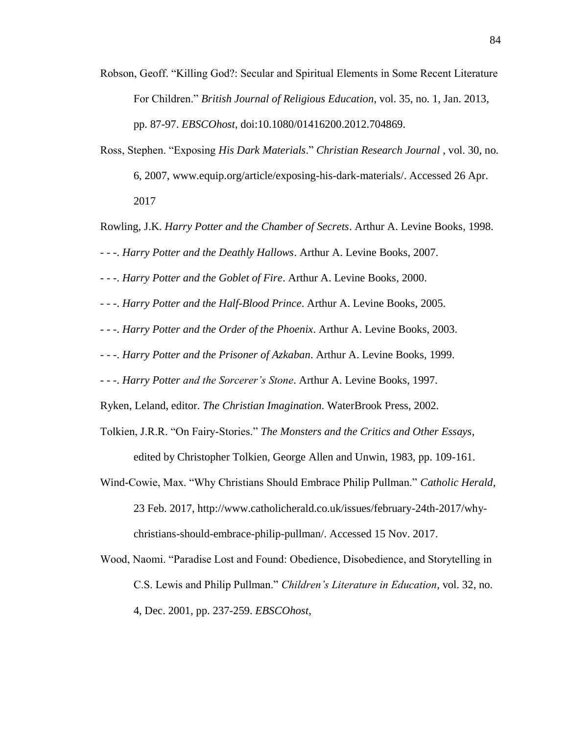Robson, Geoff. "Killing God?: Secular and Spiritual Elements in Some Recent Literature For Children." *British Journal of Religious Education*, vol. 35, no. 1, Jan. 2013, pp. 87-97. *EBSCOhost*, doi:10.1080/01416200.2012.704869.

Ross, Stephen. "Exposing *His Dark Materials*." *Christian Research Journal* , vol. 30, no. 6, 2007, www.equip.org/article/exposing-his-dark-materials/. Accessed 26 Apr. 2017

Rowling, J.K. *Harry Potter and the Chamber of Secrets*. Arthur A. Levine Books, 1998.

- - -. *Harry Potter and the Deathly Hallows*. Arthur A. Levine Books, 2007.

- - -. *Harry Potter and the Goblet of Fire*. Arthur A. Levine Books, 2000.

- - -. *Harry Potter and the Half-Blood Prince*. Arthur A. Levine Books, 2005.

- - -. *Harry Potter and the Order of the Phoenix*. Arthur A. Levine Books, 2003.

- - -. *Harry Potter and the Prisoner of Azkaban*. Arthur A. Levine Books, 1999.

- - -. *Harry Potter and the Sorcerer's Stone*. Arthur A. Levine Books, 1997.

Ryken, Leland, editor. *The Christian Imagination*. WaterBrook Press, 2002.

Tolkien, J.R.R. "On Fairy-Stories." *The Monsters and the Critics and Other Essays*, edited by Christopher Tolkien, George Allen and Unwin, 1983, pp. 109-161.

- Wind-Cowie, Max. "Why Christians Should Embrace Philip Pullman." *Catholic Herald*, 23 Feb. 2017, http://www.catholicherald.co.uk/issues/february-24th-2017/whychristians-should-embrace-philip-pullman/. Accessed 15 Nov. 2017.
- Wood, Naomi. "Paradise Lost and Found: Obedience, Disobedience, and Storytelling in C.S. Lewis and Philip Pullman." *Children's Literature in Education*, vol. 32, no. 4, Dec. 2001, pp. 237-259. *EBSCOhost*,